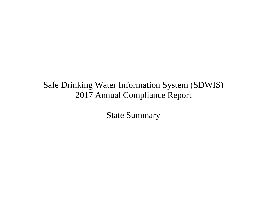State Summary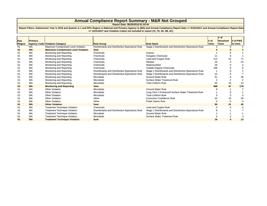## **Annual Compliance Report Summary - M&R Not Grouped**

**Report Date: 06/25/2018 01:24:44**

**Report Filters: Submission Year is 2018 and Quarter is 1 and EPA Region is National and Primacy Agency in (MA) and Annual Compliance Report Date >= 01/01/2017 and Annual Compliance Report Date <= 12/31/2017 and Violation Codes not included in report (72, 76, 4A, 4B, 4C)**

| Epa    | Primacy   |                                            |                                                |                                                        | # of         | $#$ of<br><b>Resolved</b> | # of PWS |
|--------|-----------|--------------------------------------------|------------------------------------------------|--------------------------------------------------------|--------------|---------------------------|----------|
| Region |           | <b>Agency Code Violation Category</b>      | <b>Rule Group</b>                              | <b>Rule Name</b>                                       | <b>Viols</b> | <b>Viols</b>              | in Viols |
| 01     | MA        | Maximum Contaminant Level Violation        | Disinfectants and Disinfection Byproducts Rule | Stage 2 Disinfectants and Disinfection Byproducts Rule |              |                           |          |
| 01     | <b>MA</b> | <b>Maximum Contaminant Level Violation</b> | <b>Sum</b>                                     |                                                        |              |                           | ŋ        |
| 01     | MA        | Monitoring and Reporting                   | Chemicals                                      | Arsenic                                                |              |                           |          |
| 01     | MA        | Monitoring and Reporting                   | Chemicals                                      | Inorganic Chemicals                                    |              |                           |          |
| 01     | MA        | Monitoring and Reporting                   | Chemicals                                      | Lead and Copper Rule                                   | 112          | 15                        |          |
| 01     | MA        | Monitoring and Reporting                   | Chemicals                                      | <b>Nitrates</b>                                        | 34           |                           |          |
| 01     | MA        | Monitoring and Reporting                   | Chemicals                                      | Radionuclides                                          | 26           |                           |          |
| 01     | MA        | Monitoring and Reporting                   | Chemicals                                      | Volatile Organic Chemicals                             | 168          |                           |          |
| 01     | MA        | Monitoring and Reporting                   | Disinfectants and Disinfection Byproducts Rule | Stage 1 Disinfectants and Disinfection Byproducts Rule |              |                           |          |
| 01     | MA        | Monitoring and Reporting                   | Disinfectants and Disinfection Byproducts Rule | Stage 2 Disinfectants and Disinfection Byproducts Rule | 12           |                           |          |
| 01     | MA        | Monitoring and Reporting                   | <b>Microbials</b>                              | <b>Ground Water Rule</b>                               | 51           |                           | 38       |
| 01     | MA        | Monitoring and Reporting                   | <b>Microbials</b>                              | Surface Water Treatment Rule                           |              |                           |          |
| 01     | MA        | Monitoring and Reporting                   | <b>Microbials</b>                              | <b>Total Coliform Rule</b>                             | 50           | 18                        | 23       |
| 01     | <b>MA</b> | <b>Monitoring and Reporting</b>            | <b>Sum</b>                                     |                                                        | 468          | 47                        | 179      |
| 01     | MA        | <b>Other Violation</b>                     | <b>Microbials</b>                              | <b>Ground Water Rule</b>                               |              |                           |          |
| 01     | MA        | <b>Other Violation</b>                     | <b>Microbials</b>                              | Long Term 2 Enhanced Surface Water Treatment Rule      |              |                           |          |
| 01     | MA        | Other Violation                            | <b>Microbials</b>                              | <b>Total Coliform Rule</b>                             |              |                           |          |
| 01     | MA        | <b>Other Violation</b>                     | Other                                          | <b>Consumer Confidence Rule</b>                        | 32           | 15                        | 29       |
| 01     | MA        | <b>Other Violation</b>                     | Other                                          | <b>Public Notice Rule</b>                              |              |                           |          |
| 01     | <b>MA</b> | <b>Other Violation</b>                     | <b>Sum</b>                                     |                                                        | 50           | 21                        |          |
| 01     | МA        | <b>Treatment Technique Violation</b>       | Chemicals                                      | Lead and Copper Rule                                   |              |                           |          |
| 01     | MA        | <b>Treatment Technique Violation</b>       | Disinfectants and Disinfection Byproducts Rule | Stage 1 Disinfectants and Disinfection Byproducts Rule |              |                           |          |
| 01     | MA        | <b>Treatment Technique Violation</b>       | <b>Microbials</b>                              | <b>Ground Water Rule</b>                               |              |                           |          |
| 01     | MA        | <b>Treatment Technique Violation</b>       | <b>Microbials</b>                              | Surface Water Treatment Rule                           |              |                           |          |
| 01     | <b>MA</b> | <b>Treatment Technique Violation</b>       | <b>Sum</b>                                     |                                                        | 16           |                           | 13<br>4  |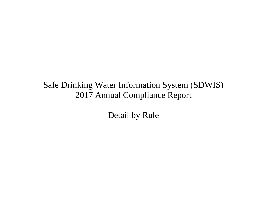Detail by Rule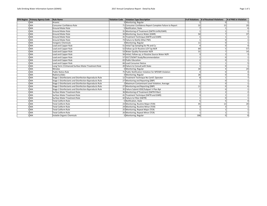| <b>EPA Region Primacy Agency Code</b> | <b>Rule Name</b>                                       | Violation Code Violation Type Description                | # of Violations # of Resolved Violations | # of PWS in Violation |
|---------------------------------------|--------------------------------------------------------|----------------------------------------------------------|------------------------------------------|-----------------------|
| $1$ MA                                | Arsenic                                                | 3 Monitoring, Regular                                    |                                          |                       |
| MA                                    | Consumer Confidence Rule                               | 71 Consumer Confidence Report Complete Failure to Report | 32                                       | 15                    |
| MA                                    | <b>Ground Water Rule</b>                               | 5 Notification. State                                    |                                          |                       |
| MA                                    | Ground Water Rule                                      | 31 Monitoring of Treatment (SWTR-Unfilt/GWR)             |                                          |                       |
| MA                                    | Ground Water Rule                                      | 34 Monitoring, Source Water (GWR)                        | 50                                       |                       |
| MA                                    | Ground Water Rule                                      | 41 Treatment Technique (SWTR and GWR)                    |                                          |                       |
| MA                                    | Ground Water Rule                                      | 73 Failure to Notify Other PWS                           |                                          |                       |
| . MA                                  | <b>Inorganic Chemicals</b>                             | 3 Monitoring, Regular                                    | 11                                       |                       |
| MA                                    | Lead and Copper Rule                                   | 51 Initial Tap Sampling for Pb and Cu                    |                                          |                       |
| . MA                                  | Lead and Copper Rule                                   | 52 Follow-up Or Routine LCR Tap M/R                      | 69                                       |                       |
| <b>MA</b>                             | Lead and Copper Rule                                   | 53 Water Quality Parameter M/R                           | 31                                       |                       |
| <b>MA</b>                             | Lead and Copper Rule                                   | 56 Initial, Follow-up, or Routine Source Water M/R       |                                          |                       |
| MA                                    | Lead and Copper Rule                                   | 57 OCCT/SOWT Study/Recommendation                        |                                          |                       |
| MA                                    | Lead and Copper Rule                                   | 65 Public Education                                      |                                          |                       |
| . MA                                  | Lead and Copper Rule                                   | 66 Lead Consumer Notice                                  |                                          |                       |
| <b>MA</b>                             | Long Term 2 Enhanced Surface Water Treatment Rule      | 20 Failure to Consult with State                         |                                          |                       |
| . MA                                  | <b>Nitrates</b>                                        | 3 Monitoring, Regular                                    | 34                                       |                       |
| MA                                    | <b>Public Notice Rule</b>                              | 75 Public Notification Violation for NPDWR Violation     |                                          |                       |
| MA                                    | Radionuclides                                          | 3 Monitoring, Regular                                    | 26                                       |                       |
| . MA                                  | Stage 1 Disinfectants and Disinfection Byproducts Rule | 12 Treatment Technique No Certif. Operator               |                                          |                       |
| MA                                    | Stage 1 Disinfectants and Disinfection Byproducts Rule | 27 Monitoring and Reporting (DBP)                        |                                          |                       |
| . MA                                  | Stage 2 Disinfectants and Disinfection Byproducts Rule | 2 Maximum Contaminant Level Violation, Average           |                                          |                       |
| <b>MA</b>                             | Stage 2 Disinfectants and Disinfection Byproducts Rule | 27 Monitoring and Reporting (DBP)                        | 11                                       |                       |
| MA                                    | Stage 2 Disinfectants and Disinfection Byproducts Rule | 35 Failure Submit IDSE/Subpart V Plan Rpt                |                                          |                       |
| <b>MA</b>                             | Surface Water Treatment Rule                           | 36 Monitoring of Treatment (SWTR-Filter)                 |                                          |                       |
| MA                                    | Surface Water Treatment Rule                           | 41 Treatment Technique (SWTR and GWR)                    |                                          |                       |
| <b>MA</b>                             | Surface Water Treatment Rule                           | 42 Failure to Filter (SWTR)                              |                                          |                       |
| <b>MA</b>                             | <b>Total Coliform Rule</b>                             | 5 Notification, State                                    |                                          |                       |
| . MA                                  | <b>Total Coliform Rule</b>                             | 23 Monitoring, Routine Major (TCR)                       | 45                                       | 13                    |
| <b>MA</b>                             | <b>Total Coliform Rule</b>                             | 24 Monitoring, Routine Minor (TCR)                       |                                          |                       |
| MA                                    | <b>Total Coliform Rule</b>                             | 25 Monitoring, Repeat Major (TCR)                        |                                          |                       |
| . MA                                  | <b>Total Coliform Rule</b>                             | 26 Monitoring, Repeat Minor (TCR)                        |                                          |                       |
| 1 MA                                  | <b>Volatile Organic Chemicals</b>                      | 3 Monitoring, Regular                                    | 168                                      |                       |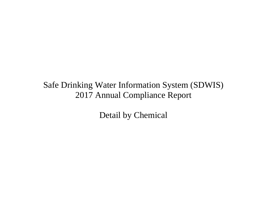Detail by Chemical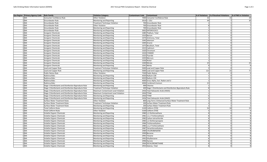| Page 1 of 2 |  |  |
|-------------|--|--|
|             |  |  |

| Epa Region   Primacy Agency Code | <b>Rule Family</b>                                                                      | <b>Violation Category</b>                            | Contaminant<br><b>Contaminant Code</b>                     | # of Violations  # of Resolved Violations | # of PWS in Violation |
|----------------------------------|-----------------------------------------------------------------------------------------|------------------------------------------------------|------------------------------------------------------------|-------------------------------------------|-----------------------|
| $1$ $MA$                         | Consumer Confidence Rule                                                                | Other Violation                                      | 7000 Consumer Confidence Rule                              | 32                                        | 15<br>29              |
| $1$ MA                           | Groundwater Rule                                                                        | Monitoring and Reporting                             | 3014 E. COLI                                               | 49                                        |                       |
| 1 MA                             | Groundwater Rule                                                                        | <b>Treatment Technique Violation</b>                 | 700 Groundwater Rule                                       |                                           |                       |
| $1$ MA                           | <b>Groundwater Rule</b>                                                                 | Other Violation                                      | 700 Groundwater Rule                                       | $\mathbf{R}$                              | $\mathbf{1}$          |
| 1 MA                             | Groundwater Rule                                                                        | Monitoring and Reporting                             | 700 Groundwater Rule                                       |                                           | $\mathbf{1}$          |
| $1$ MA                           | Groundwater Rule                                                                        | Monitoring and Reporting                             | 3002 ENTEROCOCCI                                           |                                           | $\Omega$              |
| 1 MA                             | <b>Inorganic Chemicals</b>                                                              | Monitoring and Reporting                             | 1085 Thallium, Total                                       |                                           | $\Omega$              |
| 1 <sub>MA</sub>                  | <b>Inorganic Chemicals</b>                                                              | Monitoring and Reporting                             | 1010 Barium                                                |                                           | $\Omega$              |
| $1$ MA                           | <b>Inorganic Chemicals</b>                                                              | Monitoring and Reporting                             | 1074 Antimony, Total                                       |                                           | $\Omega$              |
| 1 MA                             | <b>Inorganic Chemicals</b>                                                              | Monitoring and Reporting                             | 1045 Selenium                                              |                                           | $\Omega$              |
| 1 MA                             | <b>Inorganic Chemicals</b>                                                              | Monitoring and Reporting                             | 1005 Arsenic                                               |                                           | $\Omega$              |
| $1$ MA                           | <b>Inorganic Chemicals</b>                                                              | Monitoring and Reporting                             | 1075 Beryllium, Total                                      |                                           | $\Omega$              |
| 1 MA                             | <b>Inorganic Chemicals</b>                                                              | Monitoring and Reporting                             | 1015 Cadmium                                               |                                           | $\Omega$              |
| $1$ MA                           | <b>Inorganic Chemicals</b>                                                              | Monitoring and Reporting                             | 1020 Chromium                                              |                                           | $\Omega$              |
| $1$ MA                           | <b>Inorganic Chemicals</b>                                                              | Monitoring and Reporting                             | 1024 CYANIDE                                               |                                           | $\Omega$              |
| $1$ MA                           | <b>Inorganic Chemicals</b>                                                              | Monitoring and Reporting                             | 1025 Fluoride                                              |                                           | $\Omega$              |
| $1$ MA                           | <b>Inorganic Chemicals</b>                                                              | Monitoring and Reporting                             | 1035 Mercury                                               |                                           | $\Omega$              |
| $1$ MA                           | <b>Inorganic Chemicals</b>                                                              | Monitoring and Reporting                             | 1036 Nickel                                                |                                           | $\Omega$              |
| 1 MA                             | <b>Inorganic Chemicals</b>                                                              | Monitoring and Reporting                             | 1040 Nitrate                                               | 25                                        | $\overline{2}$        |
| 1 MA                             | <b>Inorganic Chemicals</b>                                                              | Monitoring and Reporting                             | 1041 Nitrite                                               | 9                                         | $\overline{2}$        |
| 1 MA                             | Lead and Copper Rule                                                                    | <b>Treatment Technique Violation</b>                 | 5000 Lead and Copper Rule                                  |                                           | $\Omega$              |
| $1$ MA                           | Lead and Copper Rule                                                                    | Monitoring and Reporting                             | 5000 Lead and Copper Rule                                  | 112                                       | 15                    |
| $1$ MA                           | <b>Public Notice Rule</b>                                                               | Other Violation                                      | 7500 Public Notice                                         |                                           | $\Omega$              |
| 1 MA                             | Radionuclides                                                                           | Monitoring and Reporting                             | 4030 Radium-228                                            |                                           | $\Omega$              |
| $1$ MA                           | Radionuclides                                                                           | Monitoring and Reporting                             | 4020 Radium-226                                            |                                           | $\Omega$              |
| 1 MA                             | Radionuclides                                                                           | Monitoring and Reporting                             | 4000 Gross Alpha, Excl. Radon and U                        |                                           | $\Omega$              |
| $1$ MA                           | Radionuclides                                                                           | Monitoring and Reporting                             | 4006 Combined Uranium                                      | 23                                        | $\Omega$              |
| 1 MA                             | Stage 1 Disinfectants and Disinfection Byproducts Rule                                  | Monitoring and Reporting                             | 999 Chlorine                                               |                                           | $\Omega$              |
| 1 MA                             | Stage 1 Disinfectants and Disinfection Byproducts Rule                                  | <b>Treatment Technique Violation</b>                 | 400 Stage 1 Disinfectants and Disinfection Byproducts Rule | 8                                         | $\mathbf{1}$          |
| 1 MA                             | Stage 2 Disinfectants and Disinfection Byproducts Rule                                  | Maximum Contaminant Level Violation                  | 2456 Total Haloacetic Acids (HAA5)                         |                                           | $\Omega$              |
| 1 MA                             | Stage 2 Disinfectants and Disinfection Byproducts Rule                                  | Maximum Contaminant Level Violation                  | 2950 TTHM                                                  |                                           | $\Omega$              |
| $1$ MA                           |                                                                                         |                                                      | 2950 TTHM                                                  | 6                                         | $\Omega$              |
| 1 MA                             | Stage 2 Disinfectants and Disinfection Byproducts Rule                                  | Monitoring and Reporting<br>Monitoring and Reporting | 2456 Total Haloacetic Acids (HAA5)                         | $\mathsf{6}$                              | $\Omega$              |
| 1 MA                             | Stage 2 Disinfectants and Disinfection Byproducts Rule<br>Surface Water Treatment Rules | Other Violation                                      | 800 Long Term 2 Enhanced Surface Water Treatment Rule      |                                           | $\Omega$              |
| $1$ MA                           |                                                                                         |                                                      |                                                            | $\Delta$                                  | $\overline{2}$        |
| $1$ MA                           | Surface Water Treatment Rules                                                           | <b>Treatment Technique Violation</b>                 | 200 Surface Water Treatment Rule                           | $\mathcal{P}$                             | $\overline{2}$        |
| 1 MA                             | Surface Water Treatment Rules                                                           | Monitoring and Reporting                             | 200 Surface Water Treatment Rule<br>3100 Coliform (TCR)    | 50                                        |                       |
| 1 MA                             | <b>Total Coliform Rules</b>                                                             | Monitoring and Reporting                             |                                                            | 5                                         | 18<br>$\overline{5}$  |
| 1 <sub>MA</sub>                  | <b>Total Coliform Rules</b>                                                             | Other Violation                                      | 3100 Coliform (TCR)                                        |                                           |                       |
|                                  | <b>Volatile Organic Chemicals</b>                                                       | Monitoring and Reporting                             | 2980 1,2-Dichloroethane                                    | $\mathbf{R}$                              | $\Omega$              |
| $1$ MA                           | <b>Volatile Organic Chemicals</b>                                                       | Monitoring and Reporting                             | 2981 1,1,1-Trichloroethane                                 | 8                                         | $\Omega$              |
| 1 MA                             | <b>Volatile Organic Chemicals</b>                                                       | Monitoring and Reporting                             | 2982 Carbon tetrachloride                                  |                                           | $\Omega$              |
| $1$ MA                           | <b>Volatile Organic Chemicals</b>                                                       | Monitoring and Reporting                             | 2983 1,2-Dichloropropane                                   | 8                                         | $\Omega$              |
| 1 MA                             | <b>Volatile Organic Chemicals</b>                                                       | Monitoring and Reporting                             | 2984 Trichloroethylene                                     | 8                                         | $\Omega$              |
| 1 MA                             | <b>Volatile Organic Chemicals</b>                                                       | Monitoring and Reporting                             | 2985 1,1,2-Trichloroethane                                 | $\mathbf{R}$                              | $\Omega$              |
| 1 MA                             | <b>Volatile Organic Chemicals</b>                                                       | Monitoring and Reporting                             | 2987 Tetrachloroethylene                                   | $\mathbf{R}$                              | $\Omega$              |
| $1$ MA                           | <b>Volatile Organic Chemicals</b>                                                       | Monitoring and Reporting                             | 2989 CHLOROBENZENE                                         | 8                                         | $\Omega$              |
| 1 MA                             | <b>Volatile Organic Chemicals</b>                                                       | Monitoring and Reporting                             | 2990 Benzene                                               | 8                                         | $\Omega$              |
| 1 MA                             | <b>Volatile Organic Chemicals</b>                                                       | Monitoring and Reporting                             | 2991 Toluene                                               |                                           | $\Omega$              |
| $1$ MA                           | <b>Volatile Organic Chemicals</b>                                                       | Monitoring and Reporting                             | 2992 Ethylbenzene                                          | $\mathsf{\mathsf{R}}$                     | $\Omega$              |
| 1 MA                             | <b>Volatile Organic Chemicals</b>                                                       | Monitoring and Reporting                             | 2996 Styrene                                               | $\mathbf{R}$                              | $\Omega$              |
| $1$ MA                           | <b>Volatile Organic Chemicals</b>                                                       | Monitoring and Reporting                             | 2964 DICHLOROMETHANE                                       | 8                                         | $\Omega$              |
| $1$ MA                           | <b>Volatile Organic Chemicals</b>                                                       | Monitoring and Reporting                             | 2955 Xylenes, Total                                        | $\mathsf{R}$                              | $\Omega$              |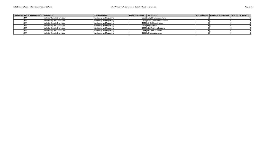| Epa Region Primacy Agency Code Rule Family |                                   | <b>Violation Category</b> | Contaminant Code Contaminant |                                 | # of Violations # of Resolved Violations | # of PWS in Violation |
|--------------------------------------------|-----------------------------------|---------------------------|------------------------------|---------------------------------|------------------------------------------|-----------------------|
| 1 MA                                       | <b>Volatile Organic Chemicals</b> | Monitoring and Reporting  |                              | 2380 cis-1,2-Dichloroethylene   |                                          |                       |
| 1 MA                                       | <b>Volatile Organic Chemicals</b> | Monitoring and Reporting  |                              | 2979 trans-1,2-Dichloroethylene |                                          |                       |
| 1 MA                                       | <b>Volatile Organic Chemicals</b> | Monitoring and Reporting  |                              | 2977 1,1-Dichloroethylene       |                                          |                       |
| 1 MA                                       | <b>Volatile Organic Chemicals</b> | Monitoring and Reporting  |                              | 2976 Vinyl chloride             |                                          |                       |
|                                            | <b>Volatile Organic Chemicals</b> | Monitoring and Reporting  |                              | 2378 1,2,4-Trichlorobenzene     |                                          |                       |
| ∖ MA                                       | <b>Volatile Organic Chemicals</b> | Monitoring and Reporting  |                              | 2968 o-Dichlorobenzene          |                                          |                       |
| 1 MA                                       | <b>Volatile Organic Chemicals</b> | Monitoring and Reporting  |                              | 2969 p-Dichlorobenzene          |                                          |                       |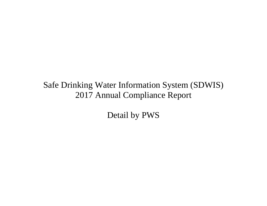Detail by PWS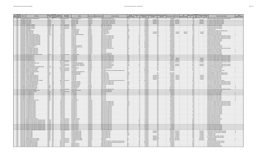| ×<br>en e |  |
|-----------|--|
|-----------|--|

| Epa Primacy<br>Region Agency<br>Code<br>PWS ID | <b>PWS Name</b>                                                                                          | <b>PWS Type</b><br>Populatio<br>Source Served Count<br>Code<br>Code | <b>Owner Type<br/>Description</b>            | Address                                                      | ounty Ser                     | ontaminant Code                                                                             | Violation<br>Violation<br>$\mathsf{Id}$<br><b>Category Code</b> | <b>Compliance Perior</b><br><b>Compliance Period</b><br><b>Begin Date</b><br><b>End Date</b> |                               | <b>Enforcement Action</b><br>PWS<br><b>RTC</b> Date<br>Inforcement Date<br><b>Type Code</b><br><b>Deactivation Date</b> | Complian<br>Status<br>Enforcemen<br>Id<br>Code   | Resolved<br>Date       | <b>Violation Type Descriptio</b><br>Code                                                                             | Is Major<br>Violation Indicate |
|------------------------------------------------|----------------------------------------------------------------------------------------------------------|---------------------------------------------------------------------|----------------------------------------------|--------------------------------------------------------------|-------------------------------|---------------------------------------------------------------------------------------------|-----------------------------------------------------------------|----------------------------------------------------------------------------------------------|-------------------------------|-------------------------------------------------------------------------------------------------------------------------|--------------------------------------------------|------------------------|----------------------------------------------------------------------------------------------------------------------|--------------------------------|
| $1$ MA                                         | MA1008000 AMHERST DPW WATER DIVISION                                                                     | cws<br><b>SW</b>                                                    | 37819 Local government                       | 586 SOUTH PLEASANT ST                                        | Hampshire                     | 7000 Consumer Confidence Rule                                                               |                                                                 | 7/1/2015                                                                                     |                               | 8/4/2015                                                                                                                | 43 O                                             |                        | 71 Consumer Confidence Report Complete Failure to Report                                                             |                                |
| $1$ MA<br>$1$ MA                               | MA1008008 KERN CENTER<br><b>MA1008008 KERN CENTER</b>                                                    | <b>NTNCWS</b><br>NTNCWS                                             | 35 Private<br>35 Private                     | <b>93 WEST STREET</b><br><b>93 WEST STREET</b>               | lampshire<br>lampshire        | 200 Surface Water Treatment Rule<br>200 Surface Water Treatment Rul                         |                                                                 | 7/1/201<br>7/1/201                                                                           | 7/31/20<br>7/31/2017 SO       | 10/4/2017 8/31/201<br>8/31/2017 8/31/201                                                                                | 1R                                               | 3/31/201<br>3/31/2017  | 41 Treatment Technique (SWTR and GWR)<br>41 Treatment Technique (SWTR and GWR                                        |                                |
| 1 MA                                           | MA1008008 KFRN CENTER                                                                                    | NTNCWS                                                              | 35 Private                                   | <b>R93 WEST STREET</b>                                       | Hampshire                     | 200 Surface Water Treatment Rul                                                             |                                                                 | 8/1/2017                                                                                     | 8/31/2017 SF                  | 10/4/2017 8/31/201                                                                                                      | 1R                                               | R/31/2017              | 41 Treatment Technique (SWTR and GWR                                                                                 |                                |
| $1$ MA<br>$1$ MA                               | MA1008008 KFRN CENTER<br>MA1013001 SANDERSON ACADEMY                                                     | <b>NTNCWS</b><br>NTNCWS GW                                          | 35 Private<br>170 Local government           | <b>R93 WEST STREET</b><br>808 CAPE ST                        | lampshire<br>ranklin          | 200 Surface Water Treatment Rule<br>5000 Lead and Copper Rule                               |                                                                 | 8/1/2017<br>6/1/2014                                                                         | 8/31/2017 501                 | 8/31/2017 8/31/201<br>11/18/2014                                                                                        | 7R<br>130                                        | 8/31/2017              | 41 Treatment Technique (SWTR and GWR)<br>52 Follow-up Or Routine LCR Tap M/R                                         |                                |
| 1 <sub>MA</sub>                                | MA1013001 SANDERSON ACADEM                                                                               | <b>TNCWS</b> GW                                                     | 170 Local government                         | 808 CAPE ST                                                  | ranklin                       | 5000 Lead and Copper Rule                                                                   | MR                                                              | 6/1/2014                                                                                     |                               | 11/18/201                                                                                                               | $\frac{1}{3}$ o                                  |                        | 52 Follow-up Or Routine LCR Tap M/R                                                                                  |                                |
| $1$ MA                                         | <b>MA1013001 SANDERSON ACADEMY</b>                                                                       | NTNCWS GW                                                           | 170 Local government                         | 808 CAPE ST                                                  | Franklin                      | 5000 Lead and Copper Rule                                                                   |                                                                 | 6/1/2014                                                                                     |                               | 11/18/2014                                                                                                              | 13 0                                             |                        | 52 Follow-up Or Routine LCR Tap M/R                                                                                  |                                |
| $1$ MA<br>$1$ MA                               | MA1013001 SANDERSON ACADEMY<br>MA1022004 PAPA BOBS                                                       | NTNCWS GW<br>TNCWS GW                                               | 170 Local gove<br>80 Private                 | <b>ROB CAPE ST</b><br><b>ATTN TAMMY SCOT</b>                 | Franklin<br><b>Berkshire</b>  | 5000 Lead and Copper Rule<br>700 Groundwater Rule                                           | MR<br>Other                                                     | 6/1/2015<br>2/1/2013                                                                         |                               | 1/15/2016<br>3/25/2013                                                                                                  | 14 <sub>0</sub><br>15 <sub>o</sub>               |                        | 52 Follow-up Or Routine LCR Tap M/R<br>5 Notification, State                                                         |                                |
| 1 MA                                           | MA1022013 BERKSHIRE BERRIES                                                                              | NCWS GW                                                             | 25 Private                                   | :/O DAVID GRAVES                                             | <b>Berkshire</b>              | 7500 Public Notice                                                                          | Other                                                           | 9/24/2012                                                                                    |                               | 11/19/2012                                                                                                              | 50                                               |                        | 75 Public Notification Violation for NPDWR Violation                                                                 |                                |
| $1$ MA<br>$1$ MA                               | MA1022020 BECKET MOTEL INC<br>MA1022020 BECKET MOTEL INC                                                 | NCWS GW                                                             | 25 Private<br>25 Private                     | 29 CHESTER ROAD<br><b>29 CHESTER ROAD</b>                    | Berkshire                     | 3100 Coliform (TCR)<br>3100 Coliform (TCR                                                   |                                                                 | 3/1/2017<br>3/1/2017                                                                         | 3/31/2017 SO<br>3/31/2017     | 5/4/2017<br>5/4/20<br>5/4/201<br>5/4/201<br>4/26/2017<br>5/4/20                                                         | 5R<br>4R                                         | 5/4/201<br>5/4/2017    | 23 Monitoring, Routine Major (TCR)                                                                                   |                                |
| 1 MA                                           | MA1022026 JACOBS PILLOW DANCE FESTIVAL                                                                   | TNCWS GW<br>NTNCWS GW                                               | 750 Private                                  | ATTN OPERATIONS MANAGER                                      | Berkshire<br>Berkshire        | 3014 E. COLI                                                                                | MR                                                              | 11/1/2012                                                                                    |                               | 3/18/2013                                                                                                               | 6C                                               |                        | 23 Monitoring, Routine Major (TCR<br>34 Monitoring, Source Water (GWR)                                               |                                |
| $1$ MA                                         | MA1024001 SPORTS HAVEN MOBILE HOME PARK                                                                  | CWS GW                                                              | 107 Private                                  | <b>PO BOX 437</b>                                            | Hampshire                     | 7000 Consumer Confidence Rule                                                               | Other                                                           | 7/1/2013                                                                                     |                               | 3/11/2014                                                                                                               | 330                                              |                        | 71 Consumer Confidence Report Complete Failure to Report                                                             |                                |
| $1$ MA<br>$1 M_A$                              | MA1024001 SPORTS HAVEN MOBILE HOME PARK<br>MA1024001 SPORTS HAVEN MOBILE HOME PARI                       | $-$ GW<br><b>CWS</b>                                                | 107 Private<br>107 Private                   | <b>PO BOX 437</b><br><b>PO BOX 437</b>                       | lampshire                     | 7000 Consumer Confidence Rule<br>7000 Consumer Confidence Rule                              | Other<br>Other                                                  | 7/1/2013<br>7/1/201                                                                          |                               | 12/12/2013<br>9/5/201                                                                                                   | 32 0                                             |                        | 71 Consumer Confidence Report Complete Failure to Report<br>71 Consumer Confidence Report Complete Failure to Report |                                |
| $1$ MA                                         | MA1024001 SPORTS HAVEN MORILE HOME PARK                                                                  | cws GW                                                              | 107 Private                                  | PO ROX 437                                                   | Hampshire<br><b>tampshire</b> | 5000 Lead and Conner Rule                                                                   | M.P                                                             | 6/1/2015                                                                                     |                               | 3/14/2016                                                                                                               | 520                                              |                        | 52 Follow-up Or Routine LCR Tap M/R                                                                                  |                                |
| $1$ MA                                         | MA1024001 SPORTS HAVEN MORILE HOME PARK                                                                  | lcws <sup>-</sup><br>$\frac{1}{10}$ GW                              | 107 Private                                  | <b>PO ROX 437</b>                                            | Hampshire                     | 5000 Lead and Conner Rule                                                                   | MR                                                              | 6/1/2015                                                                                     |                               | 12/23/2015                                                                                                              | 480                                              |                        | 52 Follow-up Or Routine LCR Tan M/R                                                                                  |                                |
| 1 <sub>MA</sub><br>$1$ MA                      | MA1024001 SPORTS HAVEN MOBILE HOME PARK<br>MA1024001 SPORTS HAVEN MOBILE HOME PARI                       | $\overline{cws}$<br><b>CWS</b>                                      | 107 Private<br>107 Private                   | <b>PO BOX 437</b><br><b>PO BOX 437</b>                       | lampshire<br><b>Hampshire</b> | 5000 Lead and Copper Rule<br>5000 Lead and Copper Rule                                      |                                                                 | 11/1/2015<br>11/1/201                                                                        |                               | 3/14/2016<br>3/14/2016                                                                                                  | $52$ <sub>O</sub><br>$52$ <sub>O</sub>           |                        | 53 Water Quality Parameter M/R<br>53 Water Quality Parameter M/                                                      |                                |
| $1$ MA                                         | MA1024001 SPORTS HAVEN MORILE HOME PARK                                                                  | $\frac{\frac{1}{\sqrt{GM}}}{\frac{1}{\sqrt{GM}}}$<br>CWS            | 107 Drivato                                  | DO ROY 437                                                   | lampshire                     | 5000 Lead and Copper Rule                                                                   | <b>14D</b>                                                      | 11/1/2015                                                                                    |                               | 3/14/2016                                                                                                               | 520                                              |                        | 53 Water Quality Parameter M/R                                                                                       |                                |
| $1$ MA                                         | MA1024002 PINE VALLEY PLANTATION                                                                         | cws<br>$\frac{1}{\text{GW}}$<br><b>CWS</b>                          | 600 Private<br>30 Private                    | 281 CHALINCEY WALKER ST<br>/O SLIGO REALTY CO. L.L.C         | <i>apshire</i>                | 5000 Lead and Conner Rule                                                                   |                                                                 | 6/1/2015<br>10/1/2005                                                                        |                               | 12/23/2015                                                                                                              | 190                                              |                        | 52 Follow-up Or Routine LCR Tap M/R<br>52 Follow-up Or Routine LCR Tap M/R                                           |                                |
| $1$ MA<br>$1$ MA                               | MA1024015 WASHINGTON ACRES<br>MA1024016 VILLAGE GREENE CONDO ASSI                                        | GW<br>cws                                                           | 29 Private                                   | .O. BOX 998                                                  | <b>lampshire</b><br>lampshire | 5000 Lead and Copper Rule<br>7000 Consumer Confidence Rule                                  | Other                                                           | 7/1/2017                                                                                     |                               | 1/30/2006<br>8/16/2017                                                                                                  | $\overline{2}$ lo<br>250                         |                        | 71 Consumer Confidence Report Complete Failure to Report                                                             |                                |
| $1$ MA                                         | MA1024016 VILLAGE GREENE CONDO ASSN                                                                      | cws<br>$\overline{\text{GW}}$                                       | 29 Private                                   | O. BOX 998                                                   | lampshire                     | 3014 E. COLI                                                                                |                                                                 | 7/1/2015                                                                                     |                               | 3/14/2016                                                                                                               | 19C                                              |                        | 34 Monitoring, Source Water (GWR)                                                                                    |                                |
| $1$ MA<br>$1$ MA                               | MA1024016 VILLAGE GREENE CONDO ASSN<br>MA1024016 VILLAGE GREENE CONDO ASSN                               | cws<br>$\frac{1}{\text{GW}}$<br><b>CWS</b>                          | 29 Private<br>29 Private                     | $0.80x$ 998<br>.O. BOX 998                                   | lampshire<br><b>Hampshire</b> | 3014 F COLL<br>3014 E. COLI                                                                 |                                                                 | 7/1/2015<br>11/1/2015                                                                        |                               | 3/14/2016<br>3/14/2016                                                                                                  | $19$ O<br>190                                    |                        | 34 Monitoring, Source Water (GWR)                                                                                    |                                |
| $1$ MA                                         | MA1024016 VILLAGE GREENE CONDO ASSN                                                                      | cws<br>GW                                                           | 29 Private                                   | .O. BOX 998                                                  | <b>tampshire</b>              | 5000 Lead and Copper Rule                                                                   |                                                                 | 1/1/2011                                                                                     |                               | 2/19/2014                                                                                                               | 130                                              |                        | 34 Monitoring, Source Water (GWR<br>52 Follow-up Or Routine LCR Tap M/R                                              |                                |
| $1$ MA                                         | MA1047000 MOHAWK TRAIL REGIONAL HIGH SCHOOL                                                              | NTNCWS GW                                                           | 650 Local gover                              | 26 ASHFIELD ROAD                                             |                               | 5000 Lead and Copper Rule                                                                   |                                                                 | $\frac{1}{6/1/2015}$                                                                         |                               | 12/23/201                                                                                                               | 10C                                              |                        | 52 Follow-up Or Routine LCR Tap M/R                                                                                  |                                |
| 1 MA<br>$1$ MA                                 | MA1053030 WOODLAND MHP LLC<br>MA1053030 WOODLAND MHP LLG                                                 | cws GW<br>CWS GW                                                    | 36 Private<br>36 Private                     | O. BOX 2033<br>$0$ ROX 2033                                  | ranklin<br>Franklin           | 7000 Consumer Confidence Rul<br>7000 Consumer Confidence Rule                               | Other                                                           | 7/1/2013<br>7/1/2013                                                                         |                               | 12/12/2013<br>9/4/2013                                                                                                  | 13C<br>100                                       |                        | 71 Consumer Confidence Report Complete Failure to Repo<br>71 Consumer Confidence Report Complete Failure to Repor    |                                |
| 1 MA                                           | MA1053030 WOODLAND MHP LL                                                                                | cws<br>GW                                                           | 36 Private                                   | O. BOX 2033                                                  | ranklin                       | 7000 Consumer Confidence Rule                                                               | Other                                                           | 7/1/2017                                                                                     |                               | 9/8/2017 9/8/201                                                                                                        | 16R                                              | 9/8/201                | 71 Consumer Confidence Report Complete Failure to Report                                                             |                                |
|                                                | 1 MA MA1053030 WOODLAND MHP LL                                                                           | CWS GW                                                              | 36 Private                                   | P.O. BOX 2033                                                | Franklin                      | 7000 Consumer Confidence Rule                                                               | Other                                                           | 7/1/2017                                                                                     |                               | 8/16/2017 9/8/2017                                                                                                      | 17R                                              | 9/8/2017               | 71 Consumer Confidence Report Complete Failure to Report                                                             |                                |
| $1$ MA<br>1 MA                                 | MA1058000 CHESHIRE WATER DEP<br>MA1058000 CHESHIRE WATER DEPT                                            | $\frac{SW}{SW}$<br>cws<br>cws                                       | 1407 Local government                        | <b>80 CHURCH ST</b><br><b>CHURCH ST</b>                      | Berkshire                     | 7000 Consumer Confidence Rule<br>$7000$ <sub>Con</sub><br>sumer Confidence Rule             | Other                                                           | 7/1/2017<br>7/1/2017                                                                         |                               | 8/31/2017 8/31/201<br>8/16/2017 8/31/20:                                                                                | $\frac{1}{27}$ R<br>$\overline{28}$ <sub>R</sub> | 8/31/2017<br>8/31/201  | 71 Consumer Confidence Report Complete Failure to Report<br>71 Consumer Confidence Report Co<br>mplete Failure to R  |                                |
| $1$ MA                                         | MA1058002 PINE VALLEY MOBILE HOME PARK                                                                   | <b>CWS</b>                                                          | 1407 Local gove<br>180 Private               | O MORGAN MANAGEMENT                                          | <b>Berkshire</b><br>Berkshire | 5000 Lead and Copper Rule                                                                   | MR                                                              |                                                                                              |                               | 12/23/2015                                                                                                              | -slo                                             |                        | 52 Follow-up Or Routine LCR Tap M/R                                                                                  |                                |
| 1 MA                                           | MA1059000 CHESTER WATER DEPT                                                                             | $\frac{GW}{SW}$                                                     | 750 Local gover                              | 5 MIDDLEFIELD RD, TOWN HAL                                   | Hampden                       | 7000 Consumer Confidence Rule                                                               | Other                                                           | $\frac{6/1/2015}{7/1/2017}$                                                                  |                               | 8/24/2017 8/24/201                                                                                                      | 64R                                              | 8/24/2017              | 71 Consumer Confidence Report Complete Failure to Report                                                             |                                |
| $1$ MA<br>$1$ MA                               | MA1059000 CHESTER WATER DEPT<br>MA1060006 HILLTOWN COMMUNITY DEVELOPMENT CORP                            | <b>SW</b><br><b>CWS</b><br>NTNCWS GW                                | 750 Local government<br>45 Private           | 15 MIDDLEFIELD RD, TOWN HALL<br><b>JAIN ROAD</b>             | lampden                       | 7000 Consumer Confidence Rule<br>5000 Lead and Copper Rule                                  | Other                                                           | 7/1/2017<br>1/1/2005                                                                         |                               | 8/16/2017 8/24/201<br>2/9/200                                                                                           | 65R<br>10                                        | 8/24/2017              | 71 Consumer Confidence Report Complete Failure to Report<br>57 OCCT/SOWT Study/R                                     |                                |
| $1$ MA                                         | MA1061000 CHICOPEE WATER DEPT (MWRA)                                                                     | CWS SWP                                                             | 55144 Local gover                            | 115 BASKIN DRIV                                              | lampshire<br>Hampden          | 5000 Lead and Copper Rule                                                                   |                                                                 | 6/1/2015                                                                                     |                               | 12/23/2015                                                                                                              | 100                                              |                        | 52 Follow-up Or Routine LCR Tap M/R                                                                                  |                                |
| $1$ MA                                         | MA1063003 BRIGGSVILLE WATER DISTRICT                                                                     | <b>Icws</b><br>$\overline{\mathsf{G}\mathsf{W}}$                    | 180 Local gove<br>ment                       | 47 CROSS RD                                                  | Berkshire                     | 3014 E. COLI                                                                                |                                                                 | 6/24/2013                                                                                    |                               | 7/12/2013                                                                                                               | 13 <sub>0</sub>                                  |                        | 34 Monitoring, Source Water (GWR)<br>12 Treatment Technique No Certif. Operator                                      |                                |
| $1$ MA<br>1 MA                                 | MA1063003 BRIGGSVILLE WATER DISTRIC<br>MA1066001 GRISWOLDVILLE WATER DISTRIC                             | $\overline{GW}$                                                     | 180 Local gove<br>125 Private                | 47 CROSS RD<br>RISWOLDVILLE WATER DISTRIC                    | <b>Berkshire</b><br>Franklin  | 400 Stage 1 Disinfectants and Disinfection Byproducts Rule<br>3014 E. COLI                  |                                                                 | 4/21/2016<br>4/1/201                                                                         |                               | 8/17/2016                                                                                                               | 150                                              |                        |                                                                                                                      |                                |
| $1$ MA                                         | MA1066005 PINE HILL ORCHARDS                                                                             | $\sqrt{GW}$<br>TNCWS GW                                             | 30 Private                                   | 248 GREENFIELD ROAD                                          | Franklin                      | 7500 Public Notice                                                                          | Other                                                           | 9/3/2012                                                                                     |                               | 12/17/2012                                                                                                              | 40                                               |                        | 34 Monitoring, Source Water (GWR)<br>75 Public Notification Violation for NPDWR Violation                            |                                |
| $1$ MA                                         | MA1066005 PINE HILL ORCHARDS                                                                             | TNCWS GW                                                            | 30 Private                                   | 248 GREENFIELD ROAD                                          | Franklin                      | 7500 Public Notice                                                                          | Other                                                           | 9/3/2012                                                                                     |                               | 11/21/2012                                                                                                              | $\overline{30}$                                  |                        | 75 Public Notification Violation for NPDWR Violation                                                                 |                                |
| $1$ MA<br>$1$ MA                               | MA1066007 FOUNDRY BROOK ASSOCIATION<br>MA1066007 FOUNDRY BROOK ASSOCIATION                               | cws                                                                 | 28 Private<br>28 Private                     | P.O.BOX 181<br>0.BOX 181                                     | Franklin                      | 3100 Coliform (TCR)<br>3100 Coliform (TCR)                                                  |                                                                 | 3/1/2017<br>3/1/201                                                                          | 3/31/2017 SO<br>3/31/2017 SF  | $6/5/2017$ 6/5/201<br>4/26/2017<br>6/5/201                                                                              | 7R<br>6R                                         | 6/5/201                | 23 Monitoring, Routine Major (TCR)<br>23 Monitoring, Routine Major (TCR)                                             |                                |
| $1$ MA                                         | MA1066007 FOUNDRY BROOK ASSOCIATION                                                                      | $\frac{1}{\frac{1}{3}}$ GW<br>cws                                   | 28 Private                                   | 0.BOX 181                                                    | ranklin<br><b>Franklin</b>    | 3100 Coliform (TCR)                                                                         |                                                                 | 4/1/2017                                                                                     | $4/30/2017$ SO                | $6/5/2017$ 6/5/201                                                                                                      | $\frac{1}{9}$                                    | 6/5/2017<br>6/5/2017   | 23 Monitoring, Routine Major (TCR)                                                                                   |                                |
| $1$ MA                                         | MA1066007 FOUNDRY BROOK ASSOCIATION                                                                      | CWS<br>CWS<br>$\frac{GW}{SW}$                                       | 28 Private                                   | $0$ ROX 181                                                  | Franklin                      | 3100 Coliform (TCR)                                                                         |                                                                 | 4/1/2017                                                                                     | 4/30/2017 SF                  | $5/17/2017$ 6/5/201                                                                                                     | 8R                                               | 6/5/2017               | 23 Monitoring, Routine Major (TCR)                                                                                   |                                |
| 1 <sub>MA</sub><br>1 MA                        | MA1074001 SOUTH DEERFIELD WATER SUPPLY DISTRICT<br>MA1074007 PAN AM SOUTHERN RAILROAD                    | SWP<br><b>CWS</b>                                                   | 3800 Local gove<br>140 Private               | 0. BOX 51<br><b>8 RAILROAD YARD RD</b>                       | ranklin<br>Franklin           | 400 Stage 1 Disinfectants and Disinfection Byproducts Rule<br>7000 Consumer Confidence Rule |                                                                 | 8/18/2015<br>7/1/2013                                                                        |                               | 6/16/2016<br>9/17/2014                                                                                                  | 420<br>8 0                                       |                        | 12 Treatment Technique No Certif. Operato<br>71 Consumer Confidence Report Complete Failure to Report                |                                |
| $1$ MA                                         | MA1074007 PAN AM SOUTHERN RAILROAD                                                                       | cws<br>SWP                                                          | 140 Private                                  | 38 RAILROAD YARD RD                                          | Franklin                      | 7000 Consumer Confidence Rule                                                               | Othe                                                            | 7/1/2013                                                                                     |                               | 9/4/2013                                                                                                                | 70                                               |                        | 71 Consumer Confidence Report Complete Failure to Report                                                             |                                |
| $1$ MA                                         | MA1074007 PAN AM SOUTHERN RAILROAD                                                                       | cws<br>SWP                                                          | 140 Private                                  | <b>IR RAILROAD YARD RD</b>                                   | ranklin                       | 7000 Consumer Confidence Rule                                                               |                                                                 | 7/1/2014                                                                                     |                               | 9/17/2014                                                                                                               | 80                                               |                        | 71 Consumer Confidence Report Complete Failure to Repor                                                              |                                |
| $1$ MA<br>$1$ MA                               | MA1098005 WHITCOMB SUMMIT MOTEL<br>MA1098005 WHITCOMB SUMMIT MOTEL                                       | TNCWS GW<br>TNCWS GW                                                | 25 Private<br>25 Private                     | <b>229 MOHAWK TRAIL</b><br>229 MOHAWK TRAIL                  | <b>Rerkshire</b><br>Berkshire | 3014 F COLL<br>3014 E. COLI                                                                 | MR                                                              | 9/1/2013<br>9/1/2013                                                                         |                               | 9/9/2014<br>10/23/2013                                                                                                  | 150<br>110                                       |                        | 34 Monitoring, Source Water (GWR)<br>34 Monitoring, Source Water (GWR                                                |                                |
| $1$ MA                                         | MA1098009 MANICE EDUCATION CENTER                                                                        | NCWS GW                                                             | 45 Private                                   | SAVOY ROAD                                                   | Berkshire                     | 3014 E. COLI                                                                                |                                                                 | 7/1/2013                                                                                     |                               | 11/20/2013                                                                                                              | 5c                                               |                        | 34 Monitoring, Source Water (GWR)                                                                                    |                                |
| $1$ MA                                         | MA1106000 RIVERSIDE WATER DISTRICT                                                                       | CWS SWP                                                             | 341 Local gover                              | P.O. BOX 369                                                 | Franklin                      | 7000 Consumer Confidence Rule                                                               | Other                                                           | 7/1/2016                                                                                     |                               | 10/14/201                                                                                                               | 13 0                                             |                        | 71 Consumer Confidence Report Complete Failure to Report                                                             |                                |
| $1$ MA<br>1MA                                  | MA1106002 NORTHFIELD MT HERMON SCHOOL<br>MA1106004 GILL FLEMENTARY SCHOOL                                | $\overline{\text{cws}}$<br>$\sqrt{GW}$<br>NTNCWS GW                 | 750 Private<br>155 Local gove                | <b>INF LAMPLIGHTER WA</b><br>48 BOYLE RD                     | ranklin<br>Franklin           | 5000 Lead and Copper Rule<br>5000 Lead and Copper Rule                                      | MR                                                              | 6/1/2015<br>6/1/2015                                                                         |                               | 10/30/2015<br>12/23/2015                                                                                                | 10C<br>300                                       |                        | 52 Follow-up Or Routine LCR Tap M/R<br>52 Follow-up Or Routine LCR Tap M/R                                           |                                |
| 1 MA                                           | MA1106009 F M KUZMESKUS INC                                                                              | NCWS GW                                                             | 75 Private                                   | 0. BOX 484                                                   | ranklin                       | 3014 E. COLI                                                                                |                                                                 | 7/1/2014                                                                                     |                               | 9/9/2014                                                                                                                | 110                                              |                        | 34 Monitoring, Source Water (GWR                                                                                     |                                |
| $1$ MA                                         | MA1106009 F M KUZMESKUS INC<br>MA1106009 E M KUZMESKUS IM                                                | TNCWS GW                                                            | 75 Private                                   | P.O. BOX 484                                                 | Franklin                      | 3014 E. COLI<br>$3014E$ COLI                                                                |                                                                 | 6/1/2013                                                                                     |                               | 9/9/2014                                                                                                                | $11$ <sub>0</sub>                                |                        | 34 Monitoring, Source Water (GWR)                                                                                    |                                |
| $1$ MA<br>$1$ MA                               | MA1106009 F M KUZMESKUS IN                                                                               | TNCWS GW<br>TNCWS GW                                                | 75 Private<br>75 Private                     | PO ROX 484<br>O ROX 484                                      | Franklin<br>Franklin          | 3014 E. COLI                                                                                | <b>MR</b>                                                       | 7/1/2013<br>7/1/2013                                                                         |                               | 9/9/2014<br>8/30/2013                                                                                                   | $11$ <sub>O</sub><br>90                          |                        | 34 Monitoring, Source Water (GWR)<br>34 Monitoring, Source Water (GWR)                                               |                                |
|                                                | 1 MA MA1106009 F M KUZMESKUS INC                                                                         | TNCWS GW                                                            | 75 Private                                   | P.O. BOX 484                                                 | Franklin                      | 3014 E. COLI                                                                                | MR                                                              | 7/1/2013                                                                                     |                               | 7/31/2013                                                                                                               | 60                                               |                        | 34 Monitoring, Source Water (GWR)                                                                                    |                                |
| $1$ MA                                         | MA1106009 F M KUZMESKUS INC<br>MA1108014 HAMMOND ACRES WATER COR                                         | TNCWS GW                                                            | 75 Private                                   | P.O. BOX 484                                                 | ranklin                       | 3014 E. COLI                                                                                |                                                                 | 6/1/2014<br>7/1/201                                                                          |                               | 9/9/2014                                                                                                                | 11 0                                             |                        | 34 Monitoring, Source Water (GWR                                                                                     |                                |
| 1 MA<br>1MA                                    | MA1111001 THE MACDUFFIE SCHOOL                                                                           | NCWS GW<br><b>CWS</b><br>$\sim$ GW                                  | 200 Private<br>305 Private                   | <b>44 CHESTNUT</b><br><b>66 SCHOOL ST</b>                    | Hampshire<br>Hampshire        | 3014 E. COLI<br><b>7000 Consumer Confidence Rule</b>                                        | Other                                                           | 7/1/2014                                                                                     |                               | 2/26/2016                                                                                                               | 100                                              |                        | 34 Monitoring, Source Water (GWR<br>71 Consumer Confidence Report Complete Failure to Report                         |                                |
| $1$ $MA$                                       | MA1111001 THE MACDUFFIE SCHOOL                                                                           | <b>CWS</b><br>$\frac{GW}{GW}$                                       | 305 Private                                  | <b>66 SCHOOL ST</b>                                          | Hampshire                     | 7000 Consumer Confidence Rule                                                               | Other                                                           | 7/1/2014                                                                                     |                               | 4/1/2015                                                                                                                | 70                                               |                        | 71 Consumer Confidence Report Complete Failure to Report                                                             |                                |
| 1 <sub>MA</sub>                                | MA1111001 THE MACDUFFIE SCHOOL<br>MA1111001 THE MACDUFFIE SCHOO                                          | cws                                                                 | 305 Private<br>305 Private                   | <b>66 SCHOOL ST</b><br><b>66 SCHOOL ST</b>                   | Hampshire                     | 7000 Consumer Confidence Rule<br>7000 Consumer Confidence Rule                              | Other<br>Other                                                  | 7/1/2014<br>7/1/2014                                                                         |                               | 8/18/2014<br>3/12/201                                                                                                   | 50                                               |                        | 71 Consumer Confidence Report Complete Failure to Report<br>71 Consumer Confidence Report Complete Failure to Report |                                |
| $1$ MA<br>$1$ MA                               | MA1111001 THE MACDUFFIE SCHOOL                                                                           | $\frac{GW}{GW}$<br>cws<br><b>CWS</b>                                | 305 Private                                  | <b>66 SCHOOL ST</b>                                          | Hampshire<br>lampshire        | 5000 Lead and Copper Rule                                                                   |                                                                 | 1/1/2012                                                                                     |                               | 2/26/2016                                                                                                               | 40<br>100                                        |                        | 52 Follow-up Or Routine LCR Tap M/R                                                                                  |                                |
| $1$ MA                                         | MA1111001 THE MACDUFFIE SCHOOL                                                                           | CWS<br>CWS<br>$\frac{GW}{GW}$                                       | 305 Private                                  | <b>66 SCHOOL ST</b>                                          | lampshire                     | 5000 Lead and Copper Rule                                                                   |                                                                 | 1/1/2012                                                                                     |                               | 4/1/2015                                                                                                                | $\frac{70}{40}$                                  |                        | 52 Follow-up Or Routine LCR Tap M/R                                                                                  |                                |
| 1 <sub>MA</sub><br>$1$ MA                      | MA1111001 THE MACDUFFIE SCHOOL<br>MA1111001 THE MACDUFFIE SCHOOL                                         | GW<br>cws                                                           | 305 Private<br>305 Private                   | <b>66 SCHOOL ST</b><br><b>66 SCHOOL ST</b>                   | lampshire                     | 5000 Lead and Copper Rule<br>5000 Lead and Copper Rule                                      |                                                                 | 1/1/2012<br>1/1/2012                                                                         |                               | 3/12/2014<br>1/28/2013                                                                                                  | 30                                               |                        | 52 Follow-up Or Routine LCR Tap M/R<br>52 Follow-up Or Routine LCR Tap M/R                                           |                                |
| $1$ MA                                         | MA1111001 THE MACDUFFIE SCHOOL                                                                           | cws<br>GW                                                           | 305 Private                                  | 66 SCHOOL ST                                                 | lampshire<br>Hampshire        | 5000 Lead and Copper Rule                                                                   | MP                                                              | 1/1/2013                                                                                     |                               | 2/26/2016                                                                                                               | 100                                              |                        | 52 Follow-up Or Routine LCR Tap M/R                                                                                  |                                |
| $1$ MA                                         | MA1111001 THE MACDUFFIE SCHOOL                                                                           | cws<br>GW                                                           | 305 Private                                  | <b>66 SCHOOL ST</b>                                          | lampshire                     | 5000 Lead and Copper Rule                                                                   |                                                                 | 1/1/2013                                                                                     |                               | 4/1/2015                                                                                                                | 70                                               |                        | 52 Follow-up Or Routine LCR Tap M/R                                                                                  |                                |
| $1$ MA<br>$1$ MA                               | MA1111001 THE MACDUFFIE SCHOOL<br>MA1111001 THE MACDUFFIE SCHOOL                                         | <b>GW</b><br><b>CWS</b><br>cws                                      | 305 Private<br>305 Private                   | <b>66 SCHOOL ST</b><br>66 SCHOOL ST                          | <b>Hampshire</b><br>lampshire | 5000 Lead and Copper Rule<br>5000 Lead and Copper Rule                                      |                                                                 | 1/1/2013<br>7/1/2013                                                                         |                               | 3/12/2014<br>2/26/2016                                                                                                  | 40                                               |                        | 52 Follow-up Or Routine LCR Tap M/R<br>53 Water Quality Parameter M/R                                                |                                |
| $1$ MA                                         | MA1111001 THE MACDUFFIE SCHOO                                                                            | $\frac{1}{\text{GW}}$                                               | 305 Private                                  | <b>66 SCHOOL ST</b>                                          | lampshire                     | 5000 Lead and Copper Rule                                                                   |                                                                 | 7/1/2013                                                                                     |                               | 4/1/201                                                                                                                 | $\frac{10}{7}$ <sub>0</sub>                      |                        | 53 Water Quality Parameter M/F                                                                                       |                                |
| $1$ MA                                         | MA1111001 THE MACDUFFIE SCHOOL                                                                           | $\frac{1}{\sqrt{2}}$ GW<br>cws                                      | 305 Private                                  | <b>66 SCHOOL ST</b>                                          | lampshire                     | 5000 Lead and Copper Rule                                                                   |                                                                 | 7/1/2013                                                                                     |                               | 3/12/2014                                                                                                               | 40                                               |                        | 53 Water Quality Parameter M/R                                                                                       |                                |
| $1$ MA<br>$1$ MA                               | MA1111002 GRANRY HOUSING AUTHORITY<br>MA1111006 GRANBY JR SR HIGH AND EAST MEADOW SCHOOL                 | $\overline{\text{rw}}$<br>INTNCWS GW                                | 61 State gove<br>630 Local government        | 50 PHIN HILL MANO<br>387 EAST STATE ST                       | lampshire<br><b>lampshire</b> | 5000 Lead and Conner Rule<br>5000 Lead and Copper Rule                                      | MR                                                              | 6/1/2015<br>6/1/2014                                                                         |                               | 12/23/2015                                                                                                              | 330<br>320                                       |                        | 52 Follow-up Or Routine LCR Tap M/R<br>53 Water Quality Parameter M/R                                                |                                |
| $1$ MA                                         | MA1111006 GRANBY JR SR HIGH AND EAST MEADOW SCHOOL                                                       | NTNCWS GW                                                           | 630 Local government                         | 387 EAST STATE S                                             | lampshire                     | 5000 Lead and Copper Rule                                                                   |                                                                 | 6/1/2014                                                                                     |                               | $\frac{2/5/2016}{1/23/2015}$                                                                                            | 280                                              |                        | 53 Water Quality Parameter M/R                                                                                       |                                |
| $1$ MA<br>$1$ MA                               | MA1111006 GRANBY JR SR HIGH AND EAST MEADOW SCHOOL<br>MA1111006 GRANRY IR SR HIGH AND FAST MEADOW SCHOOL | NTNCWS GW                                                           | 630 Local government                         | 387 EAST STATE 9<br><b>RR7 FAST STATE ST</b>                 | Hampshire                     | 5000 Lead and Copper Rule                                                                   |                                                                 | 6/1/2014                                                                                     |                               | 2/5/2016                                                                                                                | $\overline{32}$ C                                |                        | 53 Water Quality Parameter M/R                                                                                       |                                |
| $1$ MA                                         | MA1111006 GRANRY IR SR HIGH AND FAST MEADOW SCHOOL                                                       | NTNCWS GW<br>INTNCWS GW                                             | 630 Local gove                               | <b>RR7 FAST STATE ST</b>                                     | lampshire                     | 5000 Lead and Copper Rule                                                                   | MR<br>MR                                                        | 6/1/2014<br>4/1/2015                                                                         |                               | 1/23/2015                                                                                                               | 280                                              |                        | 53 Water Quality Parameter M/R                                                                                       |                                |
| $1$ MA                                         | MA1111006 GRANBY JR SR HIGH AND EAST MEADOW SCHOOL                                                       | NTNCWS GW                                                           | 630 Local government<br>630 Local government | 387 EAST STATE ST                                            | Hampshire<br>Hampshire        | 5000 Lead and Copper Rule<br>5000 Lead and Copper Rule                                      |                                                                 | 10/1/2015                                                                                    |                               | 2/5/2016<br>2/5/2016                                                                                                    | $32$ O<br>32 0                                   |                        | 52 Follow-up Or Routine LCR Tap M/R<br>52 Follow-up Or Routine LCR Tap M/R                                           |                                |
| $1$ MA                                         | MA1111006 GRANBY JR SR HIGH AND EAST MEADOW SCHOOL                                                       | NTNCWS GW                                                           | 630 Local government                         | 387 EAST STATE S                                             | lampshire                     | 5000 Lead and Copper Rule                                                                   |                                                                 | 6/1/2014                                                                                     |                               | 2/5/2016                                                                                                                | 32 0                                             |                        | 52 Follow-up Or Routine LCR Tap M/R                                                                                  |                                |
| 1 MA<br>$1$ MA                                 | MA1111006 GRANBY JR SR HIGH AND EAST MEADOW SCHOOL<br>MA1111006 GRANBY JR SR HIGH AND EAST MEADOW SCHOOL | NTNCWS GW<br>NTNCWS GW                                              | 630 Local government<br>630 Local gover      | 387 EAST STATE S<br>387 FAST STATE ST                        | Hampshire                     | 5000 Lead and Copper Rule<br>5000 Lead and Copper Rule                                      | <b>M.P.</b>                                                     | 6/1/2014<br>6/1/2014                                                                         |                               | 1/23/201<br>11/17/2014                                                                                                  | 270                                              |                        | 52 Follow-up Or Routine LCR Tap M/R<br>52 Follow-up Or Routine LCR Tap M/R                                           |                                |
| 1 MA                                           | MA1111034 CHESTNUT MART                                                                                  | TNCWS GW                                                            | 75 Private                                   | <b>ITTENTION BRAD FISHER</b>                                 | Hampshire<br>Hampshire        | 700 Groundwater Rule                                                                        |                                                                 | 6/1/2017                                                                                     | 6/30/2017 50                  | 8/14/2017 8/14/201                                                                                                      | 21R                                              | 8/14/2017              | 31 Monitoring of Treatment (SWTR-Unfilt/GW                                                                           |                                |
| $1$ MA                                         | MA1111034 CHESTNUT MART                                                                                  | TNCWS GW                                                            | 75 Private                                   | <b>ATTENTION BRAD FISHER</b>                                 | <b>Hampshire</b>              | 700 Groundwater Rule                                                                        |                                                                 | 6/1/2017                                                                                     | 6/30/2017 SF                  | 7/26/2017 8/14/201                                                                                                      | $\frac{1}{8}$ R                                  | 8/14/2017              | 31 Monitoring of Treatment (SWTR-Unfilt/GWR)                                                                         |                                |
| 1 MA<br>$1$ MA                                 | MA1111034 CHESTNUT MART<br>MA1111034 CHESTNUT MART                                                       | TNCWS GW<br>TNCWS GW                                                | 75 Private<br>75 Private                     | <b>ATTENTION BRAD FISHER</b><br><b>ATTENTION RRAD FISHER</b> | Hampshire<br>lampshire        | 700 Groundwater Rule<br>700 Groundwater Rule                                                | Other<br>Other                                                  | 6/1/2017<br>6/1/2017                                                                         |                               | 7/26/2017 7/10/201<br>7/10/2017 7/10/2017                                                                               | 18R<br>19R                                       | 7/10/2017<br>7/10/2017 | 5 Notification, State<br>5 Notification State                                                                        |                                |
| $1$ MA                                         | MA1111034 CHESTNUT MART                                                                                  | TNCWS GW                                                            | 75 Private                                   | <b>ATTENTION RRAD FISHER</b>                                 | Hampshire                     | 700 Groundwater Rule                                                                        |                                                                 | 6/1/2017                                                                                     | 6/30/2017 SF                  | 7/26/2017 6/12/2017                                                                                                     | 18R                                              | 6/12/2017              | 41 Treatment Technique (SWTR and GWR)                                                                                |                                |
| $1$ MA                                         | MA1111034 CHESTNUT MART                                                                                  | TNCWS GW                                                            | 75 Private                                   | <b>TTENTION BRAD FISHER</b>                                  | Hampshire                     | 700 Groundwater Rule                                                                        |                                                                 | 6/1/2017                                                                                     | 6/30/2017 SC                  | $6/12/2017$ 6/12/201                                                                                                    | 20R                                              | 6/12/201               | 41 Treatment Technique (SWTR and GWR)                                                                                |                                |
| 1 <sub>MA</sub><br>$1$ MA                      | MA1111041 GRANBY PUBLIC SAFETY COMPLEX<br>MA1111041 GRANRY PURLIC SAFETY COMPLEX                         | TNCWS GW<br>TNCWS GW                                                | 25 Local government<br>25 Local government   | O BOARD OF SELECTMEN<br>C/O BOARD OF SELECTMEN               | Hampshire<br>lampshire        | 1040 Nitrate<br>1040 Nitrate                                                                |                                                                 | 7/1/201<br>7/1/2017                                                                          | 9/30/2017 SO)<br>9/30/2017 SF | 10/17/2017 10/17/201<br>10/13/2017 10/17/201                                                                            | 6R                                               | 0/17/201<br>10/17/2017 | 3 Monitoring, Regular<br>3 Monitoring, Regular                                                                       |                                |
| $1$ MA                                         | MA1113000 GREAT BARRINGTON FIRE DIST                                                                     | $\frac{GW}{GW}$<br>cws                                              | 4095 Local gove<br>mment                     | <b>7 FAST ST</b>                                             | erkshire                      | 400 Stage 1 Disinfectants and Disinfection Byproducts Rule                                  |                                                                 | 3/11/2016                                                                                    |                               | 11/13/2017                                                                                                              | 310                                              |                        | 12 Treatment Technique No Certif. Operato                                                                            |                                |
| 1 <sub>MA</sub>                                | MA1113000 GREAT BARRINGTON FIRE DIST                                                                     | cws                                                                 | 4095 Local government                        | <b>7 EAST ST</b>                                             | Berkshire                     | 400 Stage 1 Disinfectants and Disinfection Byproducts Rule                                  |                                                                 | 10/18/2017                                                                                   |                               | 2/16/2018                                                                                                               | 320                                              |                        | 12 Treatment Technique No Certif, Operator                                                                           |                                |
| 1 MA<br>$1$ MA                                 | MA1113003 HOUSATONIC WATER WORKS<br>MA1113003 HOUSATONIC WATER WORKS                                     | $\frac{SW}{SW}$<br>cws<br>cws                                       | 1391 Private<br>1391 Private                 | <b>30 MAPLE AVE STE:</b><br>80 MAPLE AVE STE 1               | Berkshire<br>Berkshire        | 5000 Lead and Copper Rule<br>5000 Lead and Copper Rule                                      |                                                                 | 1/1/2013<br>1/1/2013                                                                         |                               | 4/9/2014<br>4/9/2014                                                                                                    | 29 0<br>$\frac{1}{29}$                           |                        | 53 Water Quality Parameter M/R<br>53 Water Quality Parameter M/R                                                     |                                |
| $1$ MA                                         | MA1113003 HOUSATONIC WATER WORKS                                                                         | sw<br>CWS                                                           | 1391 Private                                 | <b>80 MAPLE AVE STE 1</b>                                    | <b>Berkshire</b>              | 5000 Lead and Copper Rule                                                                   |                                                                 | 1/1/2013                                                                                     |                               | 4/9/2014                                                                                                                | 290                                              |                        | 52 Follow-up Or Routine LCR Tap M/R                                                                                  |                                |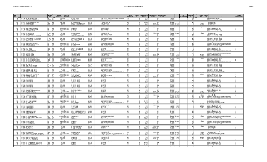|   | ,, |  |
|---|----|--|
| . |    |  |

| Epa<br>Agency<br>Region Code | PWS ID | <b>PWS Name</b>                                                                                         | <b>PWS Type</b><br>Code                               | Source                                          | Owner Type<br>Population<br><b>Served Coun</b><br>Description | <b>Address</b>                                                         | <b>County Served</b>                 | <b>Contaminant Code</b>      | <b>Contaminant Name</b>                                                                                                  | Violation<br><b>Category Code</b> | Violation<br>Id | <b>Compliance Period</b><br><b>Begin Date</b> | <b>End Date</b>                | Compliance Period Enforcement Action<br><b>Type Code</b> | Enforcement Date   RTC Date                 | PWS<br>activation Da | Enforcement<br>Id                     | Compliance<br>Status | Date                            | <b>Violation Type Description</b><br>Code                                                                                     | <b>Is Major</b><br><b>Iation Indica</b> |
|------------------------------|--------|---------------------------------------------------------------------------------------------------------|-------------------------------------------------------|-------------------------------------------------|---------------------------------------------------------------|------------------------------------------------------------------------|--------------------------------------|------------------------------|--------------------------------------------------------------------------------------------------------------------------|-----------------------------------|-----------------|-----------------------------------------------|--------------------------------|----------------------------------------------------------|---------------------------------------------|----------------------|---------------------------------------|----------------------|---------------------------------|-------------------------------------------------------------------------------------------------------------------------------|-----------------------------------------|
| 1 MA                         |        | MA1113003 HOUSATONIC WATER WORK                                                                         | CWS                                                   | Code<br><b>SW</b>                               | 1391 Pr                                                       | MAPLE AVE STE 1                                                        | Berkshire                            |                              | 800 Long Term 2 Enhanced Surface Water Treatment Rule                                                                    |                                   |                 | 4/1/201                                       |                                |                                                          | 5/9/2016                                    |                      | 33   O                                | Code                 |                                 | 20 Failure to Consult with Stat                                                                                               |                                         |
| $1$ MA                       |        | MA1113016 MONUMENT MTN REGIONAL HS<br>1 MA MA1113017 RARD COLLEGE AT SIMONS ROCK                        | NTNCWS GW<br>CWS GW                                   |                                                 | 1700 Local gove<br>500 Private                                | <b>ATTN STEVE SOULE</b><br><b>TTN GERARD NESEL</b>                     | <b>Berkshire</b><br><b>Rerkshire</b> |                              | 5000 Lead and Copper Rule<br><b>700 Groundwater Rule</b>                                                                 | Other                             |                 | 6/1/201<br>7/1/2015                           |                                |                                                          | 12/23/2015<br>3/13/2015                     |                      | $\overline{26}$ c<br>140              |                      |                                 | 52 Follow-up Or Routine LCR Tap M/R<br><b>S</b> Notification State                                                            |                                         |
| 1 MA                         |        | MA1113017 BARD COLLEGE AT SIMONS ROCK                                                                   | cws<br>CWS GW<br>TNCWS GW                             |                                                 | 500 Private                                                   | <b>ATTN GERARD NESEL</b>                                               | Berkshire                            |                              | 700 Groundwater Rule                                                                                                     | lother                            |                 | 9/10/2014                                     |                                |                                                          | 3/13/2015                                   |                      | 140                                   |                      |                                 | 5 Notification, State                                                                                                         |                                         |
| 1MA<br>$1$ MA                |        | MA1113027 THORNEWOOD INN<br>MA1113027 THORNEWOOD IN                                                     |                                                       |                                                 | 38 Private<br>38 Private                                      | ROUTE 7 - 453 STOCKBRIDGE ROAD<br><b>OUTE 7 - 453 STOCKBRIDGE ROAD</b> | Berkshire<br>Berkshire               |                              | 3100 Coliform (TCR)<br>3100 Coliform (TCR                                                                                | Other<br>Other                    |                 | 5/1/2017<br>5/1/2017                          | 5/31/2017 SF<br>5/31/2017 SO   |                                                          | $6/23/2017$ 6/10/20<br>$6/10/2017$ 6/10/20  |                      | 8R<br>9R                              |                      | 6/10/201<br>5/10/201            | 5 Notification, State<br>Notification, State                                                                                  |                                         |
| $1$ MA                       |        | MA1113027 THORNEWOOD INN<br>1 MA MA1113027 THORNEWOOD INN                                               | TNCWS GW<br>TNCWS GW<br>TNCWS GW                      |                                                 | 38 Private<br>38 Private                                      | ROUTE 7 - 453 STOCKBRIDGE ROAD<br>ROUTE 7 - 453 STOCKBRIDGE ROAD       | Berkshire<br>Berkshire               |                              | 3100 Coliform (TCR<br>3100 Coliform (TCR)                                                                                | Other<br>Other                    |                 | 6/1/2017<br>6/1/2017                          | 6/30/2017 SF<br>6/30/2017 SOX  |                                                          | 7/25/2017 7/7/201<br>7/7/2017 7/7/201       |                      | $\frac{1}{10}$ <sub>R</sub><br>11R    |                      | 7/7/2017<br>7/7/2017            | 5 Notification, State<br>5 Notification, State                                                                                |                                         |
| $1$ MA                       |        | MA1117002 HADLEY DPW WATER DIVISION                                                                     | <b>CWS</b>                                            | $\frac{1}{6W}$                                  | 5063 Local gove                                               | .O. BOX 406                                                            | Hampshire                            |                              | 3002 ENTEROCOCC                                                                                                          |                                   |                 | 1/1/2013                                      |                                |                                                          | 5/22/2013                                   |                      | 220                                   |                      |                                 | 34 Monitoring, Source Water (GWR                                                                                              |                                         |
| $1$ MA                       |        | 1 MA MA1117002 HADLEY DPW WATER DIVISION<br>MA1120001 WINGATE AT HAMPDEN                                | CWS<br><b>CWS</b>                                     | $\sqrt{\text{GW}}$                              | 5063 Local gover<br>100 <sub>pr</sub>                         | P.O. BOX 406<br>4 MAIN ST                                              | Hampshire<br>Hampden                 |                              | 3002 ENTEROCOCCI<br>5000 Lead and Copper Rule                                                                            |                                   |                 | 1/1/2013<br>10/1/2005                         |                                |                                                          | 2/25/2013<br>12/28/2005                     |                      | 210<br>10C                            |                      |                                 | 34 Monitoring, Source Water (GWR<br>52 Follow-up Or Routine LCR Tap M/R                                                       |                                         |
| $1$ MA                       |        | MA1120033 REDIKER SOFTWARE                                                                              | NTNCWS GW                                             |                                                 | 65 Private                                                    | WILBRAHAM ROAD                                                         | Hampden                              |                              | 3100 Coliform (TCR)                                                                                                      | Other                             |                 | 6/1/2017                                      | $6/30/2017$ S                  |                                                          | 7/25/2017 7/10/201                          |                      | 7R                                    |                      | 7/10/2011                       | 5 Notification, State                                                                                                         |                                         |
| $1$ MA                       |        | 1 MA MA1120033 REDIKER SOFTWARE<br>MA1121004 JIMINY PEAK RESORT                                         | NTNCWS GW<br>CWS                                      | GW                                              | 65 Private<br>1000 Private                                    | <b>WILBRAHAM ROAD</b><br><b>COREY RD</b>                               | Hampden<br>Berkshire                 |                              | 3100 Coliform (TCR)<br>5000 Lead and Copper Rule                                                                         | Other                             |                 | 6/1/2017<br>6/1/2015                          | 6/30/2017 SO)                  |                                                          | 7/10/2017 7/10/201<br>12/28/2015            |                      | 8R<br>18 0                            |                      | 7/10/2017                       | 5 Notification, State<br>52 Follow-up Or Routine LCR Tap M/R                                                                  |                                         |
| $1$ MA                       |        | MA1121010 VACATION VILLAGE IN THE BERKSHIRE                                                             | VTNCWS GW                                             |                                                 | 400 Private                                                   | O CA SERVICES CORPORATIO                                               | Berkshire                            |                              | 5000 Lead and Copper Rule                                                                                                |                                   |                 | 6/1/2014                                      |                                |                                                          | 3/21/201                                    |                      | 170                                   |                      |                                 | 52 Follow-up Or Routine LCR Tap M/R                                                                                           |                                         |
| $1$ MA<br>$1$ MA             |        | MA1121010 VACATION VILLAGE IN THE BERKSHIRES<br>MA1121010 VACATION VILLAGE IN THE RERKSHIRES            | NTNCWS GW                                             |                                                 | 400 Private<br>400 Private                                    | O CA SERVICES CORPORATION<br>O CA SERVICES CORPORATION                 | Berkshire<br>Berkshire               |                              | 5000 Lead and Copper Rule<br>5000 Lead and Copper Rule                                                                   | <b>MP</b><br>MR                   |                 | 6/1/2014<br>6/1/2015                          |                                |                                                          | 3/6/201<br>3/21/201                         |                      | 100<br>17 <sub>0</sub>                |                      |                                 | 52 Follow-up Or Routine LCR Tap M/R<br>52 Follow-up Or Routine LCR Tap M/R                                                    |                                         |
| $1$ MA                       |        | MA1121010 VACATION VILLAGE IN THE BERKSHIRES                                                            | NTNCWS GW<br>NTNCWS GW                                |                                                 | 400 Private                                                   | O CA SERVICES CORPORATION<br>475 MAIN STREE                            | Berkshire                            |                              | 5000 Lead and Copper Rule                                                                                                |                                   |                 | 6/1/2015                                      |                                |                                                          | 11/10/2015                                  |                      | $\frac{1}{14}$ <sub>0</sub>           |                      |                                 | 52 Follow-up Or Routine LCR Tap M/R                                                                                           |                                         |
| 1 MA<br>$1$ MA               |        | MA1121015   IOKA VALLEY FARM<br>MA1121015 IOKA VALLEY FARM                                              | TNCWS GW                                              |                                                 | 25 Private<br>25 Private                                      | <b>2475 MAIN STREET</b>                                                | Berkshire<br>Berkshire               | 3014 E. COL<br>3014 E. COL   |                                                                                                                          |                                   |                 | 8/1/2011<br>8/1/2011                          |                                |                                                          | 11/15/2011<br>9/21/2011                     |                      | $\frac{6}{5}$ $\frac{0}{0}$           |                      |                                 | 34 Monitoring, Source Water (GWR<br>34 Monitoring, Source Water (GWR)                                                         |                                         |
| $1$ MA<br>$1$ MA             |        | MA1124001 GILBERTVILLE WATER DISTRICT<br>MA1124002 WHEELWRIGHT WATER DISTRICT                           | <b>Icws</b><br><b>CWS</b>                             | $\frac{6W}{6W}$ $\frac{6W}{SW}$ $\frac{SW}{SW}$ | 1000 Local gove<br>300 Local government                       | DO BOY 117<br>O DONALD DUNBAR                                          | Worcester<br>Worcester               |                              | 7000 Consumer Confidence Rule<br>7000 Consumer Confidence Rule                                                           | n <sub>ther</sub><br>Other        |                 | 7/1/2015<br>7/1/2015                          |                                |                                                          | 8/4/2015<br>8/4/2015                        |                      | 270<br>15 <sub>0</sub>                |                      |                                 | <b>71 Consumer Confidence Report Comp</b><br>lete Failure to Rene<br>71 Consumer Confidence Report Complete Failure to Report |                                         |
| 1MA                          |        | MA1127000 HATFIELD WATER DEPT                                                                           | <b>CWS</b>                                            |                                                 | 3411 Local government                                         | 59 MAIN ST                                                             | lampshire                            |                              | 5000 Lead and Copper Rule                                                                                                |                                   |                 | 6/1/2015                                      |                                |                                                          | 3/3/2016                                    |                      | 260                                   |                      |                                 | 52 Follow-up Or Routine LCR Tap M/R                                                                                           |                                         |
| $1$ MA<br>$1$ MA             |        | MA1127000 HATFIELD WATER DEP<br>MA1132006 CAMP TACONIC                                                  | cws                                                   |                                                 | 3411 Local gove<br>200 Private                                | 9 MAIN ST<br>.<br>/O JILL & LOREN KLEINMAN                             | Hampshire<br>Berkshire               | 3014 E. COLI                 | 5000 Lead and Copper Rule                                                                                                |                                   |                 | 6/1/2015<br>6/1/2013                          |                                |                                                          | 12/28/201<br>10/28/2013                     |                      | $\overline{25}$ O<br>40               |                      |                                 | 52 Follow-up Or Routine LCR Tap M/R<br>34 Monitoring, Source Water (GWR)                                                      |                                         |
| $1$ MA                       |        | MA1132006 CAMP TACONIC                                                                                  | TNCWS GW                                              |                                                 | 200 Private                                                   | O III & LOREN KLEINMAN                                                 | <b>Rerkshire</b>                     | 3014 F COLL                  |                                                                                                                          |                                   |                 | 6/1/2013                                      |                                |                                                          | R/1/2013                                    |                      | $\overline{30}$                       |                      |                                 | 34 Monitoring, Source Water (GWR)                                                                                             |                                         |
| 1 MA<br>$1$ MA               |        | MA1132008 ASHMERE WATER SERVICE<br>MA1132008 ASHMERE WATER SERVICE                                      | <b>CWS</b><br>cws                                     | $\frac{\sqrt{3}}{100}$                          | 66 Private<br>66 Private                                      | 0. BOX 843<br>O. BOX 843                                               | Berkshire<br>lerkshire               |                              | 7000 Consumer Confidence Rule<br>7000 Consumer Confidence Rule                                                           | lother<br>Other                   |                 | 7/1/2013<br>7/1/2013                          |                                |                                                          | 12/12/2013<br>9/4/2013                      |                      | 50 0<br>$\overline{510}$              |                      |                                 | 71 Consumer Confidence Report Complete Failure to Report<br>71 Consumer Confidence Report Complete Failure to Report          |                                         |
| $1$ MA                       |        | MA1132009 BISSELVILLE ESTATI                                                                            | CWS GW                                                |                                                 | 74 Private                                                    | 109 WASHINGTON RD                                                      | <b>Berkshire</b>                     |                              | 7000 Consumer Confidence Rule                                                                                            | Other<br><b>14D</b>               |                 | 7/1/2010                                      |                                |                                                          | 8/11/2010                                   |                      | $43$ O                                |                      | 6/7/201                         | 71 Consumer Confidence Report Complete Failure to Report                                                                      |                                         |
| $1$ MA<br>$1$ MA             |        | MA1135014 DIANES VILLA NOVA<br>MA1135014 DIANES VILLA NOVA                                              |                                                       |                                                 | 40 Private<br>40 Private                                      | -5 BRIMFIELD ROAD<br>-5 BRIMFIFI D ROAD                                | Hampden<br>Hampden                   |                              | 3100 Coliform (TCR)<br>3100 Coliform (TCR)                                                                               |                                   |                 | 4/1/2017<br>4/1/2017                          | $4/30/2017$ SO<br>4/30/2017 SF |                                                          | $6/7/2017$ 6/7/201<br>$5/17/2017$ 6/7/2011  |                      | 6R<br>5R                              |                      | 6/7/2017                        | 26 Monitoring, Repeat Minor (TCR)<br>26 Monitoring, Repeat Minor (TCR)                                                        |                                         |
| 1MA                          |        | MA1143003 GATEWAY REGIONAL SCHOOL                                                                       | TNCWS GW<br>NTNCWS GW                                 |                                                 | 727 Local government                                          | <b>ITTLEVILLE RD</b>                                                   | Hampshire                            |                              | 5000 Lead and Copper Rule                                                                                                |                                   |                 | 6/1/2016                                      |                                |                                                          | 7/3/2017 7/3/2017                           |                      | $\frac{1}{28}$ <sub>R</sub>           |                      | 7/3/2017                        | 52 Follow-up Or Routine LCR Tap M/R                                                                                           |                                         |
| $1$ MA<br>1 MA               |        | MA1143003 GATEWAY REGIONAL SCHOOL<br>MA1143011 KNIGHTVILLE DAM WATER SYSTEN                             | NTNCWS GW<br>$NCVS$ $GW$                              |                                                 | 727 Local government<br>100 Federal government                | LITTLEVILLE RD<br>49 KNIGHTVILLE DAM                                   | Hampshire<br>Hampshire               | 3014 E. COLI                 | 5000 Lead and Copper Rule                                                                                                |                                   |                 | 6/1/2016<br>8/1/201                           |                                |                                                          | 12/7/2016 7/3/2017<br>11/8/201              |                      | 26R<br>11 <sup>2</sup>                |                      | 7/3/2017                        | 52 Follow-up Or Routine LCR Tap M/R<br>34 Monitoring, Source Water (GWF                                                       |                                         |
| $1$ MA                       |        | MA1143011 KNIGHTVILLE DAM WATER SYSTEM<br>1 MA MA1148000 LANESBOROUGH FIRE WATER DISTRIC                | TNCWS GW                                              |                                                 | 100 Federal government<br>nent                                | 49 KNIGHTVILLE DAM RD<br>P.O. BOX 1504                                 | Hampshire<br>Berkshire               | 3014 E. COL                  | 7000 Consumer Confidence Rule                                                                                            | MR<br>Other                       |                 | $\frac{8/1/2010}{7/1/2015}$                   |                                |                                                          | 8/23/201<br>8/4/201                         |                      | 10 0<br>190                           |                      |                                 | 34 Monitoring, Source Water (GWR)<br>71 Consumer Confidence Report Complete Failure to Report                                 |                                         |
| $1$ MA                       |        | MA1150000 LEE WATER DEPT                                                                                | CWS SWP<br><b>SW</b><br>cws                           |                                                 | 2324 Local gove<br>5135 Local government                      | 32 MAIN STREET                                                         | Berkshire                            |                              | 5000 Lead and Copper Rule                                                                                                | MR                                |                 | 6/1/2015                                      |                                |                                                          | 12/31/2015                                  |                      | 36 O                                  |                      |                                 | 52 Follow-up Or Routine LCR Tap M/R                                                                                           |                                         |
| $1$ MA<br>$1$ MA             |        | MA1150000 LEE WATER DEPT<br>MA1156001 PEARL RHODES ELEM SCHOOL                                          | cws<br>NTNCWS GW                                      | $\overline{\text{sw}}$                          | 5135 Local government                                         | 32 MAIN STREET<br><b>BRATTLEBORO ROAD</b>                              | Berkshire<br>Franklin                |                              | 5000 Lead and Copper Rule                                                                                                |                                   |                 | 6/1/2015<br>6/1/2015                          |                                |                                                          | 10/30/201                                   |                      | $\frac{1}{35}$ O<br>$31$ <sub>O</sub> |                      |                                 | 52 Follow-up Or Routine LCR Tap M/R                                                                                           |                                         |
| $1$ MA                       |        | MA1159000   ONGMEADOW WATER DEPT                                                                        | CWS SWP                                               |                                                 | 55 Local government<br>14552 Local gov                        | <b>31 PONDSIDE ROAD</b>                                                | Hampden                              |                              | 5000 Lead and Copper Rule<br>5000 Lead and Copper Rule                                                                   | MR                                |                 | 6/1/2015                                      |                                |                                                          | 10/30/2015<br>1/6/2016                      |                      | 290                                   |                      |                                 | 52 Follow-up Or Routine LCR Tap M/R<br>52 Follow-up Or Routine LCR Tap M/R                                                    |                                         |
| 1 MA<br>1 MA                 |        | MA1200005 THE SPRINGS INN AND RESORT<br>MA1203000 MILL RIVER WATER TAKERS                               | TNCWS GW<br>CWS<br>GW                                 |                                                 | 25 Private<br>60 Private                                      | 94 STATE ROAD, ROUTE<br>P.O. BOX 15                                    | Berkshire<br>Berkshire               |                              | 700 Groundwater Rule<br>5000 Lead and Copper Rule                                                                        | Other                             |                 | 4/1/2015<br>6/1/2015                          |                                |                                                          | 7/3/2015<br>3/28/2016                       |                      | 13 0<br>41 0                          |                      |                                 | 5 Notification, State<br>52 Follow-up Or Routine LCR Tap M/R                                                                  |                                         |
|                              |        | 1 MA MA1203000 MILL RIVER WATER TAKERS                                                                  | cws                                                   | GW                                              | 60 Private                                                    | PO ROX 15                                                              | Berkshire                            |                              | 5000 Lead and Copper Rule                                                                                                |                                   |                 | 6/1/2015                                      |                                |                                                          | 1/6/2016                                    |                      | 380                                   |                      |                                 | 52 Follow-up Or Routine LCR Tap M/R                                                                                           |                                         |
| 1 MA<br>$1$ MA               |        | <b>MA120900 MORTH ADAMS WATER DEPT</b><br>MA1209001 HISTORIC VALLEY CAMPGROUND                          | <b>CWS</b><br>TNCWS GW                                | <b>SW</b>                                       | 13000 Local gove<br>200 Local government                      | 10 MAIN ST CITY HAL<br>10 MAIN ST. CITY HALL                           | Berkshire<br>Berkshire               | 3014 E. COLI                 | 400 Stage 1 Disinfectants and Disinfection Byproducts Rule                                                               |                                   |                 | 3/20/2017<br>4/1/2017                         |                                |                                                          | 5/1/2017<br>$6/21/2017$ 6/5/201             |                      | 710<br>19R                            |                      | 6/5/2017                        | 12 Treatment Technique No Certif, Opera<br>34 Monitoring, Source Water (GWR)                                                  |                                         |
| $1$ MA                       |        | MA1209001 HISTORIC VALLEY CAMPGROUND                                                                    | TNCWS GW                                              |                                                 | 200 Local govern<br>ment                                      | 10 MAIN ST. CITY HALL                                                  | Berkshire                            | 3014 E. COLI                 |                                                                                                                          |                                   |                 | 4/1/2017                                      |                                |                                                          | 6/5/2017 6/5/201                            |                      | $\overline{20}$ <sub>R</sub>          |                      | 6/5/2017                        | 34 Monitoring, Source Water (GWR                                                                                              |                                         |
| $1$ MA<br>$1$ MA             |        | MA1214000 NORTHAMPTON WATER DEPT<br>MA1217001 EAST NORTHFIELD WATER CO                                  | $\overline{\text{cws}}$ $\overline{\text{sw}}$<br>cws |                                                 | 28720 Local gover<br>726 Private                              | 25 LOCUST STREET<br>ONE LAMPLIGHTER WA                                 | Hampshire<br>Franklin                | 2950 TTHM                    | 5000 Lead and Copper Rule                                                                                                |                                   |                 | 6/1/2015<br>4/1/2017                          | 6/30/2017 S                    |                                                          | 2/11/201<br>10/30/201                       |                      | 42 0<br>28k                           |                      |                                 | 52 Follow-up Or Routine LCR Tap M/R<br>27 Monitoring and Reporting (DBP)                                                      |                                         |
| $1$ MA                       |        | MA1217001 FAST NORTHFIFLD WATER CO.                                                                     | <b>CWS</b>                                            | $\frac{SW}{SW}$                                 | 726 Private                                                   | ONE LAMPLIGHTER WAY                                                    | Franklin                             |                              | 2456 Total Haloacetic Acids (HAAS)                                                                                       |                                   |                 | 4/1/2017                                      | 4/30/2017 SF                   |                                                          | 10/30/2017                                  |                      | 28K                                   |                      |                                 | 27 Monitoring and Reporting (DBP)                                                                                             |                                         |
| 1 MA<br>$1$ MA               |        | MA1225009 CAMP OVERFLOW<br>MA1225009 CAMP OVERFLOW                                                      | TNCWS GW                                              |                                                 | 160 Private<br>160 Private                                    | <b>ATTN: CRAIG MORTON</b><br><b>ATTN: CRAIG MORTON</b>                 | Berkshire<br>Berkshire               | 3014 E. COLI<br>3014 E. COL  |                                                                                                                          | MR                                |                 | 7/1/2014<br>7/1/2014                          |                                |                                                          | 8/18/2014<br>7/22/2014                      |                      | $\frac{9}{12}$ <sub>0</sub>           |                      |                                 | 34 Monitoring, Source Water (GWR)<br>34 Monitoring, Source Water (GWR)                                                        |                                         |
| $1$ MA<br>$1$ MA             |        | MA1225009 CAMP OVERFLOV<br>MA1225009 CAMP OVERFLOW                                                      | TNCWS GW                                              |                                                 | 160 Private<br>160 Private                                    | <b>TTN: CRAIG MORTON</b><br><b>ATTN: CRAIG MORTON</b>                  | Berkshire<br>Berkshire               | 3014 E. COL<br>3014 F COLL   |                                                                                                                          | MR                                |                 | 7/1/2014<br>R/1/2014                          |                                |                                                          | 10/28/2013<br>9/26/2014                     |                      | 50<br>10 <sub>0</sub>                 |                      |                                 | 34 Monitoring, Source Water (GWR)                                                                                             |                                         |
| $1$ MA                       |        | MA1225009 CAMP OVERFLOW                                                                                 | TNCWS GW                                              |                                                 | 160 Private                                                   | <b>ATTN: CRAIG MORTON</b>                                              | Berkshire                            | 3014 F COLL                  |                                                                                                                          |                                   |                 | R/1/2014                                      |                                |                                                          | 10/28/2013                                  |                      | 50                                    |                      |                                 | 34 Monitoring, Source Water (GWR)<br>34 Monitoring, Source Water (GWR)                                                        |                                         |
| $1$ MA<br>$1$ MA             |        | MA1225009 CAMP OVERFLOW<br>MA1225009 CAMP OVERFLOW                                                      | TNCWS GW<br>TNCWS GW                                  |                                                 | 160 Private<br>160 Private                                    | <b>ATTN: CRAIG MORTON</b><br><b>ATTN: CRAIG MORTON</b>                 | Berkshire<br>Berkshire               | 3014 E. COLI<br>3014 E. COLI |                                                                                                                          |                                   |                 | 7/1/2013<br>7/1/2013                          |                                |                                                          | 7/22/2014<br>10/28/2013                     |                      | 12 0<br>50                            |                      |                                 | 34 Monitoring, Source Water (GWR)<br>34 Monitoring, Source Water (GWR)                                                        |                                         |
| $1$ MA                       |        | MA1225009 CAMP OVERFLOW                                                                                 | TNCWS GW                                              |                                                 | 160 Private                                                   | <b>ATTN: CRAIG MORTON</b>                                              | Berkshire                            | 3014 E. COL                  |                                                                                                                          |                                   |                 | 8/1/2013                                      |                                |                                                          | 7/22/2014                                   |                      | $\overline{12}$ O                     |                      |                                 | 34 Monitoring, Source Water (GWR)                                                                                             |                                         |
| $1$ MA<br>$1$ MA             |        | MA1225009 CAMP OVERELOW<br>MA1225014 MOUNTAIN VIEW CAMPGROUND IN                                        | TNCWS GW<br>TNCWS GW                                  |                                                 | 160 Private<br>50 Private                                     | <b>ATTN: CRAIG MORTON</b><br>/O DIANNE GRANDINE'                       | Berkshire<br>Berkshire               | 3014 E. COL<br>3014 E. COL   |                                                                                                                          | MR                                |                 | 8/1/2013<br>7/1/2016                          |                                |                                                          | 10/28/2013<br>8/19/2016                     |                      | $\frac{5}{25}$ 0                      |                      |                                 | 34 Monitoring, Source Water (GWR)<br>34 Monitoring, Source Water (GWR                                                         |                                         |
|                              |        | 1 MA MA1225047 OTIS RECREATION CENTER                                                                   | TNCWS GW                                              |                                                 | 25 Local government                                           | PO BOX 237                                                             | Berkshire                            | 1040 Nitrate                 |                                                                                                                          | <b>MR</b>                         |                 | 1/1/2017                                      | 3/31/2017 SOX                  |                                                          | 7/24/2017 7/24/201                          |                      | 15R                                   |                      | 7/24/2017                       | 3 Monitoring, Regular                                                                                                         |                                         |
| $1$ MA<br>$1$ MA             |        | MA1225047 OTIS RECREATION CENTE<br>MA1225047 OTIS RECREATION CENTER                                     | TNCWS GW<br>TNCWS GW                                  |                                                 | 25 Local government<br>25 Local government                    | <b>PO BOX 237</b><br><b>PO BOX 237</b>                                 | Berkshire<br>Berkshire               | 1040 Nitrate<br>1041 Nitrite |                                                                                                                          | MR                                |                 | 1/1/2017<br>1/1/2017                          | 3/31/2017 SF<br>3/31/2017 SO   |                                                          | $5/22/2017$ 7/24/201<br>7/24/2017 7/24/201  |                      | 14R<br>15R                            |                      | 7/24/201<br>7/24/2017           | 3 Monitoring, Regular<br>3 Monitoring, Regular                                                                                |                                         |
| $1$ MA                       |        | MA1225047 OTIS RECREATION CENTER                                                                        | TNCWS GW                                              |                                                 | 25 Local gow<br>ment                                          | <b>PO ROX 237</b>                                                      | Berkshire                            | 1041 Nitrite                 |                                                                                                                          |                                   |                 | 1/1/2017                                      | 3/31/2017 SF                   |                                                          | 5/22/2017 7/24/2017                         |                      | 14R                                   |                      | 7/24/2017                       | 3 Monitoring, Regular                                                                                                         |                                         |
| $1$ MA<br>$1$ MA             |        | MA1227003 THREE RIVERS FIRE DISTRICT<br>MA1227003 THREE RIVERS FIRE DISTRICT                            | CWS GW<br>CWS GW                                      |                                                 | 3258 Local government<br>3258 Local government                | PO ROX 182<br><b>PO BOX 182</b>                                        | Hampden<br>Hampden                   |                              | 7000 Consumer Confidence Rule<br>7000 Consumer Confidence Rule                                                           | Other<br>Other                    |                 | 7/1/2017<br>7/1/2017                          |                                |                                                          | 11/21/2017 11/21/201<br>8/16/2017 11/21/201 |                      | 27R<br>26R                            |                      | 1/21/2017<br>11/21/2017         | 71 Consumer Confidence Report Complete Failure to Report<br>71 Consumer Confidence Report Complete Failure to Report          |                                         |
| $1$ MA<br>1 MA               |        | MA1227003 THREE RIVERS FIRE DISTRIC<br>MA1222003 THREE RIVERS FIRE DISTRICT                             | cws                                                   | $\frac{1}{\text{GW}}$                           | 3258 Local government                                         | PO BOX 182<br>PO BOX 182                                               | Hampden                              |                              | 5000 Lead and Copper Rule                                                                                                |                                   |                 | 11/1/2015<br>$\frac{11}{12/2015}$             |                                |                                                          | 2/12/2016                                   |                      | $21$ <sub>O</sub>                     |                      |                                 | 53 Water Quality Parameter M/R                                                                                                |                                         |
| $1$ MA                       |        | MA1227003 THREE RIVERS FIRE DISTRICT                                                                    | CWS GW                                                |                                                 | 258 Local gove<br>3258 Local government                       | PO BOX 182                                                             | Hampden<br>Hampden                   |                              | 5000 Lead and Copper Rule<br>5000 Lead and Copper Rule                                                                   |                                   |                 | 11/1/2015                                     |                                |                                                          | 2/12/2016                                   |                      | 210                                   |                      |                                 | 53 Water Quality Parameter M/R                                                                                                |                                         |
| $1$ MA<br>$1$ MA             |        | MA1227013 THE BARN TAVERN<br>MA1227014 STEAMING TENDER                                                  | TNCWS GW                                              |                                                 | 50 Private<br>100 Private                                     | O GLENN RIDDI<br>28 DEPOT STREET                                       | Hampden<br>Hampden                   |                              | 400 Stage 1 Disinfectants and Disinfection Byproducts Rule<br>3100 Coliform (TCR)                                        |                                   |                 | 1/1/2010<br>$\frac{1}{3/1/2017}$              | 3/31/2017 SOX                  |                                                          | 4/26/201<br>$6/8/2017$ 6/8/201              |                      | 80<br>6R                              |                      | 6/8/2017                        | 12 Treatment Technique No Certif, Operator<br>25 Monitoring, Repeat Major (TCR)                                               |                                         |
| 1 MA                         |        | MA1227014 STEAMING TENDER                                                                               | TNCWS GW                                              |                                                 | 100 Private                                                   | 28 DEPOT STREFT                                                        | Hampden                              |                              | 3100 Coliform (TCR                                                                                                       | MR                                |                 | 3/1/2017                                      | 3/31/2017 SF                   |                                                          | $5/1/2017$ 6/8/2017                         |                      | 5R                                    |                      | 6/8/2017                        | 25 Monitoring, Repeat Major (TCR)                                                                                             |                                         |
| $1$ MA<br>1 MA               |        | MA1227014 STEAMING TENDER<br>MA1227014 STEAMING TENDER                                                  |                                                       |                                                 | 100 Private<br>100 Private                                    | <b>28 DEPOT STREET</b><br>28 DEPOT STREET                              | ampden<br>Hampden                    | 3014 F COLL<br>3014 E. COLI  |                                                                                                                          | MR                                |                 | 3/1/2017<br>3/1/2017                          |                                |                                                          | $6/8/2017$ 6/8/2011<br>5/1/2017 6/8/2017    |                      | 6R<br>5R                              |                      | 6/8/2017<br>6/8/2017            | 34 Monitoring, Source Water (GWR)<br>34 Monitoring, Source Water (GWR)                                                        |                                         |
| 1 <sub>MA</sub>              |        | MA1227015 BRETON ESTATES                                                                                | TNCWS GW                                              |                                                 | 48 Private                                                    | O. BOX 109                                                             | mpden                                |                              | 5000 Lead and Copper Rule                                                                                                |                                   |                 | 6/1/2015                                      |                                |                                                          | 2/11/2016                                   |                      | $\frac{1}{2}$ o                       |                      |                                 | 52 Follow-up Or Routine LCR Tap M/R                                                                                           |                                         |
| $1$ MA<br>$1$ MA             |        | MA1234004 PETERSHAM TOWN HALL<br><b>MA1234004 PETERSHAM TOWN HALL</b>                                   | NCWS GW<br>TNCWS GW                                   |                                                 | 25 Local government<br>25 Local government                    | O PETERSHAM BOARD OF HEALTH<br>O PETERSHAM ROARD OF HEALTH             | Vorcester<br>Worcester               | 3014 E. COLI<br>2014ECO11    |                                                                                                                          | <b>MP</b>                         |                 | 7/1/2013<br>7/1/2012                          |                                |                                                          | 4/17/2019<br>A/11/201A                      |                      | 140<br>130                            |                      |                                 | 34 Monitoring, Source Water (GWR)<br>34 Monitoring, Source Water (GWR)                                                        |                                         |
| $1$ MA<br>$1$ MA             |        | MA1234004 PETERSHAM TOWN HALL<br>MA1234004 PETERSHAM TOWN HALL                                          | TNCWS GW<br>TNCWS GW                                  |                                                 | 25 Local government<br>25 Local government                    | O PETERSHAM ROARD OF HEALTH<br>O PETERSHAM BOARD OF HEALTH             | Worcester<br>Worcester               | 3014 F COLL<br>3014 E. COLI  |                                                                                                                          |                                   |                 | 7/1/2013<br>7/1/2013                          |                                |                                                          | 3/13/2014<br>9/3/2013                       |                      | $11$ <sub>0</sub><br>90               |                      |                                 | 34 Monitoring, Source Water (GWR)<br>34 Monitoring, Source Water (GWR)                                                        |                                         |
| $1$ MA                       |        | MA1236000 PITTSFIELD DPU WATER DEP                                                                      | $\frac{20}{5W}$<br>CWS                                |                                                 | 44737 Local government                                        | 00 NORTH STREET                                                        | erkshire                             |                              | 7000 Consumer Confidence Rule                                                                                            | Other                             |                 | 7/1/2017                                      |                                | sox                                                      | 8/28/2017 8/28/201                          |                      | 37R                                   |                      | 8/28/2017                       | 71 Consumer Confidence Report Complete Failure to Report                                                                      |                                         |
| $1$ MA<br>$1$ MA             |        | MA1236000 PITTSFIELD DPU WATER DEPT<br>MA1249000 RICHMOND CONGREGATIONAL CHURCH                         | cws                                                   |                                                 | 44737 Local government<br>55 Local gover<br>mment             | 00 NORTH STREET<br><b>PO BOY 2</b>                                     | Berkshire<br>Berkshire               | $3014 \text{ F}$ COLL        | 7000 Consumer Confidence Rul                                                                                             | Othe<br><b>MP</b>                 |                 | 7/1/2017<br>11/1/2012                         |                                |                                                          | 8/16/2017 8/28/201<br>12/12/2012            |                      | $\frac{1}{38}$ R<br>30                |                      | 8/28/2017                       | 71 Consumer Confidence Report Complete Failure to Report<br>34 Monitoring, Source Water (GWR)                                 |                                         |
| $1$ MA                       |        | MA1255001 VILLAGE SCHOOL                                                                                | TNCWS GW<br>NTNCWS GW                                 |                                                 | 42 Local government                                           | P.O. BOX 122                                                           | Worcester                            |                              | 5000 Lead and Copper Rule                                                                                                |                                   |                 | 10/1/2015                                     |                                |                                                          | 5/2/2016                                    |                      | 290                                   |                      |                                 | 52 Follow-up Or Routine LCR Tap M/R                                                                                           |                                         |
| $1$ MA<br>$1$ MA             |        | MA1256000 RUSSELL WATER DEPT<br>MA1256000 RUSSELL WATER DER                                             | cws Gw<br>cws                                         |                                                 | 1228 Local government<br>1228 Local government                | P.O. BOX 131<br>P.O. BOX 131                                           | Hampden<br>Hampden                   |                              | 7000 Consumer Confidence Rule<br>7000 Consumer Confidence Rule                                                           | lother<br>Other                   |                 | 7/1/2017<br>7/1/2017                          |                                |                                                          | 8/18/2017 8/18/201<br>8/16/2017 8/18/20:    |                      | 34R<br>33R                            |                      | 8/18/2017<br>8/18/201           | 71 Consumer Confidence Report Complete Failure to Report<br>71 Consumer Confidence Report Complete Failure to Report          |                                         |
| $1$ MA                       |        | MA1256000 RUSSELL WATER DEP                                                                             | cws                                                   | $\frac{60}{6W}$                                 | 1228 Local government                                         | P.O. BOX 131                                                           | Hampden                              |                              | 7000 Consumer Confidence Rule                                                                                            | Other                             |                 | 7/1/2015                                      |                                |                                                          | 8/17/2015                                   |                      | 220                                   |                      |                                 | 71 Consumer Confidence Report Complete Failure to Report                                                                      |                                         |
|                              |        | 1 MA MA1256000 RUSSELL WATER DEPT<br>1 MA MA1260007 NEW BOSTON INN                                      | CWS GW<br>TNCWS GW                                    |                                                 | 1228 Local gov<br>50 Private                                  | <b>PO BOX 131</b><br>ATTN: RARRARA COLORIO                             | Hampden<br>Berkshire                 |                              | 5000 Lead and Conner Rule<br>3100 Coliform (TCR)                                                                         | Other                             |                 | 6/1/2015<br>6/1/2017                          | 6/30/2017 SE                   |                                                          | 2/19/2016<br>7/24/2017 7/10/201             |                      | 250<br>11 R                           |                      | 7/10/2017                       | 52 Follow-up Or Routine LCR Tap M/R<br>5 Notification State                                                                   |                                         |
| $1$ MA                       |        | MA1260007 NEW BOSTON INN                                                                                | TNCWS GW                                              |                                                 | 50 Private                                                    | <b>TTN: BARBARA COLORIC</b>                                            | Berkshire                            |                              | 3100 Coliform (TCR)                                                                                                      | Other                             |                 | 6/1/2017                                      | 6/30/2017 SO)                  |                                                          | 7/10/2017 7/10/201                          |                      | 12R                                   |                      | 7/10/2017                       | 5 Notification, State                                                                                                         |                                         |
| $1$ MA<br>1 MA               |        | MA1260009 M J TUCKERS LLC<br>MA1260009 M J TUCKERS LLC                                                  | TNCWS GW<br>TNCWS GW                                  |                                                 | 25 Private<br>25 Private                                      | 61 SOUTH MAIN STREET<br><b>51 SOUTH MAIN STREET</b>                    | Berkshire<br>Berkshire               | 1040 Nitrate<br>1041 Nitrite |                                                                                                                          |                                   |                 | 10/1/2017<br>10/1/2017                        | 12/31/2017 SF<br>12/31/2017 SI |                                                          | 2/13/2018<br>7/13/2018                      |                      | 9K<br>9k                              |                      |                                 | 3 Monitoring, Regular<br>3 Monitoring, Regular                                                                                |                                         |
| $1$ MA                       |        | 1 MA MA1267010 CUSTOM EXTRUSION INC<br>MA1268011 DRAGON HILL CONDOMINIUM                                | NTNCWS GW                                             |                                                 | 37 Private<br>30 Private                                      | <b>P.O. ROX 517</b><br>99 DRAGON HILL ROAD                             | Berkshire<br>Franklin                |                              | 5000 Lead and Copper Rule<br>5000 Lead and Copper Rule                                                                   |                                   |                 | 6/1/2013<br>6/1/2015                          |                                |                                                          | 4/14/2016<br>4/7/201                        |                      | 80<br>130                             |                      |                                 | 52 Follow-up Or Routine LCR Tap M/R<br>52 Follow-up Or Routine LCR Tap M/R                                                    |                                         |
| $1$ MA                       |        | MA1268016 ARROWHEAD SHOPS                                                                               | CWS GW<br>TNCWS GW                                    |                                                 | 40 Private                                                    | /O GARRY PELLETIER                                                     | Franklin                             |                              | 3100 Coliform (TCR)                                                                                                      |                                   |                 | 6/1/2017                                      | 6/30/2017 SOX                  |                                                          | $6/23/2017$ 6/23/201                        |                      | 4R                                    |                      | 6/23/2017                       | 5 Notification, State                                                                                                         |                                         |
| $1$ MA<br>$1$ MA             |        | MA1275001 SOUTH HADLEY FIRE DISTRICT #2 WATER DEP<br>MA1275001 SOUTH HADLEY FIRE DISTRICT #2 WATER DEPT | cws Gw                                                |                                                 | 5200 Local gove<br>6200 Local gov<br>ment                     | 20 WOODBRIDGE ST<br>20 WOODRRIDGE ST                                   | Hampshire<br>Hampshire               |                              | 400 Stage 1 Disinfectants and Disinfection Byproducts Rule<br>400 Stage 1 Disinfectants and Disinfection Byproducts Rule |                                   |                 | 1/1/2017<br>1/1/2017                          |                                |                                                          | 10/13/2017 5/17/201<br>5/17/2017 5/17/201   |                      | 34R<br>35R                            |                      | 5/17/2017<br>5/17/2017          | 12 Treatment Technique No Certif. Operator<br>12 Treatment Technique No Certif, Operator                                      |                                         |
| $1$ MA                       |        | MA1281000 SPRINGFIELD WATER AND SEWER COMMISSION                                                        | <b>CWS</b>                                            | $\frac{SW}{GW}$                                 | 236763 Local gover                                            | <b>PO BOX 995</b>                                                      | Hampden                              |                              | 5000 Lead and Copper Rule                                                                                                |                                   |                 | 6/1/2015                                      |                                |                                                          | 3/23/2016                                   |                      | 20 0                                  |                      |                                 | 52 Follow-up Or Routine LCR Tap M/R                                                                                           |                                         |
| $1$ MA<br>$1$ MA             |        | MA1283015 WHITE PINES CONDOMINIUMS<br>MA1283015 WHITE PINES CONDOMINIUM!                                | cws<br>cws                                            | GW                                              | 225 Private<br>225 Private                                    | O. BOX 2440<br>0. BOX 2440                                             | Berkshire<br>Berkshire               |                              | 3100 Coliform (TCR)<br>3100 Coliform (TCR)                                                                               |                                   |                 | 4/1/2017<br>4/1/2017                          | 4/30/2017 SO<br>4/30/2017 SF   |                                                          | 6/5/2017<br>$5/17/2017$ 6/5/201             | 6/5/201              | $\frac{1}{27}$ R<br>26R               |                      | $\frac{6}{5}{2017}$<br>6/5/2017 | 23 Monitoring, Routine Major (TCR)<br>23 Monitoring, Routine Major (TCR)                                                      |                                         |
| $1$ MA                       |        | MA1283017 HERON POND AT STOCKBRIDGE                                                                     | <b>CWS</b>                                            | GW                                              | 50 Private                                                    | <b>COMATTHEW HURLEY</b>                                                | Berkshire                            | 3014 F COLL                  |                                                                                                                          | <b>MP</b>                         |                 | R/1/2015                                      |                                |                                                          | 9/25/2015                                   |                      | 180                                   |                      |                                 | 34 Monitoring, Source Water (GWR)                                                                                             |                                         |
| $1$ MA<br>$1$ MA             |        | MA1283017 HERON POND AT STOCKBRIDGE<br>MA1283022 THE STOCKBRIDGE SPORTSMAN CLUB IN                      | CWS GW                                                |                                                 | 50 Private<br>25 Private                                      | O MATTHEW HURLEY<br>$0.$ BOX $6$                                       | Berkshire<br>Berkshire               | 3014 E. COLI                 | 5000 Lead and Copper Rule                                                                                                |                                   |                 | 6/1/2015<br>2/10/2013                         |                                |                                                          | 3/29/201<br>3/13/2014                       |                      | $19$ <sup>O</sup><br>110              |                      |                                 | 52 Follow-up Or Routine LCR Tap M/R<br>34 Monitoring, Source Water (GWR)                                                      |                                         |
| $1$ MA                       |        | MA1283022 THE STOCKBRIDGE SPORTSMAN CLUB INC                                                            | TNCWS GW                                              |                                                 | 25 Private<br>25 Private                                      | 0. BOX 6                                                               | <b>Berkshire</b>                     | 3014 E. COLI                 |                                                                                                                          |                                   |                 | 2/10/2013                                     |                                |                                                          | 1/27/2014                                   |                      | 10 0<br>50                            |                      |                                 | 34 Monitoring, Source Water (GWR)                                                                                             |                                         |
| $1$ MA<br>$1$ MA             |        | MA1283022 THE STOCKBRIDGE SPORTSMAN CLUB INC<br>MA1283022 THE STOCKBRIDGE SPORTSMAN CLUB INC            | TNCWS GW<br><b>TNCWS</b>                              | GW                                              | 25 Private                                                    | $0.$ BOX $6$<br>P.O. BOX 6                                             | Berkshire<br>Berkshire               | 3014 E. COL<br>3014 E. COL   |                                                                                                                          |                                   |                 | 2/10/2013<br>1/1/2013                         |                                |                                                          | 5/21/2013<br>3/13/2014                      |                      | 110                                   |                      |                                 | 34 Monitoring, Source Water (GWR)<br>34 Monitoring, Source Water (GWR                                                         |                                         |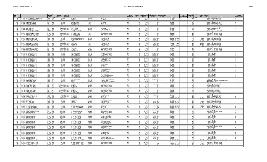| Epa Agency                 | PWS ID<br><b>PWS Name</b>                                                                    | <b>PWS Type</b><br>Source<br>Code Code                 | <b>Owner Type<br/>Description</b><br><b>Served Count</b> | Address                                                     | <b>County Se</b>                     | <b>it Code</b>                             | <b>Contaminant Name</b>                                 | Violation<br><b>Category Code</b> | Violation<br>$\mathsf{Id}$ | <b>Compliance Period</b><br><b>Begin Date</b> | <b>Compliance Period</b><br>End Date | Inforcement Action<br><b>Type Code</b> | nt Date                                 | <b>RTC</b> Date                          | PWS<br><b>Deactivation Date</b> | <b>Enforcemer</b><br>Id          | Compliane<br>Status<br>Code | Resolved<br>Date<br>Code | <b>Violation Type Descriptio</b>                                                                         | Is Major<br>lolation Indicato |
|----------------------------|----------------------------------------------------------------------------------------------|--------------------------------------------------------|----------------------------------------------------------|-------------------------------------------------------------|--------------------------------------|--------------------------------------------|---------------------------------------------------------|-----------------------------------|----------------------------|-----------------------------------------------|--------------------------------------|----------------------------------------|-----------------------------------------|------------------------------------------|---------------------------------|----------------------------------|-----------------------------|--------------------------|----------------------------------------------------------------------------------------------------------|-------------------------------|
| $1$ MA<br>$1$ MA           | MA1283022 THE STOCKBRIDGE SPORTSMAN CLUB INC<br>MA1283022 THE STOCKBRIDGE SPORTSMAN CLUB INC | TNCWS GW<br>TNCWS GW                                   | 25 Private<br>25 Private                                 | $O.$ BOX $6$<br>$D.$ BOX $6$                                | Berkshire<br>rkshire                 | 3014 E. COLI<br>3014 E. COLI               |                                                         |                                   |                            | 1/1/2013<br>1/1/2013                          |                                      |                                        | 1/27/2014<br>5/21/2013                  |                                          |                                 | 10 <sub>0</sub><br>50            |                             |                          | 34 Monitoring, Source Water (GWR)<br>34 Monitoring, Source Water (GWR)                                   |                               |
| $1 M_A$                    | MA1289002 POND RIDGE CONDO ASSN                                                              | GW<br>cws                                              |                                                          | O ROBERT GREEN                                              | anklin                               | 3014 E. COL                                |                                                         |                                   |                            | 8/1/201                                       |                                      |                                        | 11/18/201                               |                                          |                                 | $61$ <sub>O</sub>                |                             |                          | 34 Monitoring, Source Water (GWR)                                                                        |                               |
| $1 M_A$                    | MA1289002 POND RIDGE CONDO ASSN                                                              | GW                                                     | 88 Private                                               | O ROBERT GREEN                                              | ranklin                              | 3014 E. COLI                               |                                                         |                                   |                            | 8/1/2015                                      |                                      |                                        | 9/25/201                                |                                          |                                 | 58                               |                             |                          | 34 Monitoring, Source Water (GWR)                                                                        |                               |
| $1$ MA<br>1 MA             | MA1289002 POND RIDGE CONDO ASSN<br>MA1289002 POND RIDGE CONDO ASSN                           | <b>CWS</b><br>GW<br>cws                                | <b>RR</b> Private<br>88 Private                          | O ROBERT GREEN<br>O ROBERT GREEN                            | ranklin<br>ranklin                   | 3014 F COLL                                | 5000 Lead and Copper Rule                               | MR                                |                            | 9/1/2015<br>6/1/2015                          |                                      |                                        | 11/18/2015<br>3/29/2016                 |                                          |                                 | 610<br>63 C                      |                             |                          | 34 Monitoring, Source Water (GWR)<br>52 Follow-up Or Routine LCR Tap M/R                                 |                               |
| $1$ MA                     | MA1289002 POND RIDGE CONDO ASSN                                                              | $\frac{GW}{GW}$<br>cws                                 | 88 Private                                               | ROBERT GREEN                                                | anklin                               |                                            | 5000 Lead and Copper Rule                               |                                   |                            | 6/1/2015                                      |                                      |                                        | 10/30/201                               |                                          |                                 | 60 0                             |                             |                          | 52 Follow-up Or Routine LCR Tap M/R                                                                      |                               |
| $1$ MA                     | MA1306006 SILVER MEADOW                                                                      | cws<br>GW                                              | 28 Private                                               | O HAP INC                                                   | Hampden                              |                                            | 5000 Lead and Copper Rule                               |                                   |                            | 4/1/2016                                      |                                      |                                        | 10/28/2016                              |                                          |                                 | 13 0                             |                             |                          | 52 Follow-up Or Routine LCR Tap M/R                                                                      |                               |
| $1$ MA<br>1 MA             | MA1309000 WARE WATER DEPT<br>MA1309000 WARE WATER DEPT                                       | <b>CWS</b><br>GW<br>rw<br>lGW                          | 7582 Local gove                                          | 1/2 CHURCH ST<br>1/2 CHURCH ST                              | lampshire                            | 3014 F COLL                                | <b>700 Groundwater Rule</b>                             | Other                             |                            | 7/1/2015<br>7/1/2015                          |                                      |                                        | 9/21/2015<br>9/21/201                   |                                          |                                 | $42$ <sub>O</sub><br>42 0        |                             |                          | 34 Monitoring, Source Water (GWR)<br>5 Notification, State                                               |                               |
| 1 MA                       | MA1309009 HAMPSHIRE EAST PROPERTIES LLC                                                      | NTNCWS GW                                              | 7582 Local gover<br>25 Private                           | <b>40 SOUTH MAIN STREE</b>                                  | lampshire<br>Hampshire               |                                            | 5000 Lead and Copper Rule                               |                                   |                            | 7/1/2009                                      |                                      |                                        | 10/21/2009                              |                                          |                                 | 80                               |                             |                          | 52 Follow-up Or Routine LCR Tap M/R                                                                      |                               |
| $1$ MA                     | MA1312010 WAGON WHEEL CAMPING AREA                                                           | TNCWS GW                                               | 120 Private                                              | 909 WENDELL RD                                              | ranklin                              | 3014 E. COLI                               |                                                         |                                   |                            | 7/1/2013                                      |                                      |                                        | 9/23/2013                               |                                          |                                 | 50                               |                             |                          | 34 Monitoring, Source Water (GWR)                                                                        |                               |
| $1 M_A$                    | MA1312012 WARWICK COMMUNITY SCHOOL                                                           | NTNCWS GW                                              | 100 Local governmen                                      | <b>WINCHESTER ROA</b>                                       |                                      |                                            | 5000 Lead and Copper Rule                               |                                   |                            | 6/1/2015                                      |                                      |                                        | $\frac{3}{10/201}$                      |                                          |                                 | $\frac{1}{2}$                    |                             |                          | 52 Follow-up Or Routine LCR Tap M/F                                                                      |                               |
| $1$ MA<br>$1$ MA           | MA1312012 WARWICK COMMUNITY SCHOOL<br>MA1312012 WARWICK COMMUNITY SCHOOL                     | NTNCWS GW<br>NTNCWS GW                                 | 100 Local government<br>100 Local gover<br>ment          | <b>11 WINCHESTER ROAD</b><br><b>1 WINCHESTER ROAD</b>       | ranklin<br>ranklin                   |                                            | 5000 Lead and Copper Rule<br>5000 Lead and Copper Rule  |                                   |                            | $\frac{6/1/2015}{7/1/2010}$                   |                                      |                                        | 10/30/2015<br>6/23/2011                 |                                          |                                 | $\frac{16}{13}$ 0                |                             |                          | 52 Follow-up Or Routine LCR Tap M/R<br>52 Follow-up Or Routine LCR Tap M/R                               |                               |
| 1 MA                       | MA1326000 WEST STOCKBRIDGE WATER DEPT                                                        | <b>CWS</b><br>GW                                       | 535 Local government                                     | P.O. BOX 525                                                | erkshire                             |                                            | 5000 Lead and Copper Rule                               | MR                                |                            | 6/1/2016                                      |                                      |                                        | 11/18/201                               |                                          |                                 | 60C                              |                             |                          | 52 Follow-up Or Routine LCR Tap M/R                                                                      |                               |
| $1 M_A$                    | <b>MA1331010 HANGING MOUNTAIN FARM</b>                                                       | TNCWS GW                                               | ivate                                                    | <b>RA HANGING MOUNTAIN FARM</b>                             | lampshire                            |                                            |                                                         |                                   |                            | 2/1/201                                       |                                      |                                        | 5/10/201                                |                                          |                                 | $rac{5R}{4R}$                    |                             |                          | 23 Monitoring, Routine Major (TCR                                                                        |                               |
| $1$ MA<br>$1$ MA           | MA1331010 HANGING MOUNTAIN FARM<br>MA1337010 WHATELY WATER DEPARTMENT                        | TNCWS GW                                               | 25 Private                                               | <b>DRA HANGING MOUNTAIN FARM</b><br>4 SANDY LANE            | <b>noshire</b><br>ranklin            | 3100 Coliform (TCR)<br>3100 Coliform (TCR) |                                                         | MR                                |                            | 2/1/2017<br>1/1/2017                          | 2/28/2017 SF<br>1/31/2017 SF         |                                        | $4/26/2017$ 5/10/201                    | $5/1/2017$ $2/13/201$                    |                                 | 15R                              |                             | 5/10/2017<br>2/13/2017   | 23 Monitoring, Routine Major (TCR)                                                                       |                               |
| $1$ MA                     | MA1337010 WHATELY WATER DEPARTMENT                                                           | cws Gw<br>cws Gw                                       | 1500 Local government<br>1500 Local government           | SANDY LAND                                                  | <b>inklin</b>                        | 3100 Coliform (TCR)                        |                                                         |                                   |                            | 1/1/2017                                      | 1/31/2017 SO                         |                                        | 2/13/2017 2/13/20                       |                                          |                                 | 16R                              |                             | 2/13/201                 | 24 Monitoring, Routine Minor (TCR)<br>24 Monitoring, Routine Minor (TCR)                                 |                               |
| $1$ MA                     | MA1337010 WHATELY WATER DEPARTMENT                                                           | CWS GW                                                 | 1500 Local government                                    | SANDY LANE                                                  | ranklin                              | 3100 Coliform (TCR)                        |                                                         |                                   |                            | 3/1/2017                                      | 3/31/2017 SOX                        |                                        |                                         | $6/5/2017$ 6/5/20                        |                                 | $17$ F                           |                             | 6/5/201                  | 24 Monitoring, Routine Minor (TCR                                                                        |                               |
| $1$ MA                     | MA1337010 WHATELY WATER DEPARTMENT                                                           | <b>CWS</b><br>$\sqrt{G}W$                              | 1500 Local government                                    | <b>SANDY LANE</b>                                           | Eranklin                             | 3100 Coliform (TCP)                        |                                                         |                                   |                            | 3/1/2017                                      | $3/31/2017$ cr                       |                                        |                                         | $5/1/2017$ 6/5/201                       |                                 | 15R                              |                             | 6/5/2017                 | 24 Monitoring, Routine Minor (TCR)                                                                       |                               |
| $1$ MA<br>$1$ MA           | MA1337010 WHATELY WATER DEPARTMENT<br>MA1337010 WHATELY WATER DEPARTMENT                     | <b>CWS</b><br>$\sqrt{GW}$<br>CWS GW                    | 1500 Local government<br>1500 Local government           | SANDY LANE<br><b>SANDY LANE</b>                             | ranklin<br>ranklin                   | 3100 Coliform (TCR)<br>3100 Coliform (TCR) |                                                         |                                   |                            | 4/1/2017<br>4/1/2017                          | 4/30/2017 SOX<br>4/30/2017 SF        |                                        |                                         | $6/5/2017$ 6/5/201<br>$5/1/2017$ 6/5/201 |                                 | 17R<br>15R                       |                             | 6/5/2017<br>6/5/2017     | 24 Monitoring, Routine Minor (TCR)<br>24 Monitoring, Routine Minor (TCR)                                 |                               |
| $1$ MA                     | MA1337010 WHATELY WATER DEPARTMENT                                                           | GW<br><b>CWS</b>                                       | 1500 Local government                                    | <b>SANDY LANE</b>                                           | anklin                               |                                            | 5000 Lead and Copper Rule                               |                                   |                            | 6/1/2015                                      |                                      |                                        | 3/23/2016                               |                                          |                                 |                                  |                             |                          | 52 Follow-up Or Routine LCR Tap M/R                                                                      |                               |
| $1$ MA                     | MA1340000 WILLIAMSBURG WATER DEPT                                                            | GW                                                     | 1580 Local government                                    | 1 MAIN ST                                                   | ampshire                             |                                            | 5000 Lead and Copper Rule                               |                                   |                            | 1/1/2008                                      |                                      |                                        | 2/5/2008                                |                                          |                                 | $\frac{10}{35}$ <sub>0</sub>     |                             |                          | 52 Follow-up Or Routine LCR Tap M/R                                                                      |                               |
| $1$ MA<br>1 MA             | MA1341000 WILLIAMSTOWN WATER DEPT<br>MA1341023 THE TACONIC RESTAURANT                        | GW<br><b>CWS</b><br>TNCWS GW                           | 7343 Local gover<br>75 Private                           | <b>75 SIMONDS RD</b><br>161 COLD SPRING RD                  | <b>Berkshire</b><br><b>Berkshire</b> |                                            | 5000 Lead and Copper Rule<br>2981 1.1.1-Trichloroethane |                                   |                            | 6/1/2015<br>10/1/2017                         | 12/31/2017 SF                        |                                        | 3/23/2016<br>2/14/2018                  |                                          |                                 | $\frac{22}{12}$ K                |                             |                          | 52 Follow-up Or Routine LCR Tap M/R                                                                      |                               |
| 1 MA                       | MA1341023 THE TACONIC RESTAURANT                                                             | TNCWS GW                                               | 75 Private                                               | 161 COLD SPRING RD                                          | erkshire                             |                                            | 2985 1.1.2-Trichloroethane                              |                                   |                            | 10/1/2017                                     | 12/31/2017 SF                        |                                        | 2/14/2018                               |                                          |                                 | 12K                              |                             |                          | 3 Monitoring, Regular<br>3 Monitoring, Regular                                                           |                               |
| $1$ MA                     | MA1341023 THE TACONIC RESTAURANT                                                             | TNCWS GW                                               | 75 Private                                               | 161 COLD SPRING RD                                          | Berkshire                            |                                            | 2977 1,1-Dichloroethylene                               |                                   |                            | 10/1/2017                                     | 12/31/2017                           |                                        | 2/14/201                                |                                          |                                 | 12K                              |                             |                          | 3 Monitoring, Regular                                                                                    |                               |
| $1 M_A$                    | MA1341023 THE TACONIC RESTAURANT                                                             | <b>TNCWS</b><br>GW                                     | 75 Private                                               | 161 COLD SPRING RD                                          | erkshire                             |                                            | 2378 1.2.4-Trichlorobenzen                              |                                   |                            | 10/1/201                                      | 12/31/2017                           |                                        | 2/14/2018                               |                                          |                                 | 12                               |                             |                          | 3 Monitoring, Regular                                                                                    |                               |
| $1$ MA<br>$1$ MA           | MA1341023 THE TACONIC RESTAURANT<br>MA1341023 THE TACONIC RESTAURANT                         | TNCWS GW<br>TNCWS GW                                   | 75 Private<br>75 Private                                 | 1161 COLD SPRING RD<br>161 COLD SPRING RD                   | Rerkshire<br>Berkshire               |                                            | 2980 12-Dichloroethane                                  | MR                                |                            | 10/1/2017<br>10/1/2017                        | 12/31/2017 SF<br>12/31/2017 SF       |                                        | 7/14/2018<br>2/14/2018                  |                                          |                                 | 12K<br>12K                       |                             |                          | 3 Monitoring, Regular                                                                                    |                               |
| 1 MA                       | MA1341023 THE TACONIC RESTAURANT                                                             | NCWS GW                                                | 75 Private                                               | <b>161 COLD SPRING RD</b>                                   | erkshire                             | 2990 Benzene                               | 2983 1,2-Dichloropropane                                |                                   |                            | 10/1/2017                                     | 12/31/2017 SF                        |                                        | 2/14/2018                               |                                          |                                 | 12K                              |                             |                          | 3 Monitoring, Regular<br>3 Monitoring, Regular                                                           |                               |
| $1$ MA                     | MA1341023 THE TACONIC RESTAURANT                                                             | TNCWS GW                                               | 75 Private                                               | 1161 COLD SPRING RD                                         | Berkshire                            | 2989 CHLOROBENZENE                         |                                                         |                                   |                            | 10/1/201                                      | 12/31/2017 SF                        |                                        | 2/14/2018                               |                                          |                                 | 12K                              |                             |                          | 3 Monitoring, Regular                                                                                    |                               |
| $1$ MA                     | MA1341023 THE TACONIC RESTAURANT                                                             | TNCWS GW                                               | 75 Private                                               | 161 COLD SPRING RD                                          | Berkshire                            |                                            | 2982 Carbon tetrachlorid                                |                                   |                            | 10/1/201                                      | 12/31/2017 S                         |                                        | 2/14/2018                               |                                          |                                 | 12                               |                             |                          | 3 Monitoring, Regula                                                                                     |                               |
| $1$ MA<br>1 MA             | MA1341023 THE TACONIC RESTAURANT<br>MA1341023 THE TACONIC RESTAURANT                         | TNCWS GW<br>TNCWS GW                                   | 75 Private<br>75 Private                                 | 161 COLD SPRING RD<br>161 COLD SPRING RD                    | Berkshire<br>Berkshire               | 2992 Ethylbenzene                          | 2964 DICHLOROMETHANE                                    |                                   |                            | 10/1/2017<br>10/1/2017                        | 12/31/2017 S<br>12/31/2017 SF        |                                        | 2/14/2018<br>2/14/2018                  |                                          |                                 | 12k<br>12K                       |                             |                          | 3 Monitoring, Regular<br>3 Monitoring, Regular                                                           |                               |
| $1$ MA                     | MA1341023 THE TACONIC RESTAURANT                                                             | TNCWS GW                                               | 75 Private                                               | 161 COLD SPRING RD                                          | Berkshire                            | 1040 Nitrate                               |                                                         |                                   |                            | 10/1/2017                                     | 12/31/2017 SF                        |                                        | 2/14/2018                               |                                          |                                 | 12K                              |                             |                          | 3 Monitoring, Regular                                                                                    |                               |
| 1 MA                       | MA1341023 THE TACONIC RESTAURANT                                                             | TNCWS GW                                               | 75 Private                                               | 161 COLD SPRING RD                                          | <b>Berkshire</b>                     | 1041 Nitrite                               |                                                         |                                   |                            | 10/1/201                                      | 12/31/2017                           |                                        | 2/14/201                                |                                          |                                 | 12K                              |                             |                          | 3 Monitoring, Regular                                                                                    |                               |
| $1$ MA                     | MA1341023 THE TACONIC RESTAURANT                                                             | TNCWS GW                                               | 75 Private<br>75 Private                                 | 161 COLD SPRING RD                                          | Berkshire                            | 2996 Styrene                               |                                                         |                                   |                            | 10/1/2017                                     | 12/31/2017                           |                                        | 2/14/2018                               |                                          |                                 | 12K                              |                             |                          | 3 Monitoring, Regular                                                                                    |                               |
| $1$ MA<br>$1$ MA           | MA1341023 THE TACONIC RESTAURANT<br>MA1341023 THE TACONIC RESTAURAN                          | TNCWS GW<br>TNCWS GW                                   | 75 Private                                               | 161 COLD SPRING RD<br>1161 COLD SPRING RD                   | <b>Berkshire</b><br>erkshire         | 2991 Toluene                               | 2987 Tetrachloroethylene                                |                                   |                            | 10/1/201<br>10/1/201                          | 12/31/2017 S<br>12/31/2017 S         |                                        | 2/14/2018<br>2/14/201                   |                                          |                                 | 12k<br>12K                       |                             |                          | 3 Monitoring, Regula<br>3 Monitoring, Regular                                                            |                               |
| 1 M                        | MA1341023 THE TACONIC RESTAURANT                                                             | TNCWS GW                                               | 75 Private                                               | 161 COLD SPRING RD                                          | Berkshire                            |                                            | 2984 Trichloroethylene                                  |                                   |                            | 10/1/201                                      | 12/31/2017                           |                                        | 2/14/201                                |                                          |                                 | $\frac{12}{12}$ $K$              |                             |                          | 3 Monitoring, Regular                                                                                    |                               |
| $1$ MA                     | MA1341023 THE TACONIC RESTAURANT                                                             | TNCWS GW                                               | 75 Private                                               | 161 COLD SPRING RD                                          | Berkshire                            | 2976 Vinyl chloride                        |                                                         |                                   |                            | 10/1/2017                                     | 12/31/2017 SE                        |                                        | 2/14/2018                               |                                          |                                 |                                  |                             |                          | 3 Monitoring, Regula                                                                                     |                               |
| $1$ MA<br>$\frac{1}{1}$ MA | MA1341023 THE TACONIC RESTAURANT<br>MA1341023 THE TACONIC RESTAURANT                         | TNCWS GW<br>TNCWS GW                                   | 75 Private<br>75 Private                                 | 1161 COLD SPRING RD<br>61 COLD SPRING RD                    | Berkshire<br>erkshire                | 2955 Xylenes Total                         | 2380 cis-1,2-Dichloroethyler                            | MR                                |                            | 10/1/2017<br>10/1/2017                        | 12/31/2017 SE<br>12/31/2017 S        |                                        | 7/14/2018<br>$\frac{1}{2}/14/2018$      |                                          |                                 | 12K<br>$\frac{1}{12}$            |                             |                          | 3 Monitoring, Regular<br>3 Monitoring, Regula                                                            |                               |
| $1$ MA                     | MA1341023 THE TACONIC RESTAURAN                                                              | TNCWS GW                                               | 75 Private                                               | 161 COLD SPRING RD                                          | erkshire                             |                                            | 2968 o-Dichlorobenzene                                  |                                   |                            | 10/1/2017                                     | 12/31/2017 SF                        |                                        | 2/14/201                                |                                          |                                 | 12K                              |                             |                          | 3 Monitoring, Regular                                                                                    |                               |
| $1$ MA                     | MA1341023 THE TACONIC RESTAURANT                                                             | TNCWS GW                                               | 75 Private                                               | 1161 COLD SPRING RD                                         | Berkshire                            |                                            | 2969 p-Dichlorobenzene                                  |                                   |                            | 10/1/2017                                     | 12/31/2017 SF                        |                                        | 7/14/7018                               |                                          |                                 | 12k                              |                             |                          | 3 Monitoring, Regular                                                                                    |                               |
| $1$ MA                     | MA1341023 THE TACONIC RESTAURANT                                                             | TNCWS GW                                               | 75 Private                                               | 1161 COLD SPRING RD                                         | <b>Berkshire</b>                     |                                            | 2979 trans-1,2-Dichloroethyler                          |                                   |                            | 10/1/2017                                     | 12/31/2017 SF                        |                                        | 2/14/2018                               |                                          |                                 | 12                               |                             |                          | 3 Monitoring, Regular                                                                                    |                               |
| $1$ MA<br>1 MA             | MA1341024 1896 HOUSE RESTAURANT<br>MA1341024 1896 HOUSE RESTAURANT                           | TNCWS GU<br>TNCWS GU                                   | 34 Private<br>34 Private                                 | ROUTE <sub>7</sub><br>OUTE <sub>7</sub>                     | erkshire<br>rkshire                  | 7500 Public Notice                         | 200 Surface Water Treatment Rule                        | Other                             |                            | 2/1/2016<br>4/1/2005                          |                                      |                                        | 4/27/2016<br>1/23/200                   |                                          |                                 | 13 <sub>0</sub><br>3 0           |                             |                          | 75 Public Notification Violation for NPDWR Violation<br>42 Failure to Filter (SWTR)                      |                               |
| $1 M_A$                    | MA2011000 ASHBURNHAM WATER DEPARTMEN                                                         | <b>SW</b>                                              | 3680 Local governm                                       | C/O ASHBURNHAM WATER DEPARTMENT                             | orcester                             | 999 Chlorine                               |                                                         |                                   |                            | 1/1/2017                                      | $3/31/2017$ s                        |                                        | 6/13/201                                |                                          |                                 | 69                               |                             |                          | 27 Monitoring and Reporting (DI                                                                          |                               |
| $1$ MA                     | MA2011001 CAMP WELLVILLE INC.                                                                | TNCWS GW                                               | 125 Private                                              | OWELL RD                                                    | rcester                              | 3100 Coliform (TCR)                        |                                                         |                                   |                            | 8/1/2017                                      | 8/31/2017 S                          |                                        | 12/20/201                               |                                          |                                 | $\frac{9K}{590}$                 |                             |                          | 23 Monitoring, Routine Ma<br>$r$ (TCR                                                                    |                               |
| $1$ MA                     | MA2017000 AUBURN WATER DISTRIC                                                               | <b>SWP</b><br><b>CWS</b><br>SWP                        | 11763 Local governmen                                    | 0 BOX 187                                                   | orcester                             |                                            | 5000 Lead and Copper Rule                               |                                   |                            | 6/1/2016                                      |                                      |                                        | 12/20/2011                              |                                          |                                 |                                  |                             |                          | 53 Water Quality Parameter M/R                                                                           |                               |
| 1 MA<br>$1$ MA             | MA2017000 AUBURN WATER DISTRICT<br>MA2017000 AUBURN WATER DISTRIC                            | cws<br><b>SWP</b><br>cws                               | 11763 Local government<br>11763 Local government         | 0. BOX 187<br>$D.$ BOX 18                                   | orcester<br>rcester                  |                                            | 5000 Lead and Copper Rule<br>5000 Lead and Copper Rule  |                                   |                            | 6/1/2016<br>1/1/2017                          |                                      |                                        | 12/20/201<br>12/20/201                  |                                          |                                 | 59 O<br>59C                      |                             |                          | 53 Water Quality Parameter M/R<br>3 Water Quality Parameter M/R                                          |                               |
| $1$ MA                     | MA2017000 AUBURN WATER DISTRIC                                                               | SWP<br><b>CWS</b>                                      | 11763 Local government                                   | 0. BOX 187                                                  | Worcester                            |                                            | 5000 Lead and Copper Rule                               |                                   |                            | 7/1/2017                                      |                                      |                                        | 12/20/201                               |                                          |                                 | $59$ O                           |                             |                          | 53 Water Quality Parameter M/F                                                                           |                               |
| $1$ MA                     | <b>MA2017000 AURURN WATER DISTRICT</b>                                                       | <b>CWS</b><br>SWP                                      | 11763 Local gove<br>ment                                 | 0 BOX 187                                                   | Vorcester                            |                                            | 5000 Lead and Copper Rule                               |                                   |                            | 1/1/2017                                      |                                      |                                        | 12/20/2011                              |                                          |                                 | 590                              |                             |                          | 53 Water Quality Parameter M/R                                                                           |                               |
| $1$ MA<br>$1$ MA           | MA2017000 AURURN WATER DISTRICT                                                              | CWS SWP<br>TNCWS GW                                    | 11763 Local government<br>25 Private                     | 0 BOX 187                                                   | <b>Norcester</b>                     |                                            | 5000 Lead and Copper Rule                               | MR                                |                            | 7/1/2017<br>1/1/2017                          | 1/31/2017 SF                         |                                        | 12/20/2011<br>6/13/201                  |                                          |                                 | 590<br>$\frac{1}{17}$ K          |                             |                          | 53 Water Quality Parameter M/R                                                                           |                               |
| $1$ MA                     | MA2028004 FIRST PARISH CHURCH OF BERLIN<br>MA2028004 FIRST PARISH CHURCH OF BERLIN           | TNCWS GW                                               | 25 Private                                               | 4 CENTRAL STREI<br>4 CENTRAL STREET                         | Norcester<br>forcester               | 3100 Coliform (TCR)<br>3100 Coliform (TCR) |                                                         |                                   |                            | 2/1/2017                                      | 2/28/2017 SF                         |                                        | 6/13/201                                |                                          |                                 | 17K                              |                             |                          | 23 Monitoring, Routine Major (TCR)<br>23 Monitoring, Routine Major (TCR)                                 |                               |
| $\frac{1}{1}$ MA           | MA2028005 RERUN MUNICIPAL CENTER                                                             | TNCWS GW                                               | 40 Local gove                                            | <b>LINDEN ST</b>                                            | rcester                              | 3100 Coliform (TC                          |                                                         |                                   |                            | 2/1/2017                                      | 2/28/2017                            |                                        | 6/13/201                                |                                          |                                 | 16                               |                             |                          | 23 Monitoring, Routine Major (TCR)                                                                       |                               |
| 1 MA                       | MA2028005 BERLIN MUNICIPAL CENTER                                                            | TNCWS GW                                               | 40 Local gove                                            | <b>LINDEN ST</b>                                            | orcester                             | 3014 F COLL                                |                                                         |                                   |                            | 11/1/2015                                     |                                      |                                        | 3/1/201                                 |                                          |                                 | 12 0                             |                             |                          | 34 Monitoring, Source Water (GWR)                                                                        |                               |
| $1$ MA<br>$1$ MA           | MA2034019 BOLTON OFFICE PARK<br>MA2034019 BOLTON OFFICE PARK                                 | NTNCWS GW<br>NTNCWS GW                                 | 250 Private<br>250 Private                               | O CONDYNE LLC<br>O CONDYNE LLO                              | forcester<br>forcester               | 3014 E. COLI<br>3014 E. COLI               |                                                         |                                   |                            | 8/1/2017<br>8/1/2017                          |                                      |                                        | 9/25/2017 9/25/20<br>9/25/2017 9/25/201 |                                          |                                 | 16R<br>17R                       |                             | 9/25/2017<br>9/25/2017   | 34 Monitoring, Source Water (GWR)<br>34 Monitoring, Source Water (GWR)                                   |                               |
| 1 MA                       | MA2034025 NASHOBA PARI                                                                       | NTNCWS GW                                              |                                                          | D. BOX 428                                                  | orcester                             |                                            | 5000 Lead and Copper Rule                               |                                   |                            |                                               |                                      |                                        |                                         |                                          |                                 | 14 <sup>2</sup>                  |                             |                          | 53 Water Quality Parameter M/                                                                            |                               |
| $1$ MA                     | MA2034026 GREAT BROOK FARM                                                                   | TNCWS GW                                               | 75 Private                                               | T2 VIAM 325                                                 | Vorcester                            | 3100 Coliform (TCR)                        |                                                         | <b>MP</b>                         |                            | 4/1/2017                                      | 4/30/2017 SF                         |                                        | $9/25/2017$ 9/25/201                    |                                          |                                 | 11R                              |                             | 9/25/2017                | 23 Monitoring, Routine Major (TCR)                                                                       |                               |
| $1$ MA<br>$1$ MA           | MA2034026 GREAT BROOK FARM                                                                   | TNCWS GW<br>TNCWS GW                                   | 75 Private<br>75 Private                                 | 56 MAIN ST                                                  | Vorcester                            | 3100 Coliform (TCR)                        |                                                         |                                   |                            | 4/1/2017<br>7/1/2017                          | 4/30/2017 SOX                        |                                        | 9/25/2017 9/25/201                      | 9/25/2017 9/25/201                       |                                 | 12R<br>11R                       |                             | 9/25/2017<br>9/25/201    | 23 Monitoring, Routine Major (TCR)                                                                       |                               |
| $1$ MA                     | MA2034026 GREAT BROOK FARM<br>MA2034026 GREAT BROOK FARM                                     | TNCWS GW                                               | 75 Private                                               | 56 MAIN ST<br>56 MAIN ST                                    | orcester<br>forcester                | 3100 Coliform (TCR)<br>3100 Coliform (TCR) |                                                         |                                   |                            | 7/1/201                                       | 7/31/2017 SF<br>7/31/2017 SO)        |                                        |                                         | $9/25/2017$ 9/25/20                      |                                 | 12 R                             |                             | 9/25/201                 | 23 Monitoring, Routine Major (TCR)<br>23 Monitoring, Routine Major (TCR)                                 |                               |
| 1 MA                       | MA2034027 BOLTON COUNTRY MANOR                                                               | CWS GW                                                 | 60 Private                                               | ATTN: EILEEN GRIFFIN WRIGHT                                 | orcester                             | 3014 E. COLI                               |                                                         |                                   |                            | 8/1/2017                                      |                                      |                                        | 9/25/2017 9/25/201                      |                                          |                                 | 16R                              |                             | 9/25/2017                | 34 Monitoring, Source Water (GWR)                                                                        |                               |
| $1$ MA                     | MA2034027 ROLTON COUNTRY MANOR                                                               | cws                                                    | 60 Private                                               | <b>ATTN: FILFEN GRIFFIN WRIGHT</b>                          | orcester                             | 3014 F COLL                                |                                                         |                                   |                            | R/1/2017                                      |                                      |                                        | $9/25/2017$ 9/25/201                    |                                          |                                 | $\frac{17}{5}$ $\frac{R}{K}$     |                             | 9/25/2017                | 34 Monitoring, Source Water (GWR)                                                                        |                               |
| $1$ MA                     | <b>MA2034028 SUNSET RIDGE CONDOMINIUM</b>                                                    | <b>CWS</b>                                             | 42 Private                                               | <b>6 EMMONS STREET</b>                                      | orcester                             | 4020 Radium-22                             |                                                         |                                   |                            | 10/1/2017                                     | 12/31/2017 SF                        |                                        | 3/12/2018                               |                                          |                                 |                                  |                             |                          | 3 Monitoring, Regular                                                                                    |                               |
| $1$ MA<br>$1$ MA           | MA2034028 SUNSET RIDGE CONDOMINIUMS<br>MA2037007 BROOK VILLAGE CONDOMINIUM                   | GW<br><b>CWS</b><br>rw <sub>5</sub><br>$\overline{GW}$ | 42 Private<br>400 Private                                | <b>EMMONS STREET</b><br>SWANSON COURT B-33                  | orcester<br>Middlesex                | 4030 Radium-228                            | 5000 Lead and Copper Rule                               |                                   |                            | 10/1/2017<br>10/1/2017                        | 12/31/2017 SF                        |                                        | 3/12/2018<br>3/12/2018                  |                                          |                                 | 5<br>$\frac{1}{39}$ <sub>C</sub> |                             |                          | 3 Monitoring, Regular<br>52 Follow-up Or Routine LCR Tap M/R                                             |                               |
| $1$ MA                     | MA2037017 LPCH BOXBOROUGH, LP                                                                | NTNCWS GW                                              | 400 Private                                              | 3 STATE ST STH ELOOP                                        | dlesex                               |                                            | 2981 1.1.1-Trichloroethane                              |                                   |                            | 7/1/2017                                      | $9/30/2017$ s                        |                                        | 12/20/201                               |                                          |                                 | 22k                              |                             |                          | 3 Monitoring, Regula                                                                                     |                               |
| $1$ MA                     | MA2037017 LPCH BOXBOROUGH, LP                                                                | NTNCWS GW                                              | 400 Private                                              | 3 STATE ST. 8TH FLOOR                                       | fiddlesex                            |                                            | 2985 1.1.2-Trichloroethane                              |                                   |                            | 7/1/2017                                      | 9/30/2017 SF                         |                                        | 12/20/201                               |                                          |                                 | 22K                              |                             |                          | 3 Monitoring, Regular                                                                                    |                               |
| 1MA<br>$1 M_A$             | MA2037017 LPCH BOXBOROUGH. LP<br>MA2037017 LPCH BOXBOROUGH, LF                               | NTNCWS GW<br>NTNCWS GW                                 | 400 Private<br>400 Private                               | 3 STATE ST. 8TH FLOOR<br>STATE ST, 8TH FLOOR                | dlesex                               |                                            | 2977 1.1-Dichloroethylene<br>2378 1,2,4-Trichlorobenzen |                                   |                            | 7/1/2017<br>7/1/201                           | 9/30/2017 SF<br>9/30/2017 SF         |                                        | 12/20/201<br>12/20/201                  |                                          |                                 | 22k<br>22                        |                             |                          | 3 Monitoring, Regular                                                                                    |                               |
| $1 M_A$                    | MA2037017 LPCH BOXBOROUGH, LP                                                                | NTNCWS GW                                              | 400 Private                                              | <b>3 STATE ST. 8TH FLOOR</b>                                | dlesex<br>ddlesex                    |                                            | 2980 1,2-Dichloroethane                                 |                                   |                            | 7/1/2017                                      | 9/30/2017                            |                                        | 12/20/201                               |                                          |                                 |                                  |                             |                          | 3 Monitoring, Regular<br>3 Monitoring, Regular                                                           |                               |
| $1$ MA                     | MA2037017 I PCH ROXROROUGH I P                                                               | NTNCWS GW                                              | 400 Private                                              | <b>3 STATE ST RTH FLOOR</b>                                 | iddlesex                             |                                            | 2983 1,2-Dichloropropane                                |                                   |                            | 7/1/2017                                      | 9/30/2017 58                         |                                        | 12/20/2011                              |                                          |                                 | 22 K<br>22 K                     |                             |                          | 3 Monitoring, Regular                                                                                    |                               |
| 1 MA                       | MA2037017 LPCH BOXBOROUGH. LP                                                                | NTNCWS GW                                              | 400 Private                                              | 53 STATE ST. 8TH FLOOR                                      | Middlesex                            | 2990 Benzene                               |                                                         | MR                                |                            | 7/1/2017                                      | 9/30/2017 SF                         |                                        | 12/20/2017                              |                                          |                                 | 22 K                             |                             |                          | 3 Monitoring, Regular                                                                                    |                               |
| 1 MA<br>$1$ MA             | <b>MA2037017 LPCH BOXBOROUGH, LP</b>                                                         | NTNCWS GW<br>NTNCWS GW                                 | 400 Private<br>400 Private                               | STATE ST. 8TH FLOOR<br>3 STATE ST, 8TH FLOOR                | dlesex                               |                                            | 2989 CHLOROBENZENE                                      |                                   |                            | 7/1/2017                                      | 9/30/2017 S<br>9/30/2017 SF          |                                        | 12/20/201                               |                                          |                                 | $\overline{22K}$                 |                             |                          | 3 Monitoring, Regula                                                                                     |                               |
| $1$ MA                     | MA2037017 LPCH BOXBOROUGH, LP<br>MA2037017 I PCH ROXROROUGH I P                              | NTNCWS GW                                              | 400 Private                                              | <b>3 STATE ST RTH FLOOR</b>                                 | iddlesex<br>Middlesex                |                                            | 2982 Carbon tetrachloride<br>2964 DICHI OROMETHANE      |                                   |                            | 7/1/2017<br>7/1/2017                          | 9/30/2017 SE                         |                                        | 12/20/201<br>12/20/201                  |                                          |                                 | 22 K<br>22K                      |                             |                          | 3 Monitoring, Regular<br>3 Monitoring, Regul                                                             |                               |
| $1$ MA                     | MA2037017 I PCH BOXBOROUGH IP                                                                | NTNCWS GW                                              | 400 Private                                              | <b>3 STATE ST RTH FLOOR</b>                                 | iddlesex                             | 2992 Ethylbenzene                          |                                                         |                                   |                            | 7/1/2017                                      | 9/30/2017 SF                         |                                        | 12/20/201                               |                                          |                                 | 22 K                             |                             |                          | 3 Monitoring, Regular                                                                                    |                               |
| 1 MA                       | MA2037017 LPCH BOXBOROUGH, LP                                                                | NTNCWS GW                                              | 400 Private                                              | 3 STATE ST, 8TH FLOOR                                       | dlesex                               |                                            | 5000 Lead and Copper Rule                               |                                   |                            | 7/1/2017                                      |                                      |                                        | 12/20/2017                              |                                          |                                 | 22 0                             |                             |                          | 52 Follow-up Or Routine LCR Tap M/R                                                                      |                               |
| $1$ MA<br>$1$ MA           | MA2037017 LPCH BOXBOROUGH, LP<br>MA2037017 LPCH BOXBOROUGH, LF                               | NTNCWS GW<br>NTNCWS GW                                 | 400 Private<br>400 Private                               | 3 STATE ST, 8TH FLOOR<br>STATE ST. 8TH FLOOR                | dlesex<br>llesex                     | 2996 Styrene                               | 2987 Tetrachloroethylen                                 |                                   |                            | 7/1/2017<br>7/1/201                           | 9/30/2017 SF<br>9/30/2017            |                                        | 12/20/201<br>12/20/201                  |                                          |                                 | 22K                              |                             |                          | 3 Monitoring, Regular                                                                                    |                               |
| $1$ MA                     | MA2037017 LPCH BOXBOROUGH, LP                                                                | NTNCWS GW                                              | ang Private                                              | <b>ROOR STATE ST STHELOOP</b>                               | Middlesex                            | 2991 Toluene                               |                                                         | <b>AAD</b>                        |                            | 7/1/2017                                      | 9/30/2017 SF                         |                                        | 12/20/2017                              |                                          |                                 | 22 K                             |                             |                          | 3 Monitoring, Regular<br>3 Monitoring, Regular                                                           |                               |
| 1 MA                       | MA2037017 LPCH BOXBOROUGH. LP                                                                | NTNCWS GW                                              | 400 Private                                              | 3 STATE ST, 8TH FLOOR                                       | ddlesex                              | 2984 Trichloroethylen                      |                                                         |                                   |                            | 7/1/2017                                      | 9/30/2017 S                          |                                        | 12/20/201                               |                                          |                                 | 22k                              |                             |                          | 3 Monitoring, Regula                                                                                     |                               |
| $1$ MA                     | MA2037017 LPCH BOXBOROUGH, LP                                                                | NTNCWS GW                                              | 400 Private                                              | <b>3 STATE ST. 8TH FLOOR</b>                                | dlesex                               | 2976 Vinyl chloride                        |                                                         |                                   |                            | 7/1/2017                                      | 9/30/2017 SF                         |                                        | 12/20/2017                              |                                          |                                 | $\frac{1}{22}$ K                 |                             |                          | 3 Monitoring, Regular                                                                                    |                               |
| 1 MA<br>$1$ MA             | MA2037017 LPCH BOXBOROUGH, LP<br>MA2037017 IPCH ROXROROUGH IP                                | NTNCWS GW<br>NTNCWS GW                                 | 400 Private<br>400 Private                               | <b>3 STATE ST. 8TH FLOOR</b><br><b>3 STATE ST RTH FLOOR</b> | Middlesex<br>fiddlesex               | 2955 Xylenes, Tota                         | 2380 cis-1 2-Dichloroethy                               | MR<br>MR                          |                            | 7/1/201<br>7/1/2017                           | 9/30/2017<br>9/30/2017 58            |                                        | 12/20/201<br>12/20/2017                 |                                          |                                 | $\frac{22}{22}$ K                |                             |                          | 3 Monitoring, Regular<br>3 Monitoring, Regular                                                           |                               |
| $1$ MA                     | MA2037017 I PCH ROXROROUGH IP                                                                | NTNCWS GW                                              | 400 Private                                              | 3 STATE ST RTH FLOOR                                        | Middlesex                            |                                            | 2968 n-Dichlorobenzene                                  | MR                                |                            | 7/1/2017                                      | 9/30/2017 SF                         |                                        | 12/20/2017                              |                                          |                                 | 22K                              |                             |                          | 3 Monitoring, Regula                                                                                     |                               |
| $1$ MA                     | MA2037017 LPCH BOXBOROUGH, LP                                                                | NTNCWS GW                                              | 400 Private                                              | <b>3 STATE ST, 8TH FLOOR</b>                                | dlesex                               |                                            | 2969 p-Dichlorobenzene                                  |                                   |                            | 7/1/2017                                      | 9/30/2017 S                          |                                        | 12/20/201                               |                                          |                                 | $\overline{22}$ K                |                             |                          | 3 Monitoring, Regular                                                                                    |                               |
| $1$ MA<br>$1$ MA           | MA2037017 LPCH BOXBOROUGH. LP<br>MA2037019 ROXBORO EXECUTIVE CENTER                          | NTNCWS GW                                              | 400 Private<br>60 Private                                | 3 STATE ST. 8TH FLOOR                                       | dlesex                               |                                            | 2979 trans-1,2-Dichloroethylene                         |                                   |                            | 7/1/2017                                      | 9/30/2017 SF                         |                                        | 12/20/201<br>6/16/2017 6/16/201         |                                          |                                 | 22                               |                             | 6/16/2017                | 3 Monitoring, Regular                                                                                    |                               |
| 1 MA                       | MA2037019 ROXBORO EXECUTIVE CENTER                                                           | NTNCWS GW<br>NTNCWS GW                                 | 60 Private                                               | ATTN: STEPHEN GOLD, TRUSTEE<br>ATTN: STEPHEN GOLD TRUSTER   | Middlesex<br>dlesex                  |                                            | 5000 Lead and Copper Rule<br>5000 Lead and Copper Rule  |                                   |                            | 1/1/2016<br>1/1/2016                          |                                      |                                        | 10/13/2016 6/16/201                     |                                          |                                 | 40R<br>39R                       |                             | 6/16/2017                | 56 Initial, Follow-up, or Routine Source Water M/R<br>56 Initial, Follow-up, or Routine Source Water M/R |                               |
| $1$ MA                     | MA2037019 BOXBORO EXECUTIVE CENTER                                                           | NTNCWS GW                                              | 60 Private                                               | <b>ITTN: STEPHEN GOLD, TRUSTEE</b>                          | ddlesex                              |                                            | 5000 Lead and Copper Rule                               |                                   |                            | 10/1/2017                                     |                                      |                                        |                                         |                                          |                                 |                                  |                             |                          | 52 Follow-up Or Routine LCR Tap M/R                                                                      |                               |
| $1$ MA                     | MA2037019 BOXBORO EXECUTIVE CENTER                                                           | NTNCWS GW                                              | 60 Private                                               | ATTN: STEPHEN GOLD, TRUSTEE                                 | dlesex                               |                                            | 5000 Lead and Copper Rule                               |                                   |                            | 1/1/2016                                      |                                      |                                        |                                         | 6/16/2017 6/16/201                       |                                 | 40 R                             |                             | 6/16/2017                | 52 Follow-up Or Routine LCR Tap M/R                                                                      |                               |
| $1$ MA                     | MA2037019 BOXBORO EXECUTIVE CENTER                                                           | NTNCWS GW                                              | 60 Private                                               | ATTN: STEPHEN GOLD, TRUSTEI                                 | ddlesex                              |                                            | 5000 Lead and Copper Rule                               |                                   |                            | /1/2016                                       |                                      |                                        | 10/13/2016 6/16/201                     | $6/16/2017$ 6/16/201                     |                                 | $\frac{1}{39}$ R<br>40F          |                             | 6/16/2017<br>6/16/2017   | 52 Follow-up Or Routine LCR Tap M/R<br>53 Water Quality Parameter M/R                                    |                               |
| 1 MA                       | MA2037019 BOXBORO EXECUTIVE CENTER                                                           | NTNCWS GW                                              | 60 Private                                               | ATTN: STEPHEN GOLD, TRUSTEE                                 |                                      |                                            | 5000 Lead and Copper Rul                                |                                   |                            | 1/1/2016                                      |                                      |                                        |                                         |                                          |                                 |                                  |                             |                          |                                                                                                          |                               |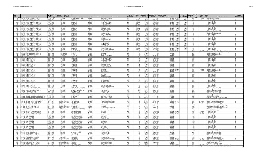|  | ,, |  |
|--|----|--|
|  |    |  |

| Epa Primacy<br>Region Agency<br>PWS ID | <b>PWS Name</b>                                                                                        | <b>PWS Type</b><br>Source<br>Code<br>Code                     | Owner Type<br>Served Count<br><b>Description</b>     | Address                                                        | <b>County Served</b>   | <b>Contaminant Name</b><br><b>Contaminant Code</b>                   | Violation<br><b>Category Code</b> | Id                 | ompliance Perio<br><b>Begin Date</b> | <b>Compliance Period</b><br><b>Enforcement Actio</b><br><b>End Date</b><br><b>Type Code</b> | nforcement Date RTC Date                     | PWS<br><b>Deactivation Dat</b><br>Id | Status | Resolved<br>Date       | iolatior<br>Code<br><b>Violation Type Description</b>                                                                | <b>Is Major</b><br>fiolation Indicat |
|----------------------------------------|--------------------------------------------------------------------------------------------------------|---------------------------------------------------------------|------------------------------------------------------|----------------------------------------------------------------|------------------------|----------------------------------------------------------------------|-----------------------------------|--------------------|--------------------------------------|---------------------------------------------------------------------------------------------|----------------------------------------------|--------------------------------------|--------|------------------------|----------------------------------------------------------------------------------------------------------------------|--------------------------------------|
| 1 MA                                   | MA2037019 BOXBORO EXECUTIVE CENTER                                                                     | NTNCWS GW                                                     |                                                      | <b>ITTN: STEPHEN GOLD, TRUSTEE</b>                             | Middlesex              | 5000 Lead and Copper Rule                                            |                                   |                    | 1/1/201                              |                                                                                             | 10/13/2016 6/16/201                          | $\frac{1}{2}$                        | Code   |                        | 53 Water Quality Parameter M/R                                                                                       |                                      |
| $1$ MA                                 | MA2037027 61 STOW RD BLDG /THE MARKETPLAC                                                              | <b>NTNCWS</b> GW                                              | 25 Private                                           | O ROX 985                                                      | diddlesex<br>Middlesex | 2981 1 1 1-Trichl                                                    |                                   | 99V004             | 4/1/199                              | 6/30/199                                                                                    | 8/31/1999 2/5/2018                           | 7/5/201                              |        |                        | 3 Moni                                                                                                               |                                      |
| $1$ MA<br>$1$ MA                       | MA2037027 61 STOW RD, BLDG, /THE MARKETPLACE<br>MA2037027 61 STOW RD. BLDG./THE MARKETPLACE            | <b>NTNCWS GW</b><br>NTNCWS GW                                 | 25 Private<br>25 Private                             | P.O. BOX 985<br>.O. BOX 985                                    | Middlesex              | 2985 1.1.2-Trichloroethane<br>2977 1,1-Dichloroethylene              |                                   | 99V0048<br>99V0040 | 4/1/1999<br>4/1/1999                 | 6/30/1999 SF<br>6/30/1999 SF                                                                | 8/31/1999 2/5/2018<br>8/31/1999 2/5/2018     | 2/5/2018<br>2/5/2018                 |        |                        | 3 Monitoring, Regular<br>3 Monitoring, Regular                                                                       |                                      |
| $1$ MA                                 | MA2037027 61 STOW RD. BLDG./THE MARKETPLACI                                                            | VTNCWS GW                                                     | 25 Private                                           | .O. BOX 985                                                    | Middlesex              | 2378 1,2,4-Trichlorobenzen                                           |                                   | 99V001             | 4/1/1999                             | $6/30/1999$ S                                                                               | 8/31/1999 2/5/201                            | 2/5/2018                             |        |                        | 3 Monitoring, Regular                                                                                                |                                      |
| $1$ MA<br>$1$ MA                       | MA2037027 61 STOW RD, BLDG, /THE MARKETPLACI<br>MA2037027 61 STOW RD, BLDG, /THE MARKETPLACE           | NTNCWS GW<br>NTNCWS GW                                        | 25 Private<br>25 Private                             | 0. BOX 985<br>P.O. BOX 985                                     | Middlesex<br>Middlesex | 2980 1.2-Dichloroethane<br>2983 1,2-Dichloropropane                  |                                   | ggynna:<br>99V0046 | 4/1/1999<br>4/1/1999                 | 6/30/1999 S<br>6/30/1999 S                                                                  | 8/31/1999 2/5/2018<br>8/31/1999 2/5/2018     | 2/5/2018<br>2/5/2018                 |        |                        | 3 Monitoring, Regular<br>3 Monitoring, Regular                                                                       |                                      |
| 1 MA                                   | MA2037027 61 STOW RD. BLDG./THE MARKETPLACE                                                            | NTNCWS GW                                                     | 25 Private                                           | P.O. BOX 985                                                   | Middlesex              | 2990 Renzene                                                         | MR                                | 99V0053            | 4/1/1999                             | 6/30/1999 SF                                                                                | 8/31/1999 2/5/2018                           | 2/5/2018                             |        |                        | 3 Monitoring, Regular                                                                                                |                                      |
| $1$ MA<br>$1$ MA                       | MA2037027 61 STOW RD, BLDG, /THE MARKETPLAC<br>MA2037027 61 STOW RD. BLDG./THE MARKETPLACI             | NTNCWS GW<br>NTNCWS GW                                        | 25 Private<br>25 Private                             | P.O. BOX 98<br>0. BOX 985                                      | Middlesex<br>Middlesex | 2989 CHLOROBENZEN<br>2982 Carbon tetrachloride                       |                                   | 99V0052<br>99V0045 | 4/1/1999<br>4/1/1999                 | 6/30/1999<br>6/30/1999 SI                                                                   | 2/5/2018<br>8/31/1999<br>8/31/1999 2/5/2018  | 2/5/2018<br>2/5/201                  |        |                        | 3 Monitoring, Regular<br>3 Monitoring, Regular                                                                       |                                      |
| $1$ MA                                 | MA2037027 61 STOW RD BLDG /THE MARKETPLACE                                                             | <b>NTNCWS</b> GW                                              | 25 Private                                           | PO ROX 985                                                     | Middlesex              | 3100 Coliform (TCR)                                                  | MR                                | 98V0354            | 1/1/1998                             | 3/31/1998                                                                                   | $9/30/1998$ 2/5/2018                         | 2/5/2018                             |        |                        | 23 Monito<br><b>Routine Major (TCR</b>                                                                               |                                      |
| 1 MA<br>$1$ MA                         | MA2037027 61 STOW RD BLDG /THE MARKETPLACE<br>MA2037027 61 STOW RD. BLDG./THE MARKETPLACI              | NTNCWS GW<br>VTNCWS GW                                        | 25 Private<br>25 Private                             | PO BOX 985<br>P.O. BOX 985                                     | Middlesex<br>viddlesex | 3100 Coliform (TCR)<br>3100 Coliform (TCR)                           |                                   | 98V0355<br>99V0001 | 4/1/1998<br>7/1/1998                 | $6/30/1998$ s<br>$9/30/1998$ S                                                              | $9/30/1998$ $2/5/2011$<br>3/22/1999 2/5/2018 | 2/5/2018<br>2/5/2018                 |        |                        | 23 Monitoring, Routine Major (TCR)<br>23 Monitoring, Routine Major (TCR)                                             |                                      |
| 1 MA                                   | MA2037027 61 STOW RD. BLDG./THE MARKETPLAC                                                             | VTNCWS GW                                                     | 25 Private                                           | 0. BOX 985                                                     | diddlesex              | 2964 DICHLOROMETHANE                                                 |                                   | 99V003             | 4/1/1999                             | 6/30/1999 SI                                                                                | 8/31/1999 2/5/2018                           | 2/5/2018                             |        |                        | 3 Monitoring, Regular                                                                                                |                                      |
| $1$ MA<br>1MA                          | MA2037027 61 STOW RD, BLDG, THE MARKETPLACI<br>MA2037027 61 STOW RD, BLDG, /THE MARKETPLACE            | NTNCWS GW<br>NTNCWS GW                                        | 25 Private<br>25 Private                             | 0. BOX 985<br>PO ROX 985                                       | Middlesex<br>Middlesex | 2992 Ethylbe<br>1040 Nitrate                                         | MR.                               | gaynns<br>99V0002  | 4/1/1999<br>4/1/1999                 | 6/30/1999<br>6/30/1999 SI                                                                   | 8/31/1999 2/5/2018<br>8/31/1999 2/5/2018     | 2/5/2018<br>2/5/2018                 |        |                        | $2 \sqrt{M}$<br>itoring, Regula<br>3 Monitoring, Regular                                                             |                                      |
| 1 MA                                   | MA2037027 61 STOW RD, BLDG, THE MARKETPLACE                                                            | NTNCWS GW                                                     | 25 Private                                           | .O. BOX 985                                                    | Middlesex              | 2996 Styrene                                                         |                                   | 99V0058            | 4/1/1999                             | 6/30/1999 S                                                                                 | 8/31/1999 7/5/2018                           | 2/5/2018<br>-611                     |        |                        | 3 Monitoring, Regular                                                                                                |                                      |
| $1 M_A$<br>1 MA                        | MA2037027 61 STOW RD. BLDG./THE MARKETPLAC<br>MA2037027 61 STOW RD, BLDG, /THE MARKETPLACI             | NTNCWS GW<br>NTNCWS GW                                        | 25 Private<br>25 Private                             | 0. BOX 985<br>P.O. BOX 985                                     | Middlesex<br>Middlesex | 2987 Tetrachloroethylen<br>2991 Toluene                              |                                   | 99V005<br>gaynns   | 4/1/199<br>4/1/1999                  | $6/30/1999$ S<br>6/30/1999                                                                  | 8/31/1999 2/5/2018<br>8/31/1999 2/5/2018     | 2/5/2018<br>2/5/2018                 |        |                        | 3 Monitoring, Regular<br>3 Monitoring, Regular                                                                       |                                      |
| $1$ MA                                 | MA2037027 61 STOW RD BLDG /THE MARKETPLACE                                                             | NTNCWS GW                                                     | 25 Private                                           | PO ROX 985                                                     | Middlesex              | 2984 Trichloroethylen                                                |                                   | 99V0047            | 4/1/1999                             | 6/30/1999 5                                                                                 | $R/31/1999$ $7/5/2018$                       | 2/5/2018                             |        |                        | 3 Monitoring, Regular                                                                                                |                                      |
| $1$ MA<br>$1$ MA                       | MA2037027 61 STOW RD, BLDG, /THE MARKETPLACE<br>MA2037027 61 STOW RD, BLDG, THE MARKETPLAC             | NTNCWS GW<br>NTNCWS GW                                        | 25 Private<br>25 Private                             | P.O. BOX 985<br>0. BOX 985                                     | Middlesex<br>Middlesex | 2976 Vinyl chloride<br>2955 Xylenes, Total                           | MR                                | 99V0039<br>99V003  | 4/1/1999<br>4/1/1999                 | 6/30/1999 S<br>6/30/1999                                                                    | 8/31/1999 2/5/2018<br>8/31/1999 2/5/2018     | 2/5/2018<br>2/5/2018                 |        |                        | 3 Monitoring, Regular<br>Monitoring, Regular                                                                         |                                      |
| $1$ MA                                 | MA2037027 61 STOW RD. BLDG./THE MARKETPLAC                                                             | VTNCWS GW                                                     | 25 Private                                           | O. BOX 985                                                     | Middlesex              | 2380 cis-1,2-Dichloroethylene                                        |                                   | 99V001             | 4/1/1999                             | 6/30/1999                                                                                   | 8/31/1999 2/5/201                            | 2/5/201                              |        |                        | 3 Monitoring, Regular                                                                                                |                                      |
| $1$ MA<br>$1$ MA                       | MA2037027 61 STOW RD BLDG /THE MARKETPLACE<br>MA2037027 61 STOW RD BLDG /THE MARKETPLACE               | NTNCWS GW<br>NTNCWS GW                                        | 25 Private<br>25 Private                             | PO ROX 985<br>O ROX 985                                        | Middlesex<br>vezelbbiM | 2968 n-Dichlorobenzene<br>2969 n-Dichlorobenzene                     |                                   | 99V0037<br>99V0038 | 4/1/1999<br>4/1/1999                 | 6/30/19995<br>6/30/19995                                                                    | $R/31/1999$ 2/5/2018<br>8/31/1999 2/5/2018   | 2/5/2015<br>2/5/2015                 |        |                        | 3 Monitoring, Regular<br>3 Monitoring, Regular                                                                       |                                      |
| 1 <sub>MA</sub>                        | MA2037027 61 STOW RD, BLDG, /THE MARKETPLACE                                                           | NTNCWS GW                                                     | 25 Private                                           | .O. BOX 985                                                    | Middlesex              | 2979 trans-1,2-Dichloroethylene                                      |                                   | 99V0042            | 4/1/1999                             | 6/30/1999 SI                                                                                | 8/31/1999 2/5/2018                           | 2/5/2018                             |        |                        | Monitoring, Regular                                                                                                  |                                      |
| $1$ MA<br>$1$ MA                       | MA2054003 OVERLOOK LIFE CARE COMMUNITY<br>MA2054003 OVERLOOK LIFE CARE COMMUNITY                       | CWS GW<br>cws<br>$\overline{GW}$                              | 835 Private<br>835 Private                           | <b>88 MASONIC HOME R</b><br><b>RR MASONIC HOME RD</b>          | Norcester<br>Vorcester | 7000 Consumer Confidence Rule<br>7000 Consumer Confidence Rule       | Othe<br>Other                     |                    | 7/1/2017<br>7/1/2017                 |                                                                                             | 9/15/2017 9/15/2013<br>8/16/2017 9/15/2017   | 22R<br>$\frac{1}{23}$ R              |        | 9/15/2017              | 71 Consumer Confidence Report Complete Failure to Report<br>71 Consumer Confidence Report Complete Failure to Report |                                      |
| $1$ MA                                 | MA2054008 CHARLTON COMMUNITY INTEREST INC                                                              | TNCWS GW                                                      | 25 Public/Private                                    | 10 MAIN ST                                                     | Vorcester              | $3014 \text{ F}$ COLL                                                | MR                                |                    | 9/1/2015                             |                                                                                             | 12/1/2015                                    | 30 <sub>0</sub>                      |        |                        | 34 Monitoring, Source Water (GWR)                                                                                    |                                      |
| 1MA<br>1 MA                            | MA2054008 CHARLTON COMMUNITY INTEREST INC.<br>MA2054035 RONNIES SEAFOOD INC                            | TNCWS GW                                                      | 25 Public/Private<br>50 Private                      | 10 MAIN ST<br>57 SUNSET DF                                     | Vorcester<br>Norcester | 3014 E. COLI<br>2981 1,1,1-Trichloroethane                           |                                   |                    | 11/1/2015<br>7/1/2017                | 9/30/2017 SI                                                                                | 3/1/2016<br>12/20/2017                       | $\overline{32}$ O<br>43 K            |        |                        | 34 Monitoring, Source Water (GWR<br>3 Monitoring, Regular                                                            |                                      |
| $1 M_A$                                | MA2054035 RONNIES SEAFOOD IN                                                                           | TNCWS GW                                                      | $50$ Private                                         | 57 SUNSET DR                                                   | forcester              | 2985 1,1,2-Trichloroethane                                           |                                   |                    | 7/1/2017                             | 9/30/2017                                                                                   | 12/20/2017                                   | 43K                                  |        |                        | Monitoring, Regular                                                                                                  |                                      |
| $1$ MA<br>1 MA                         | MA2054035 RONNIES SEAFOOD IN<br>MA2054035 RONNIES SEAFOOD INC                                          | TNCWS GW<br>TNCWS GW                                          | 50 Private<br>50 Private                             | 57 SUNSET DR<br>157 SUNSET DR                                  | Vorcester<br>Worcester | 2977 1,1-Dichloroethylene<br>2378 1.2.4-Trichlorobenzen              | <b>AAD</b><br>MR                  |                    | 7/1/2017<br>7/1/2017                 | 9/30/2017 S<br>9/30/2017 S                                                                  | 12/20/2017<br>12/20/2017                     | 43K<br>43K                           |        |                        | 3 Monitoring, Regular<br>3 Monitoring, Regular                                                                       |                                      |
| $1$ MA                                 | MA2054035 RONNIES SEAFOOD INC                                                                          | TNCWS GW                                                      | 50 Private                                           | 57 SUNSET DR                                                   | Worcester              | 2980 1.2-Dichloroethane                                              |                                   |                    | 7/1/2017                             | 9/30/2017 SI                                                                                | 12/20/2017                                   | 43 K                                 |        |                        | 3 Monitoring, Regular                                                                                                |                                      |
| $1$ MA<br>$1$ MA                       | MA2054035 RONNIES SEAFOOD II<br>MA2054035 RONNIES SEAFOOD IN                                           | TNCWS GW<br>TNCWS GW                                          | 50 Private<br>50 Private                             | <b>57 SUNSET DR</b><br>57 SUNSET DR                            | Vorcester<br>Norcester | 2983 1,2-Dichloropropane<br>2990 Benzene                             |                                   |                    | 7/1/201<br>7/1/2017                  | 9/30/201<br>9/30/2017                                                                       | 12/20/2017<br>12/20/2017                     | 43K<br>43 K                          |        |                        | 3 Monitoring, Regular<br>3 Monitoring, Regular                                                                       |                                      |
| $1$ MA                                 | MA2054035 RONNIES SEAFOOD IN                                                                           | TNCWS GW                                                      | 50 Private                                           | 57 SUNSET DR                                                   | Worcester              | 2989 CHI OROBENZENE                                                  |                                   |                    | 7/1/2017                             | 9/30/2017                                                                                   | 12/20/2017                                   | 43K                                  |        |                        | 3 Monitoring, Regula                                                                                                 |                                      |
| $1$ MA<br>$1$ MA                       | MA2054035 RONNIES SEAFOOD IN<br>MA2054035 RONNIES SEAFOOD IN                                           | TNCWS GW<br>TNCWS GW                                          | 50 Private<br>50 Private                             | 57 SUNSET DR<br><b>57 SUNSET DR</b>                            | Worcester<br>Worcester | 2982 Carbon tetrachloride<br>2964 DICHLOROMETHAN                     | MR.                               |                    | 7/1/2017<br>7/1/2017                 | 9/30/2017 SI<br>9/30/2017                                                                   | 12/20/2017<br>12/20/2017                     | 43 K<br>43K                          |        |                        | 3 Monitoring, Regular<br>3 Monitoring, Regular                                                                       |                                      |
| $1$ MA                                 | MA2054035 RONNIES SEAFOOD IN                                                                           | TNCWS GW                                                      | 50 Private                                           | 57 SUNSET DR                                                   | Worcester              | 3014 E. COLI                                                         |                                   |                    | 8/1/2015                             |                                                                                             | 12/1/2015                                    | 39 O                                 |        |                        | 34 Monitoring, Source Water (GWR                                                                                     |                                      |
| $1$ MA                                 | <b>MA2054035 RONNIES SEAFOOD IN</b><br>1 MA MA2054035 RONNIES SEAFOOD IN                               | TNCWS GW<br>TNCWS GW                                          | 50 Private<br>50 Private                             | 157 SLINSET DR<br>157 SUNSET DR                                | Worcester              | 3014 F COLL<br>3014 E. COLI                                          |                                   |                    | R/1/2017<br>8/1/2017                 |                                                                                             | 9/25/2017 9/25/201<br>9/25/2017 9/25/201     | 42R<br>41R                           |        | 9/25/2017<br>9/25/2017 | 34 Monitoring, Source Water (GWR<br>34 Monitoring, Source Water (GWR                                                 |                                      |
| $1 M_A$                                | MA2054035 RONNIES SEAFOOD IN                                                                           | <b>TNCWS</b><br>GW                                            | 50 Private                                           | 57 SUNSET DF                                                   | <b>Norcester</b>       | 2992 Ethylben:                                                       |                                   |                    | 7/1/201                              | 9/30/2017                                                                                   | 12/20/2017                                   | 43 K                                 |        |                        | 3 Monitoring, Regular                                                                                                |                                      |
| $1$ MA<br>$1$ MA                       | MA2054035 RONNIES SEAFOOD IN<br>MA2054035 RONNIES SEAFOOD IN                                           | TNCWS GW<br>TNCWS GW                                          | 50 Private<br>50 Private                             | 57 SUNSET DR<br>157 SLINSET DR                                 | Vorcester<br>Worcester | 1040 Nitrate<br>1041 Nitrite                                         | <b>ME</b>                         |                    | 7/1/2017<br>7/1/2017                 | 9/30/2017<br>9/30/2017                                                                      | 12/20/2017<br>12/20/201                      | 43K<br>43K                           |        |                        | 3 Monitoring, Regular<br>$2$ Monit                                                                                   |                                      |
| 1 MA                                   | MA2054035 RONNIES SEAFOOD INC                                                                          | TNCWS GW                                                      | 50 Private                                           | 57 SUNSET DR                                                   | Vorcester              | 2996 Styrene                                                         |                                   |                    | 7/1/2017                             | 9/30/2017 S                                                                                 | 12/20/2017                                   | 43K                                  |        |                        | oring, Regula<br>3 Monitoring, Regular                                                                               |                                      |
| $1$ MA<br>$1$ MA                       | MA2054035 RONNIES SEAFOOD INC<br>MA2054035 RONNIES SEAFOOD IN                                          | TNCWS GW<br>TNCWS GW                                          | 50 Private<br>50 Private                             | 57 SUNSET DR<br>57 SUNSET DR                                   | Worcester              | 2987 Tetrachloroethylene<br>2991 Toluene                             |                                   |                    | 7/1/2017<br>7/1/201                  | 9/30/2017 SI<br>9/30/2017                                                                   | 12/20/2017<br>12/20/2017                     | 43 K<br>43K                          |        |                        | 3 Monitoring, Regular                                                                                                |                                      |
| 1 MA                                   | MA2054035 RONNIES SEAFOOD IN                                                                           | TNCWS GW                                                      | 50 Private                                           | 57 SUNSET DR                                                   | Vorcester<br>Vorcester | 2984 Trichloroethyler                                                |                                   |                    | 7/1/2017                             | $9/30/2017$ S                                                                               | 12/20/2017                                   | 43 K                                 |        |                        | 3 Monitoring, Regular<br>3 Monitoring, Regular                                                                       |                                      |
| $1$ MA                                 | MA2054035 RONNIES SEAFOOD IN                                                                           | TNCWS GW                                                      | 50 Private                                           | 157 SLINSET DR                                                 | Worcester              | 2976 Vinyl chloride                                                  |                                   |                    | 7/1/2017                             | 9/30/2017 SF                                                                                | 12/20/2017                                   | 43K                                  |        |                        | 3 Monitoring, Regular                                                                                                |                                      |
| 1 MA<br>1 <sub>MA</sub>                | MA2054035 RONNIES SEAFOOD INC<br>MA2054035 RONNIES SEAFOOD IN                                          | TNCWS GW<br>TNCWS GW                                          | 50 Private<br>50 Private                             | 157 SUNSET DR<br>57 SUNSET DR                                  | Worcester<br>Vorcester | 2955 Xylenes, Total<br>2380 cis-1.2-Dichloroethyl                    | MR                                |                    | 7/1/2017<br>7/1/2017                 | 9/30/2017 SF<br>9/30/2017                                                                   | 12/20/2017<br>12/20/2017                     | 43 K<br>43K                          |        |                        | 3 Monitoring, Regular<br>3 Monitoring, Regular                                                                       |                                      |
| $1$ MA<br>1 MA                         | MA2054035 RONNIES SEAFOOD IN<br>MA2054035 RONNIES SEAFOOD IN                                           | TNCWS GW<br>TNCWS GW                                          | 50 Private<br>50 Private                             | 57 SUNSET DR<br><b>57 SUNSET DR</b>                            | Vorcester              | 2968 o-Dichlorobenzene                                               |                                   |                    | 7/1/2017<br>7/1/2017                 | 9/30/2017<br>9/30/2017 S                                                                    | 12/20/2017<br>12/20/2017                     | 43K<br>43K                           |        |                        | Monitoring, Regular                                                                                                  |                                      |
| $1$ MA                                 | MA2054035 RONNIES SEAFOOD INC                                                                          | TNCWS GW                                                      | 50 Private                                           | 57 SUNSET DR                                                   | Vorcester<br>Vorcester | 2969 p-Dichlorobenzen<br>2979 trans-1,2-Dichloroethylene             |                                   |                    | 7/1/2017                             | $9/30/2017$ s                                                                               | 12/20/2017                                   | 43k                                  |        |                        | 3 Monitoring, Regular<br>3 Monitoring, Regular                                                                       |                                      |
| 1 MA                                   | MA2054053 PRINDLE POND CONFERENCE CENTER                                                               | <b>NTNCWS</b> GW                                              | 305 Private                                          | O SANTOS IRREVOCABLE TRUST                                     | forcester              | 3100 Coliform (TCR)                                                  |                                   |                    | 1/1/2017                             | 1/31/2017 S                                                                                 | 6/13/201                                     | 56k                                  |        |                        | 23 Monitoring, Routine Major (TCR                                                                                    |                                      |
| $1$ MA<br>$1$ MA                       | MA2054053 PRINDLE POND CONFERENCE CENTER<br><b>MA2054053 PRINDLE POND CONFERENCE CENTER</b>            | NTNCWS GW<br>NTNCWS GW                                        | 305 Private<br>305 Private                           | /O SANTOS IRREVOCABLE TRUST<br>O SANTOS IRREVOCABLE TRUST      | Vorcester<br>cester    | 3100 Coliform (TCR)<br>3100 Coliform (TCF                            |                                   | 126<br>127         | 2/1/2017<br>3/1/201                  | 2/28/2017 SI<br>3/31/2017                                                                   | 6/13/201<br>6/13/201                         | 56K<br>56K                           |        |                        | 23 Monitoring, Routine Major (TCR)<br>$22$ Mon <sup>2</sup><br>toring, Routine Major                                 |                                      |
| $1$ MA                                 | MA2077002 BREEZY PICNIC GROUNDS                                                                        | <b>INCWS</b> GW                                               | 100 Private                                          | O RONALD FORGET                                                | Vorcester              | 3100 Coliform (TCR)                                                  |                                   |                    | 6/1/2017                             | 6/30/2017                                                                                   | 9/25/2017                                    | 14K                                  |        |                        | 23 Monitoring, Routine Major (TCR                                                                                    |                                      |
| $1$ MA                                 | 1 MA MA2077002 BREEZY PICNIC GROUNDS<br>MA2077002 BREEZY PICNIC GROUNDS                                | TNCWS GW<br>TNCWS GW                                          | 100 Private<br>100 Private                           | :/O RONALD FORGET<br>/O RONALD FORGET                          | Worcester<br>Worcester | 3100 Coliform (TCR)<br>3100 Coliform (TCR)                           | MR<br>MR                          |                    | 7/1/2017<br>8/1/201                  | 7/31/2017 SF<br>8/31/2017 SI                                                                | 9/25/2017<br>9/25/201                        | 14K<br>14 K                          |        |                        | 23 Monitoring, Routine Major (TCR)<br>23 Monitoring, Routine Major (TCR)                                             |                                      |
| $1$ MA                                 | MA2080003 WEBCO CHEMICAL CORPORATI                                                                     | TNCWS GW                                                      | 75 Private                                           | 0 WEST MAIN S                                                  | Norcester              |                                                                      |                                   |                    | 11/1/201                             | 11/30/201                                                                                   | $\frac{3}{12}{2018}$                         | 28K                                  |        |                        | 23 Monitoring, Routine Major (TCR                                                                                    |                                      |
| $1$ MA<br>$1$ MA                       | MA2080004 SOUTHERN WORC, COUNTY ED, COLLABORATIVE<br>MA2080004 SOUTHERN WORC, COUNTY ED, COLLARORATIVE | NTNCWS GW<br>NTNCWS GW                                        | 60 Private<br>60 Private                             | P.O. BOX 686<br><b>PO ROX 686</b>                              | Vorcester<br>Morcester | 5000 Lead and Copper Rul<br>5000 Lead and Conner Rule                |                                   |                    | 6/1/2015<br>10/1/2015                |                                                                                             | 7/5/2016<br>7/5/2016                         | $21$ <sup>O</sup><br>$21$ n          |        |                        | 53 Water Quality Parameter M/R<br>56 Initial, Follow-up, or Routine Source Water M/F                                 |                                      |
| 1 MA                                   | MA2080004 SOUTHERN WORC, COUNTY ED, COLLABORATIVE                                                      | NTNCWS GW                                                     | 60 Private                                           | P.O. BOX 686                                                   | Worcester              | 5000 Lead and Copper Rule                                            | MR                                |                    | 12/1/2015                            |                                                                                             | 10/13/2016                                   | 220                                  |        |                        | 53 Water Quality Parameter M/R                                                                                       |                                      |
| 1 MA<br>1 MA                           | MA2080004 SOUTHERN WORC, COUNTY ED, COLLABORATIVE<br>MA2097000 FITCHBURG DPW, DIV, OF WATER SUPPLY     | NTNCWS GW<br><b>CWS</b><br>$\frac{1}{\sqrt{2}}$ SW            | 60 Private<br>40545 Local gove                       | $.0.$ BOX $68$<br>1200 PINDGE ROAD                             | Worcester<br>Worcester | 5000 Lead and Copper Rule<br>200 Surface Water Treatment Rule        |                                   |                    | 3/31/201<br>11/1/2017                | 4/1/2017<br>11/30/2017 SO                                                                   | 6/2/201<br>12/19/2017 12/19/201              | 23K<br>$\overline{AB}$               |        | 2/19/2017              | 66 Lead Consumer Notice<br>36 Monitoring of Treatment (SWTR-Filter)                                                  |                                      |
| $1$ MA                                 | MA2097000 FITCHBURG DPW DIV OF WATER SUPPLY                                                            | <b>CWS</b><br>$\frac{1}{\sqrt{3}}$<br>$\overline{\text{cws}}$ | 40545 Local gover                                    | 1200 BINDGE ROAD                                               | Worcester              | 200 Surface Water Treatment Rule                                     | MR                                |                    | $\frac{11/1/2017}{7/1/2015}$         | 11/30/2017 SF.                                                                              | 12/19/2017 12/19/201                         | 41R                                  |        | 12/19/2017             | 36 Monitoring of Treatment (SWTR-Filter)                                                                             |                                      |
| $1$ MA<br>$1$ MA                       | MA2136000 HOLLISTON WATER DEPARTMENT<br>MA2136000 HOLLISTON WATER DEPARTMENT                           | $\sqrt{G}$<br><b>CWS</b>                                      | 14946 Local government<br>14946 Local government     | <b>ATTN: JEFF RITTER</b><br>ATTN: JEFF RITTER                  | viddlesex<br>Middlesex | 5000 Lead and Copper Rule<br>2950 TTHM                               | MCL                               |                    | 1/1/201                              | 3/31/2017 SF                                                                                | 3/1/2016<br>6/14/201                         | $\frac{1}{2}$<br>52K                 |        |                        | 52 Follow-up Or Routine LCR Tap M/R<br>2 Maximum Contaminant Level Violation, Averag                                 |                                      |
| $1$ MA                                 | MA2136000 HOLLISTON WATER DEPARTMENT                                                                   | cws<br>$\sqrt{GW}$                                            | 14946 Local government                               | ATTN: IFFF RITTER                                              | Middlesex              | <b>2050 TTHM</b>                                                     |                                   |                    | 4/10/2017                            |                                                                                             | 6/14/2017                                    | 520                                  |        |                        | 35 Failure Submit IDSE/Subpart V Plan Rpt                                                                            |                                      |
| 1 MA<br>$1$ MA                         | MA2136000 HOLLISTON WATER DEPARTMENT<br>MA2139001 METROWEST YMCA                                       | cws<br>GW<br>NTNCWS GW                                        | 14946 Local gover<br>700 Public/Private              | <b>ATTN: IFFF RITTER</b><br>ATTN: RICHARD A. MACPHERSON        | Middlesex<br>Middlesex | 2456 Total Haloacetic Acids (HAA5<br>5000 Lead and Copper Rule       | MCL                               |                    | 1/1/2017<br>7/1/2016                 | 3/31/2017 SI                                                                                | 6/14/2017<br>5/4/2017                        | 52K<br>310                           |        |                        | 2 Maximum Contaminant Level Violation, Average<br>52 Follow-up Or Routine LCR Tap M/R                                |                                      |
| 1 MA                                   | MA2139006 DEERFIELD ESTATES                                                                            | <b>CWS</b><br>$\frac{GW}{GW}$                                 | 100 Private                                          | 259 TURNPIKE ROAD                                              | viddlesex              | 5000 Lead and Copper Rule                                            | MR                                |                    | 7/1/2015                             |                                                                                             | 7/5/2016                                     | 16 <sub>0</sub>                      |        |                        | 53 Water Quality Parameter M/R                                                                                       |                                      |
| $1$ MA<br>$1$ MA                       | MA2147008 LANCASTER WOODS CONDOMINIUM<br>MA2147008 LANCASTER WOODS CONDOMINIUMS                        | cws<br>cws                                                    | 120 Private<br>120 Private                           | /O HODAN MGNT. LTD<br>O HODAN MGNT ITE                         | forcester<br>forcester | 1041 Nitrite<br>1041 Nitrite                                         |                                   |                    | 4/1/201<br>4/1/201                   | 6/30/2017 SO<br>6/30/2017 SO                                                                | 9/25/2017 9/25/201<br>9/25/2017 9/25/201     | 49R<br>51R                           |        | 9/25/201<br>9/25/2017  | 3 Monitoring, Regular<br>3 Monitoring, Regular                                                                       |                                      |
| $1$ MA                                 | MA2147008 LANCASTER WOODS CONDOMINIUMS                                                                 | $\frac{GW}{GW}$<br>rw <sub>1</sub>                            | 120 Private                                          | O HODAN MGNT ITD                                               | <b>Norcester</b>       | 1041 Nitrite                                                         |                                   |                    | 4/1/2017                             | $6/30/2017$ SI                                                                              | $9/25/2017$ 9/25/201                         | 48R                                  |        | 9/25/2017              | 3 Monitoring, Regular                                                                                                |                                      |
| $1$ MA<br>$1$ MA                       | MA2147009 PRIME TOYOTA RT 2<br>MA2147009 PRIME TOYOTA RT                                               | NTNCWS GW<br>VTNCWS GW                                        | 50 Private<br>50 Private                             | <b>425 PROVIDENCE HIGHWAY</b><br><b>125 PROVIDENCE HIGHWAY</b> | Vorcester<br>forcester | 1074 Antimony, Total<br>1005 Arsenic                                 |                                   |                    | 7/1/2017<br>$\frac{1}{201}$          | 9/30/2017 SI<br>9/30/2017                                                                   | 12/20/2017<br>12/20/201                      | 5K                                   |        |                        | 3 Monitoring, Regular<br>3 Monitoring, Regular                                                                       |                                      |
| 1 MA                                   | MA2147009 PRIME TOYOTA RT                                                                              | VTNCWS GW                                                     | 50 Private                                           | <b>425 PROVIDENCE HIGHWAY</b>                                  | forcester              | 1010 Bariun                                                          |                                   |                    | 7/1/201                              | 9/30/2017                                                                                   | 12/20/2017                                   | 5K                                   |        |                        | 3 Monitoring, Regular                                                                                                |                                      |
| $1$ MA<br>$1$ MA                       | MA2147009 PRIME TOYOTA RT 2<br>MA2147009 PRIME TOYOTA RT                                               | NTNCWS GW<br>NTNCWS GW                                        | 50 Private<br>50 Private                             | 425 PROVIDENCE HIGHWAY<br>425 PROVIDENCE HIGHWAY               | Vorcester<br>Vorcester | 1075 Rendlium Total<br>1024 CYANIDE                                  |                                   |                    | 7/1/2017<br>7/1/2017                 | $9/30/2017$ SI<br>9/30/2017 S                                                               | 12/20/2017<br>12/20/2017                     | $\frac{1}{5}$ K<br>5 K               |        |                        | 3 Monitoring, Regular<br>3 Monitoring, Regular                                                                       |                                      |
| $1$ MA                                 | MA2147009 PRIME TOYOTA RT 2                                                                            | NTNCWS GW                                                     | 50 Private                                           | <b>425 PROVIDENCE HIGHWAY</b>                                  | Norcester              | 1015 Cadmium                                                         |                                   |                    | 7/1/2017                             | 9/30/2017 SF                                                                                | 12/20/2017                                   | 5K                                   |        |                        | 3 Monitoring, Regular                                                                                                |                                      |
| $1$ MA<br>1 MA                         | MA2147009 PRIME TOYOTA RT<br>MA2147009 PRIME TOYOTA RT                                                 | VTNCWS GW<br>TNCWS GW                                         | 50 Private<br>50 Private                             | 425 PROVIDENCE HIGHWAY<br><b>125 PROVIDENCE HIGHWAY</b>        | Worcester<br>rcester   | 1020 Chromium<br>1025 Fluoride                                       |                                   |                    | 7/1/2017<br>7/1/2017                 | $9/30/2017$ S<br>9/30/2017                                                                  | 12/20/2017<br>12/20/2017                     | 5K<br>5K                             |        |                        | 3 Monitoring, Regular<br>3 Monitoring, Regular                                                                       |                                      |
| $1$ MA                                 | MA2147009 PRIME TOYOTA RT                                                                              | NTNCWS GW                                                     | 50 Private                                           | 425 PROVIDENCE HIGHWAY                                         | Vorcester              | 1035 Mercury                                                         | MR                                |                    | 7/1/2017                             | 9/30/2017                                                                                   | 12/20/2017                                   | 5K                                   |        |                        | 3 Monitoring, Regular                                                                                                |                                      |
| $1$ $MA$<br>$1$ MA                     | <b>MA2147009 PRIME TOYOTA RT</b>                                                                       | <b>ITNCWS</b> GW                                              | 50 Private                                           | <b>425 PROVIDENCE HIGHWAY</b>                                  | Vorcester              | 1036 Nickel                                                          |                                   |                    | 7/1/201                              | 9/30/2017                                                                                   | 12/20/2017                                   | 5k                                   |        |                        | 3 Monitoring, Regular                                                                                                |                                      |
| $1$ MA                                 | MA2147009 PRIME TOYOTA RT<br>MA2147009 PRIME TOYOTA RT                                                 | NTNCWS GW<br>NTNCWS GW                                        | 50 Private<br>50 Private                             | 425 PROVIDENCE HIGHWAY<br><b>425 PROVIDENCE HIGHWAY</b>        | Norcester<br>Vorcester | 1045 Seleniun<br>1085 Thallium, Tota                                 |                                   |                    | 7/1/2017<br>7/1/201                  | 9/30/2017 S<br>9/30/2017                                                                    | 12/20/2017                                   | 5K                                   |        |                        | 3 Monitoring, Regular<br>3 Monitoring, Regular                                                                       |                                      |
| $1$ MA<br>$1$ MA                       | MA2147010 KIMBALL FARM AT OAKRIDGE<br>MA2147010 KIMBALL FARM AT OAKRIDGE                               | TNCWS GW<br>TNCWS GW                                          | 500 Private<br>500 Private                           | <b>ATTN: MARYBETH RATTY</b><br>ATTN: MARYBETH RATTY            | Norcester              | 3100 Coliform (TCR)<br>3100 Coliform (TCR)                           |                                   |                    | 1/1/2017<br>2/1/2017                 | 1/31/2017<br>2/28/2017 SF                                                                   | 6/13/2017<br>6/13/2017                       | 14K<br>14K                           |        |                        | 23 Monitoring, Routine Major (TCR                                                                                    |                                      |
| $1$ MA                                 | MA2147010 KIMBALL FARM AT OAKRIDGE                                                                     | TNCWS GW                                                      | 500 Private                                          | <b>ATTN: MARYBETH RATT</b>                                     | Worcester<br>forcester | 3100 Coliform (TCR                                                   | MR                                |                    | 3/1/201                              | 3/31/2017 S                                                                                 | 6/13/2017                                    | 14K                                  |        |                        | 23 Monitoring, Routine Major (TCR)<br>23 Monitoring, Routine Major (TCR)                                             |                                      |
| $1$ MA<br>$1$ MA                       | MA2151013 YWCA CAMP WIND IN THE PINE<br>MA2151013 WWCA CAMP WIND IN THE PINES                          | TNCWS GW<br>TNCWS GW                                          | 100 Private<br>100 Private                           | 1 SALEM SQUAR<br><b>1 SALEM SOLIARE</b>                        | Vorcester<br>Morrester | 3100 Coliform (TCR<br>3100 Coliform (TCR)                            | <b>MP</b>                         |                    | 2/1/201<br>6/1/2017                  | 2/28/2017<br>6/30/2017 SE                                                                   | 6/13/201<br>12/20/2017                       | 3K<br>$\overline{\kappa}$            |        |                        | 23 Monitoring, Routine Major (TCR)<br>23 Monitoring, Routine Major (TCR)                                             |                                      |
| $1$ MA                                 | <b>MA2151013 WWCA CAMP WIND IN THE PINES</b>                                                           | TNCWS GW                                                      | 100 Private                                          | <b>1 SALEM SOLIARE</b>                                         | Worcester              | 3100 Coliform (TCR)                                                  | MR                                |                    | 7/1/2017                             | 7/31/2017 5                                                                                 | 12/20/2017                                   | 5k                                   |        |                        | 23 Monitoring, Routine Major (TCR)                                                                                   |                                      |
| $1$ MA<br>1MA                          | MA2151013 YWCA CAMP WIND IN THE PINES<br>MA2153000 LEOMINSTER WATER DIVISION                           | TNCWS GW                                                      | 100 Private                                          | 1 SALEM SQUAR                                                  | Worcester              | 3100 Coliform (TCR)                                                  |                                   |                    | 8/1/2017                             | 8/31/2017 S<br>3/31/2017 SI                                                                 | 12/20/2017                                   | 5K                                   |        | 4/25/2017              | 23 Monitoring, Routine Major (TCR)                                                                                   |                                      |
| $1$ MA                                 | MA2153000 LEOMINSTER WATER DIVISION                                                                    | cws Sw<br>cws<br><b>SW</b>                                    | 40490 Local government<br>40490 Local govern         | 109 GRAHAM ST<br>109 GRAHAM ST                                 | Norcester<br>Vorcester | 200 Surface Water Treatment Rule<br>200 Surface Water Treatment Rule |                                   |                    | 3/1/2017<br>3/1/2017                 | 3/31/2017 SO                                                                                | 4/25/2017 4/25/201<br>4/25/2017 4/25/201     | 63R<br>64R                           |        | 4/25/2017              | 36 Monitoring of Treatment (SWTR-Filter)<br>36 Monitoring of Treatment (SWTR-Filter)                                 |                                      |
| $1$ MA<br>1 MA                         | MA2174000 MAYNARD DPW WATER DIVISION<br>MA2174000 MAYNARD DPW, WATER DIVISION                          | CWS<br>$\frac{GW}{GW}$<br><b>CWS</b>                          | 10314 Local gover<br>nment<br>10314 Local government | 195 MAIN ST<br>195 MAIN ST                                     | Middlesex<br>Middlesex | 5000 Lead and Copper Rule<br>5000 Lead and Copper Rule               |                                   |                    | 7/1/2015<br>3/31/2017                | 4/1/2017 SF                                                                                 | 12/1/2019<br>6/2/201                         | 50C<br>54K                           |        |                        | 52 Follow-up Or Routine LCR Tap M/R<br>66 Lead Consumer Notice                                                       |                                      |
| $1$ MA                                 | MA2174000 MAYNARD DPW, WATER DIVISION                                                                  | cws<br>GW                                                     | 10314 Local government                               | 195 MAIN ST                                                    | Middlesex              | 5000 Lead and Copper Rule                                            |                                   |                    | 7/1/2017                             |                                                                                             | 12/20/2017                                   | 55 O                                 |        |                        | 52 Follow-up Or Routine LCR Tap M/R                                                                                  |                                      |
| 1 MA                                   | MA2177000 MEDWAY WATER DEPARTMENT                                                                      | cws<br>GW                                                     | 13259 Local government                               | <b>45B HOLLISTON STREET</b>                                    | Norfolk                | 7000 Consumer Confidence Rul                                         | Othe                              |                    | 7/1/2017                             |                                                                                             | 8/16/2017<br>7/6/201                         | 65R                                  |        | 7/6/2017               | 71 Consumer Confidence Report Complete Failure to Repo                                                               |                                      |
| 1 MA                                   | MA2177000 MEDWAY WATER DEPARTMENT                                                                      | cws<br>GW                                                     | 13259 Local gove                                     | 45B HOLLISTON STREET                                           | Norfolk                | 7000 Consumer Confidence Rul                                         |                                   |                    | 7/1/2017                             |                                                                                             | 7/6/2017<br>7/6/201                          | 64R                                  |        | 7/6/2017               | 71 Consumer Confidence Report Complete Failure 1                                                                     |                                      |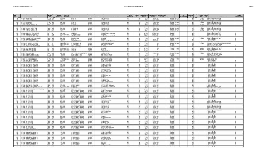|                                        | <b>PWS Name</b>                                                                      | <b>PWS Type</b>                                   | Population<br>Owner Type                | Address                                                      |                               | <b>Contaminant Code</b><br><b>Contaminant Name</b>                    | Violation                      | Violation     | ompliance Period       | <b>Compliance Period</b><br><b>Enforcement Action</b> |                                           | PWS                                            | Resolved               | <b>Violation Type Description</b>                                                                                    | Is Major<br>iolation Indica |
|----------------------------------------|--------------------------------------------------------------------------------------|---------------------------------------------------|-----------------------------------------|--------------------------------------------------------------|-------------------------------|-----------------------------------------------------------------------|--------------------------------|---------------|------------------------|-------------------------------------------------------|-------------------------------------------|------------------------------------------------|------------------------|----------------------------------------------------------------------------------------------------------------------|-----------------------------|
| Epa Primacy<br>Region Agency<br>PWS ID |                                                                                      | Source<br>Code<br>Code                            | <b>Served Cou</b><br><b>Description</b> |                                                              | <b>County Server</b>          |                                                                       | <b>Category Cod</b>            | $\mathsf{Id}$ | <b>Begin Date</b>      | End Date<br><b>Type Code</b>                          | orcement Date RTC Date                    | Status<br>$\mathsf{Id}$<br>Code                | Date                   | Code                                                                                                                 |                             |
| 1 MA<br>1MA                            | MA2179016 IMPERIAL AUTO<br>MA2179016 IMPERIAL AUTO                                   | NTNCWS GW<br><b>NTNCWS</b> GW                     | 120 Private<br>120 Private              | <b>PO BOX 444</b><br>O BOX 444                               | Worcester<br>Norcester        | 3100 Coliform (TCR)<br>3100 Coliform (TCR                             |                                |               | 4/1/2017<br>4/1/201    | 4/30/2017 SI<br>4/30/2017 SO                          | 9/25/2017 9/25/201<br>9/25/2017 9/25/201  | 16 R<br>17R                                    | 1/25/2017<br>9/25/2017 | 23 Monitoring, Routine Major (TCR)<br>23 Monitoring, Routine Major (TCR)                                             |                             |
| $1$ MA                                 | MA2179016 IMPERIAL AUTO                                                              | NTNCWS GW                                         | 120 Private                             | <b>PO BOY 444</b>                                            | Worcester                     | 3100 Coliform (TCP                                                    | <b>NAD</b>                     |               | 5/1/2017               | 5/31/2017 SF                                          | 9/25/2017 9/25/2017                       | 16R                                            | 9/25/2017              | 23 Monitoring, Routine Major (TCR)                                                                                   |                             |
| $1$ MA<br>$1$ MA                       | MA2179016 IMPERIAL AUTO<br>MA2179016 IMPERIAL AUTO                                   | NTNCWS GW<br><b>NTNCWS GW</b>                     | 120 Private<br>120 Private              | <b>PO ROX 444</b><br>PO BOX 444                              | Vorcester<br>Vorcester        | 3100 Coliform (TCR)<br>3100 Coliform (TCR)                            | MR                             |               | 5/1/2017<br>7/1/2017   | 5/31/2017 507<br>7/31/2017 SF                         | 9/25/2017 9/25/201<br>12/20/2017          | 17R<br>18K                                     | 9/25/2017              | 23 Monitoring, Routine Major (TCR)<br>23 Monitoring, Routine Major (TCR)                                             |                             |
| 1 MA                                   | MA2186003 CLEARVIEW COUNTRY CLUB                                                     | TNCWS GW                                          | 150 Private                             | <b>66 PARK HILL AV</b>                                       | Vorcester                     | 3100 Coliform (TCR)                                                   |                                |               | 1/1/2017               | 1/31/2017 SO                                          | 9/26/2017 9/26/201                        | 35R                                            | 9/26/201               | 23 Monitoring, Routine Major (TCR)                                                                                   |                             |
| $1$ MA                                 | MA2186003 CLEARVIEW COUNTRY CLUB<br>1 MA MA2186003 CLEARVIEW COUNTRY CLUB            | TNCWS GW<br>TNCWS GW                              | 150 Private<br>150 Private              | 6 PARK HILL AVE<br>66 PARK HILL AVE                          | Vorcester<br><b>Norcester</b> | 3100 Coliform (TCR<br>3100 Coliform (TCR                              | <b>AAD</b>                     |               | 1/1/201                | 1/31/2017 SI<br>2/28/2017 SO                          | 6/13/2017 9/26/201<br>9/26/2017 9/26/2017 | $\frac{1}{32}$ R<br>35R                        | 9/26/2017<br>9/26/2017 | 23 Monitoring, Routine Major (TCR)                                                                                   |                             |
| $1$ MA                                 | MA2186003 CLEARVIEW COUNTRY CLUE                                                     | TNCWS GW                                          | 150 Private                             | <b>66 PARK HILL AVE</b>                                      | Worcester                     | 3100 Coliform (TCR                                                    |                                |               | 2/1/2017<br>2/1/2017   | 2/28/2017 SF                                          | 6/13/2017 9/26/2011                       | 32R                                            | 9/26/2017              | 23 Monitoring, Routine Major (TCR)<br>23 Monitoring, Routine Major (TCR)                                             |                             |
| $1$ MA<br>$1$ MA                       | MA2186003 CLEARVIEW COUNTRY CLUB<br>MA2186003 CLEARVIEW COUNTRY CLUE                 | TNCWS GW                                          | 150 Private<br>150 Private              | 66 PARK HILL AVE<br><b>66 PARK HILL AV</b>                   | Worcester                     | 3100 Coliform (TCR)<br>3100 Coliform (TCR                             | MR<br>$\overline{\mathsf{MR}}$ |               | 3/1/2017<br>3/1/201    | 3/31/2017 SO<br>3/31/2017                             | 9/26/2017 9/26/2017<br>6/13/2017 9/26/20  | 35R<br>32R                                     | 9/26/2017              | 23 Monitoring, Routine Major (TCR)                                                                                   |                             |
| $1$ MA                                 | MA2216000 WHITINSVILLE WATER COMPAN                                                  | TNCWS GW<br>CWS GU                                | 7721 Private                            | 0. BOX 188                                                   | Vorcester<br>Worcester        | 2950 TTHM                                                             |                                |               | 10/1/2017              | 12/31/2017                                            | 3/12/2018                                 | 24K                                            | 9/26/2017              | 23 Monitoring, Routine Major (TCR<br>27 Monitoring and Reporting (DBP)                                               |                             |
| $1$ MA                                 | <b>MA2216000 WHITINSVILLE WATER COMPANY</b>                                          | <b>CWS</b><br><b>IGU</b>                          | 7721 Private                            | PO ROX 188                                                   | Worcester                     | 2456 Total Haloacetic Acids (HAAS)                                    | MR                             |               | 10/1/2017              | 12/31/2017 5                                          | 3/12/2018                                 | 24K                                            |                        | 27 Monitoring and Reporting (DBP)                                                                                    |                             |
| $1$ MA<br>1 MA                         | MA2216006 NORTHBRIDGE WATER DIVISION<br>MA2216006 NORTHBRIDGE WATER DIVISION         | GUP<br>CWS<br>GUP<br>CWS                          | 7383 Local gove<br>7383 Local gove      | ATTN: RANDY SWIGOI<br><b>ITTN: RANDY SWIGOF</b>              | Norcester<br>Vorcester        | 2950 TTHM<br>2456 Total Haloacetic Acids (HAA5)                       | MR                             |               | 10/1/2017<br>10/1/2017 | 12/31/2017 SI<br>12/31/2017 S                         | 3/12/2018<br>3/12/2018                    | 14K<br>14 K                                    |                        | 27 Monitoring and Reporting (DBP)<br>27 Monitoring and Reporting (DBP)                                               |                             |
| $1$ MA                                 | MA2222002 PINE ACRES FAMILY CAMPING RESOF                                            | TNCWS GW                                          | 150 Private                             | 03 BECHAN ROAD                                               | Norcester                     | 3014 E. COLI                                                          | MR                             |               | 8/1/2017               |                                                       | 9/25/2017 9/25/2                          | 9R                                             |                        | 34 Monitoring, Source Water (GWF                                                                                     |                             |
| $1$ MA<br>$1$ MA                       | <b>MA2222002 PINE ACRES FAMILY CAMPING RESORT</b><br>MA2222003 LAKE DEAN CAMPGROUND  | TNCWS GW<br>TNCWS GW                              | 150 Private<br>100 Private              | 203 RECHAN ROAD<br>PO BOX 226                                | Vorcester<br>Worcester        | 3014 F COLL<br>1040 Nitrate                                           | MR                             |               | R/1/201<br>7/1/2017    | 9/30/2017 SF                                          | $9/25/2017$ $9/25/201$<br>12/20/2017      | $\overline{\mathbf{R}}$<br>10K                 | 9/25/2017              | 34 Moni<br>Source Water (GWF<br>oring,<br>3 Monitoring, Regular                                                      |                             |
| $1$ MA                                 | MA2226007 TORIA HEIGHTS CONDOMINIU                                                   | CWS<br>GW                                         | 60 Private                              | O PROPERTY SHOP. IN                                          | <b>Norcester</b>              | 4000 Gross Alpha, Excl. Radon and U                                   |                                |               | 4/1/2017               | $6/30/2017$ S                                         | 9/25/201                                  | 21K                                            |                        | 3 Monitoring, Regular                                                                                                |                             |
| $1$ MA<br>1 <sub>MA</sub>              | MA2257000 RUTLAND WATER DEPARTMENT<br>MA2257000 RUTLAND WATER DEPARTMENT             | $\overline{\text{CWS}}$<br>$\overline{\text{sw}}$ | 5148 Local govern<br>5148 Local gover   | 7 POMMOGUSSETT RD<br><b>7 POMMOGLISSETT PD</b>               | Vorcester<br>Worcester        | 7000 Consumer Confidence Rule<br><b>7000 Consumer Confidence Rule</b> | Other<br>Othe                  |               | 7/1/2017<br>7/1/2017   |                                                       | 8/27/2017 8/27/201<br>R/16/2017 8/27/201  | $\frac{1}{20}$ <sub>R</sub><br>$\frac{1}{31R}$ | 8/27/2017<br>8/27/2017 | 71 Consumer Confidence Report Complete Failure to Report<br>71 Consumer Confidence Report Com<br>ete Failure to Repo |                             |
| 1MA                                    | MA2257000 RUTLAND WATER DEPARTMENT                                                   | $\frac{SW}{SW}$<br>cws<br>cws                     | 5148 Local gove                         | 7 POMMOGUSSETT RD                                            | Vorcester                     | 5000 Lead and Copper Rule                                             |                                |               | 7/1/2017               |                                                       | 3/12/2018                                 | $\frac{1}{32}$ O                               |                        | 52 Follow-up Or Routine LCR Tap M/R                                                                                  |                             |
| 1 MA<br>$1 M_A$                        | MA2257007 STILL FOUR CORNERS RESTAURANT<br>MA2257007 STILL FOUR CORNERS RESTAURANT   | TNCWS GW<br>TNCWS GW                              | 125 Private<br>125 Private              | /O MARK ROBERTSON<br>O MARK ROBERTSON                        | Vorcester                     | 3014 E. COLI<br>3014 E. COL                                           | MR<br>$\overline{10}$          |               | 10/1/2014<br>9/1/2017  |                                                       | 2/17/2015<br>9/25/2017                    | 120<br>$\frac{15}{2}$                          |                        | 34 Monitoring, Source Water (GWR)<br>34 Monitoring, Source Water (GWR                                                |                             |
| $1$ MA                                 | MA2270000 SHIRLEY WATER DISTRICT                                                     | GW<br>CWS                                         | 4944 Local gover                        | 124 AYER RD                                                  | Vorcester<br>viddlesex        | 3014 E. COLI                                                          |                                |               | 12/1/2016              |                                                       | 3/3/2017<br>3/3/201                       | 29R                                            | 3/3/201                | 34 Monitoring, Source Water (GWR                                                                                     |                             |
| $1$ MA                                 | <b>MA2220000 SHIRLEY WATER DISTRICT</b>                                              | <b>CWS</b><br>GW                                  | 4944 Local government                   | 124 AYER RD                                                  | vezelbbiM                     | 3014 F COLL                                                           |                                |               | 12/1/2016              |                                                       | $3/3/2017$ $3/3/201$                      | 28R                                            | 3/3/2017               | 34 Monitoring, Source Water (GWR)                                                                                    |                             |
| $1$ MA<br>$1$ MA                       | MA2270000 SHIRLEY WATER DISTRICT<br>MA2280011 ZUKAS HILLTOP BARN                     | <b>CWS</b><br>lGW<br>TNCWS GW                     | 4944 Local gover<br>250 Private         | 124 AYER RD<br>O PETER AND LYNN ZUKAS, TRUSTEES              | diddlesex<br>Worcester        | 700 Groundwater Rule<br>3100 Coliform (TCR)                           | Othe                           |               | 12/14/2016<br>5/1/201  | 5/31/2017 SO                                          | 9/25/2017 9/25/20                         | 11R                                            | 9/25/2017              | 5 Notification, State<br>23 Monitoring, Routine Major (TCR)                                                          |                             |
| 1 MA                                   | MA2280011 ZUKAS HILLTOP BARN                                                         | TNCWS GW                                          | 250 Private                             | /O PETER AND LYNN ZUKAS, TRUSTEES                            | Norcester                     | 3100 Coliform (TCR                                                    |                                |               | 5/1/2017               | 5/31/2017 SF                                          | 9/25/2017 9/25/201                        | 10R                                            | 9/25/2017              | 23 Monitoring, Routine Major (TCR)                                                                                   |                             |
| $1$ MA<br>1 MA                         | MA2286020 CPI RADANT TECHNOLOGIES IN<br>MA2286020 CPI RADANT TECHNOLOGIES INC.       | NTNCWS GW<br>VTNCWS GW                            | 85 Private<br>85 Private                | C/O IFAN-CLAUDE SURFAUL<br>C/O IFAN-CLAUDE SURFAU            | Middlesex<br>Middlesex        | 5000 Lead and Copper Rule<br>5000 Lead and Copper Rule                | MR                             |               | 1/1/2016<br>1/1/2015   |                                                       | 10/13/2016<br>7/5/2016                    | 270<br>260                                     |                        | 52 Follow-up Or Routine LCR Tap M/R<br>53 Water Quality Parameter M/R                                                |                             |
| $1$ MA                                 | MA2286020 CPI RADANT TECHNOLOGIES. IN                                                | <b>ITNCWS</b> GW                                  | 85 Private                              | /O JEAN-CLAUDE SUREAL                                        | diddlesex                     | 5000 Lead and Copper Rule                                             |                                |               | 3/31/201               | 4/1/2017 SI                                           | 6/2/201                                   | $\frac{1}{28}$ K                               |                        | 66 Lead Consumer Notice                                                                                              |                             |
| $1$ MA<br>1 MA                         | MA2286022 STOW MUNICIPAL BUILDINGS<br><b>MA2286022 STOW MUNICIPAL BUILDING</b>       | VTNCWS GW<br>NTNCWS GW                            | 30 Local governmen                      | 380 GREAT RD<br>380 GREAT RD                                 | fiddlesex                     | 5000 Lead and Copper Rule                                             | <b>MD</b>                      |               | 3/31/201<br>3/31/2017  | $4/1/2017$ SI<br>4/1/2017 SO                          | $6/2/2017$ 6/2/20<br>6/2/2017<br>6/2/20   | 19R<br>20R                                     | 6/2/2017               | 66 Lead Consumer Notice<br>66 Lead Consumer Notice                                                                   |                             |
|                                        | 1 MA MA2287009 HEMLOCK RIDGE GOLF COURSE                                             | TNCWS GW                                          | 30 Local gove<br>100 Private            | O MARC PALME                                                 | Middlesex<br>Worcester        | 5000 Lead and Copper Rule<br>2981 1,1,1-Trichloroethane               |                                |               | 4/1/2017               | 6/30/2017 SI                                          | 9/25/2017                                 | 15k                                            | 6/2/2017               | 3 Monitoring, Regular                                                                                                |                             |
| 1 MA                                   | MA2287009 HEMLOCK RIDGE GOLF COURSE                                                  | TNCWS GW                                          | 100 Private                             | /O MARC PALMER                                               | Vorcester                     | 2985 1.1.2-Trichloroethane                                            |                                |               | 4/1/2017               | 6/30/2017 S                                           | 9/25/2017                                 | 15K                                            |                        | 3 Monitoring, Regular                                                                                                |                             |
| $1$ MA<br>$1$ MA                       | MA2287009 HEMLOCK RIDGE GOLF COURSE<br>MA2287009 HEMLOCK RIDGE GOLF COURS            | TNCWS GW<br>TNCWS GW                              | 100 Private<br>100 Private              | /O MARC PALMER<br>O MARC PALMER                              | Worcester<br>Vorcester        | 2977 1,1-Dichloroethylene<br>2378 1.2.4-Trichlorobe                   |                                |               | 4/1/2017<br>4/1/201    | 6/30/2017 SF<br>6/30/2017                             | 9/25/201<br>9/25/201                      | 15K<br>15K                                     |                        | 3 Monitoring, Regular<br>3 Monitoring, Regular                                                                       |                             |
| $1$ MA                                 | MA2287009 HEMLOCK RIDGE GOLF COURSE                                                  | TNCWS GW                                          | 100 Private                             | O MARC PALMER                                                | Norcester                     | 2980 1,2-Dichloroethane                                               | MR.                            |               | 4/1/2017               | 6/30/2017 S                                           | 9/25/2017                                 | 15K                                            |                        | 3 Monitoring, Regular                                                                                                |                             |
| $1$ MA<br>$1$ MA                       | MA2287009 HEMLOCK RIDGE GOLF COURSE<br>MA2287009 HEMLOCK RIDGE GOLF COURSE           | TNCWS GW<br>TNCWS GW                              | 100 Private<br>100 Private              | /O MARC PALMER<br>/O MARC PALMER                             | Worcester<br>Norcester        | 2983 1.2-Dichloropropane<br>2990 Renzene                              |                                |               | 4/1/2017<br>4/1/2017   | 6/30/2017 S<br>6/30/2017 SI                           | 9/25/201<br>9/25/201                      | 15K<br>15K                                     |                        | 3 Monitoring, Regular                                                                                                |                             |
| $1 M_A$                                | <b>MA2287009 HEMLOCK RIDGE GOLF COURS</b>                                            | TNCWS GW                                          | 100 Private                             | O MARC PALMER                                                | Norcester                     | 2989 CHI OROBENZENE                                                   |                                |               | 4/1/201                | 6/30/201                                              | 9/25/201                                  | 15K                                            |                        | 3 Monitoring, Regular<br>3 Monitoring, Regular                                                                       |                             |
| $1$ MA<br>$1$ MA                       | MA2287009 HEMLOCK RIDGE GOLF COURSE<br>MA2287009 HEMLOCK RIDGE GOLF COURSE           | TNCWS GW<br>TNCWS GW                              | 100 Private<br>100 Private              | C/O MARC PALMER<br>C/O MARC PALMER                           | Worcester<br>Worcester        | 2982 Carbon tetrachlorid<br>2964 DICHLOROMETHANE                      | <b>MG</b>                      |               | 4/1/2017<br>4/1/2017   | 6/30/2017 SE<br>6/30/2017 S                           | 9/25/2017<br>9/25/2017                    | 15K                                            |                        | 3 Monitoring, Regular                                                                                                |                             |
| $1$ MA                                 | MA2287009 HEMLOCK RIDGE GOLF COURSE                                                  | TNCWS GW                                          | 100 Private                             | :/O MARC PALMER                                              | Norcester                     | 2992 Ethylbenzene                                                     | MR                             |               | 4/1/201                | 6/30/2017 S                                           | 9/25/2017                                 | 15K<br>15K                                     |                        | 3 Monitoring, Regular<br>Monitoring, Regular                                                                         |                             |
| $1$ MA                                 | MA2287009 HEMLOCK RIDGE GOLF COURS                                                   | TNCWS GW                                          | 100 Private                             | O MARC PALMER                                                | Vorcester                     | 2996 Styrene                                                          | $\overline{AB}$                |               | 4/1/201                | 6/30/201                                              | 9/25/201                                  | 15K                                            |                        | Monitoring, Regular                                                                                                  |                             |
| $1$ MA<br>$1$ MA                       | MA2287009 HEMLOCK RIDGE GOLF COURSE<br>MA2287009 HEMLOCK RIDGE GOLF COURSE           | TNCWS GW<br>TNCWS GW                              | 100 Private<br>100 Private              | O MARC PALMER<br>O MARC PALMER                               | Vorcester<br>Worcester        | 2987 Tetrachloroethyler<br>2991 Toluene                               |                                |               | 4/1/2017<br>4/1/2017   | 6/30/2017 5<br>$6/30/2017$ SI                         | 9/25/2017<br>9/25/2017                    | 15K<br>15k                                     |                        | 3 Monitoring, Regular<br>3 Monitoring, Regular                                                                       |                             |
| $1$ MA                                 | MA2287009 HEMLOCK RIDGE GOLF COURSE                                                  | TNCWS GW                                          | 100 Private                             | O MARC PALMER                                                | <b>Norcester</b>              | 2984 Trichloroethylene                                                |                                |               | 4/1/2017               | 6/30/2017 SI                                          | 9/25/201                                  | 15K                                            |                        | Monitoring, Regular                                                                                                  |                             |
| $1$ MA<br>1MA                          | MA2287009 HEMLOCK RIDGE GOLF COURSE<br>MA2287009 HEMLOCK RIDGE GOLF COURSE           | TNCWS GW<br>TNCWS GW                              | 100 Private<br>100 Private              | O MARC PALMER<br><b>COMARC PALMER</b>                        | Worcester<br>Vorcester        | 2976 Vinyl chloride<br>2955 Xylenes, Total                            |                                |               | 4/1/2017<br>4/1/2017   | 6/30/2017 SF<br>6/30/2017 SF                          | 9/25/201<br>9/25/2017                     | 15k<br>15K                                     |                        | 3 Monitoring, Regular<br>3 Monitoring, Regular                                                                       |                             |
| 1 MA                                   | MA2287009 HEMLOCK RIDGE GOLF COURSE                                                  | TNCWS GW                                          | 100 Private                             | O MARC PALMER                                                | Norcester                     | 2380 cis-1,2-Dichloroethylene                                         |                                |               | 4/1/2017               | $6/30/2017$ SI                                        | 9/25/2017                                 | 15K                                            |                        | 3 Monitoring, Regular                                                                                                |                             |
| 1MA                                    | MA2287009 HEMLOCK RIDGE GOLF COURSE                                                  | TNCWS GW                                          | 100 Private                             | :/O MARC PALMER                                              | Worcester                     | 2968 o-Dichlorobenzene                                                |                                |               | 4/1/2017               | 6/30/2017 S                                           | 9/25/2017                                 | 15K                                            |                        | 3 Monitoring, Regular                                                                                                |                             |
| 1 MA<br>$1 M_A$                        | MA2287009 HEMLOCK RIDGE GOLF COURSE<br>MA2287009 HEMLOCK RIDGE GOLF COURS            | TNCWS GW<br>TNCWS GW                              | 100 Private<br>100 Private              | O MARC PALMER<br>O MARC PALMER                               | Vorcester<br>rcester          | 2969 p-Dichlorobenzene<br>2979 trans-1,2-Dichloroethyle               | ΜR                             |               | 4/1/2017<br>4/1/201    | 6/30/2017 SI<br>6/30/2017                             | 9/25/201<br>9/25/2017                     | 15K<br>15K                                     |                        | 3 Monitoring, Regular<br>3 Monitoring, Regular                                                                       |                             |
| $1$ MA                                 | MA2290001 MANCHAUG WATER DISTRICT OF SUTTON                                          | cws<br>GW                                         | 433 Local gove                          | $0$ ROX 173                                                  | Vorcester                     | 2456 Total Haloacetic Acids (HAA5                                     |                                |               | 7/1/2017               | 9/30/2017 SI                                          | 12/20/2017                                | $\frac{1}{37}$ K                               |                        | 27 Monitoring and Reporting (DBP                                                                                     |                             |
| 1 MA<br>$1$ MA                         | MA2290024 JOHN ROAD INDUSTRIAL PARK<br>MA2303000 UPTON DPW WATER/WASTEWATER DIVISION | VTNCWS GW<br>cws Gw                               | 25 Private<br>4338 Local gove           | <b>HORNE DRIVE</b><br>1 MAIN STREET SUITE 13                 | Vorcester<br>Vorcester        | 5000 Lead and Copper Rule<br>3014 E. COLI                             |                                |               | 6/1/2015<br>11/1/2017  |                                                       | 7/5/2016<br>12/20/2017                    | 40<br>25 0                                     |                        | 53 Water Quality Parameter M/R<br>34 Monitoring, Source Water (GWR)                                                  |                             |
| $1$ MA                                 | MA2304007 GIA RESTAURAN                                                              | TNCWS GW                                          | 600 Private                             | O FADI EL-MASSIH, MANAGI                                     | <b>forcester</b>              | 2981 1,1,1-Trichloroethan                                             |                                |               | 4/1/201                | 6/30/201                                              | 9/25/201                                  | $\overline{27}$ K                              |                        | Monitoring, Regular                                                                                                  |                             |
| $1$ MA                                 | MA2304007 GIA RESTAURANT<br>1 MA MA2304007 GIA RESTAURANT                            | TNCWS GW<br>TNCWS GW                              | 600 Private<br>600 Private              | /O FADI EL-MASSIH, MANAGER<br>O FADI EL-MASSIH MANAGER       | Norcester<br><b>Norcester</b> | 2985 1,1,2-Trichloroethane<br>2977 1-Dichloroethylene                 |                                |               | 4/1/2017<br>4/1/2017   | 6/30/2017 S<br>6/30/2017                              | 9/25/2017<br>9/25/201                     | 27k<br>27k                                     |                        | 3 Monitoring, Regular<br>3 Monitoring, Regular                                                                       |                             |
| $1$ MA                                 | MA2304007 GIA RESTAURANT                                                             | TNCWS GW                                          | 600 Private                             | :/O FADI EL-MASSIH, MANAGER                                  | Norcester                     | 2378 1,2,4-Trichlorobenzene                                           | MR                             |               | 4/1/2017               | 6/30/2017 SI                                          | $\frac{9/25/2017}{9/25/2017}$             | 27 K                                           |                        | 3 Monitoring, Regular                                                                                                |                             |
| $1$ MA<br>$1$ MA                       | MA2304007 GIA RESTAURAN<br>MA2304007 GIA RESTAURANT                                  | TNCWS GW<br>TNCWS GW                              | 600 Private<br>600 Private              | :/O FADI EL-MASSIH, MANAGER<br>:/O FADI EL-MASSIH, MANAGER   | Vorcester<br>Vorcester        | 2980 1.2-Dichloroethane<br>2983 1,2-Dichloropropane                   |                                |               | 4/1/201<br>4/1/2017    | 6/30/2017<br>$6/30/2017$ S                            | 9/25/2017                                 | 27k<br>27K                                     |                        | 3 Monitoring, Regular<br>3 Monitoring, Regular                                                                       |                             |
| 1 MA                                   | MA2304007 GIA RESTAURANT                                                             | TNCWS GW                                          | 600 Private                             | O FADI EL-MASSIH MANAGER                                     |                               | 2990 Ren:                                                             |                                |               | 4/1/2017               | 6/30/2017                                             | 9/25/201                                  | 27k                                            |                        | 3 Monitoring, Regular                                                                                                |                             |
|                                        | 1 MA MA2304007 GIA RESTAURANT                                                        | TNCWS GW                                          | 600 Private                             | O FADLEL-MASSIH MANAGER                                      | Vorcester                     | 2989 CHI OROBENZENE                                                   |                                |               | 4/1/2017               | 6/30/2017                                             | 9/25/2017                                 | 27k                                            |                        | 3 Monitoring, Regular                                                                                                |                             |
| 1 MA<br>$1$ MA                         | MA2304007 GIA RESTAURAN<br>MA2304007 GIA RESTAURANT                                  | TNCWS GW<br>TNCWS GW                              | 600 Private<br>600 Private              | /O FADI EL-MASSIH, MANAGER<br>:/O FADI EL-MASSIH, MANAGER    | forcester<br>cester           | 2982 Carbon tetrachlorid<br>3100 Coliform (TCR)                       |                                |               | 4/1/201<br>4/1/2017    | 6/30/2017<br>4/30/2017                                | 9/25/201<br>9/25/2017                     | 27k<br>$\frac{1}{27}$ K                        |                        | 3 Monitoring, Regular<br>23 Monitoring, Routine Major (TCR                                                           |                             |
| 1MA                                    | MA2304007 GIA RESTAURANT                                                             | TNCWS GW                                          | <b>600 Private</b>                      | O FADLEL-MASSIH MANAGER                                      | Vorcester                     | 3100 Coliform (TCP                                                    | <b>M.F</b>                     |               | 5/1/2017               | 5/31/2017                                             | 9/25/201                                  | $\frac{1}{27}$ K                               |                        | 23 Monitoring, Routine Major (TCR)                                                                                   |                             |
| 1 M<br>$1$ MA                          | MA2304007 GIA RESTAURANT<br>MA2304007 GIA RESTAURANT                                 | TNCWS GW<br>TNCWS IGW                             | 600 Private<br>600 Private              | :/O FADI EL-MASSIH, MANAGER<br>C/O FADI EL-MASSIH, MANAGER   | Vorcester<br>Vorcester        | 3100 Coliform (TCR)<br>3100 Coliform (TCR)                            | MR                             |               | 6/1/2017<br>7/1/2017   | 6/30/2017 S<br>7/31/2017 S                            | 9/25/201<br>9/25/2017                     | 27k<br>27K                                     |                        | 23 Monitoring, Routine Major (TCR)<br>23 Monitoring, Routine Major (TCR)                                             |                             |
| $1$ MA                                 | MA2304007 GIA RESTAURANT                                                             | TNCWS GW                                          | 600 Private                             | .<br>/O FADI EL-MASSIH, MANAGER                              | rcester                       | 3100 Coliform (TCR                                                    |                                |               | 8/1/201                | 8/31/2017 S                                           | 9/25/201                                  | $\frac{1}{27}$ <sub>K</sub>                    |                        | 23 Monitoring, Routine Major (TCR                                                                                    |                             |
| 1 MA<br>$1$ MA                         | MA2304007 GIA RESTAURANT<br>MA2304007 GIA RESTAURANT                                 | TNCWS GW<br>TNCWS GW                              | 600 Private<br>600 Private              | .<br>CO FADI EL-MASSIH, MANAGER<br>C/O FADLEL-MASSIH MANAGER | forcester<br>Morcester        | 3100 Coliform (TCR<br>3100 Coliform (TCR)                             |                                |               | 1/1/2017<br>7/1/2017   | 1/31/2017<br>2/28/2017 SF                             | 9/25/2017<br>9/25/2017                    | 27k<br>27k                                     |                        | 23 Monitoring, Routine Major (TCR<br>23 Monitoring, Routine Major (TCR)                                              |                             |
| 1 MA                                   | MA2304007 GIA RESTAURANT                                                             | TNCWS GW                                          | 600 Private                             | C/O FADI EL-MASSIH, MANAGER                                  | Vorcester                     | 3100 Coliform (TCR)                                                   | MR                             |               | 3/1/2017               | 3/31/2017 SI                                          | 9/25/2017                                 | 27 K                                           |                        | 23 Monitoring, Routine Major (TCR)                                                                                   |                             |
| 1MA                                    | MA2304007 GIA RESTAURAN<br>MA2304007 GIA RESTAURANT                                  | TNCWS GW<br>TNCWS                                 | 600 Private<br><b>500 Private</b>       | :/O FADI EL-MASSIH, MANAGER<br>/O FADI EL-MASSIH, MANAGER    | <b>forcester</b>              | 2964 DICHLOROMETHA<br>2992 Ethylbenzene                               |                                |               | 4/1/201<br>4/1/201     | 6/30/2017<br>$6/30/2017$ S                            | 9/25/201                                  | $\frac{1}{27}$ K                               |                        | 3 Monitoring, Regular                                                                                                |                             |
| 1 MA<br>$1$ MA                         | MA2304007 GIA RESTAURANT                                                             | $\overline{GW}$<br>TNCWS GW                       | 600 Private                             | C/O FADLEL-MASSIH MANAGER                                    | orcester<br>Vorcester         | 1040 Nitrate                                                          |                                |               | 4/1/2017               | 6/30/2017 5                                           | 9/25/2017<br>9/25/2017                    | 27<br>27k                                      |                        | 3 Monitoring, Regular<br>3 Monitoring, Regular                                                                       |                             |
| $1$ MA<br>$1$ MA                       | MA2304007 GIA RESTAURANT<br>MA2304007 GIA RESTAURANT                                 | TNCWS GW                                          | 600 Private<br>600 Private              | O FADI EL-MASSIH, MANAGER                                    | <b>Incester</b>               | 1041 Nitrite                                                          |                                |               | 4/1/2017               | 6/30/2017 5                                           | 9/25/2017                                 | 27k                                            |                        | 3 Monitoring, Regular                                                                                                |                             |
| $1$ MA                                 | MA2304007 GIA RESTAURAN                                                              | TNCWS GW<br>TNCWS GW                              | 600 Private                             | /O FADI EL-MASSIH, MANAGER<br>:/O FADI EL-MASSIH, MANAGER    | orcester<br>orcester          | 2996 Styrene<br>2987 Tetrachloroethylen                               |                                |               | 4/1/201<br>4/1/201     | $6/30/2017$ S<br>6/30/2017 S                          | 9/25/201<br>9/25/2017                     | 27k                                            |                        | Monitoring, Regular<br>Monitoring, Regular                                                                           |                             |
| $1$ MA                                 | MA2304007 GIA RESTAURANT                                                             | TNCWS GW                                          | <b>SOO</b> Private                      | C/O EADLEL-MASSIH MANAGER                                    | Vorcester                     | 7991 Toluene                                                          | $\overline{16}$                |               | A/1/2017               | 6/30/2017 SF                                          | 9/25/2017                                 | 27                                             |                        | 3 Monitoring, Regular                                                                                                |                             |
| 1 MA<br>1 MA                           | MA2304007 GIA RESTAURANT<br>MA2304007 GIA RESTAURANT                                 | TNCWS GW<br>TNCWS GW                              | 600 Private<br>600 Private              | /O FADLEL-MASSIH MANAGER<br>C/O FADI EL-MASSIH, MANAGER      | Vorcester<br>Vorcester        | 2984 Trichloroethylene<br>2976 Vinyl chloride                         |                                |               | 4/1/2017<br>4/1/2017   | 6/30/2017 S<br>6/30/2017 SF                           | 9/25/2017<br>9/25/2017                    | 27k<br>27 K                                    |                        | 3 Monitoring, Regular<br>3 Monitoring, Regular                                                                       |                             |
| $1$ MA                                 | MA2304007 GIA RESTAURANT                                                             | TNCWS GW                                          | 600 Private                             | :/O FADI EL-MASSIH, MANAGER                                  | Worcester                     | 2955 Xylenes, Total                                                   | MR                             |               | 4/1/201                | 6/30/2017 SI                                          | 9/25/201                                  | 27k                                            |                        | 3 Monitoring, Regular                                                                                                |                             |
| $1$ MA<br>$1$ MA                       | MA2304007 GIA RESTAURANT<br>MA2304007 GIA RESTAURANT                                 | TNCWS GW<br>TNCWS GW                              | 500 Private<br>600 Private              | O FADI EL-MASSIH, MANAGER<br>O FADLEL-MASSIH MANAGER         | forcester                     | 2380 cis-1,2-Dichloroethy                                             |                                |               | 4/1/201                | 6/30/2017                                             | 9/25/201                                  | $\frac{1}{27}$ K                               |                        | 3 Monitoring, Regular                                                                                                |                             |
| $1$ MA                                 | MA2304007 GIA RESTAURANT                                                             | <b>INCWS</b> GW                                   | 600 Private                             | /O FADI EL-MASSIH, MANAGER                                   | Vorcester<br>Vorcester        | 2968 o-Dichlorobenzene<br>2969 p-Dichlorobenzene                      |                                |               | 4/1/2017<br>4/1/201    | 6/30/2017<br>6/30/2017                                | 9/25/2017<br>9/25/201                     | 27K<br>27k                                     |                        | 3 Monitoring, Regular<br>3 Monitoring, Regula                                                                        |                             |
| $1$ MA                                 | MA2304007 GIA RESTAURANT                                                             | TNCWS GW                                          | 600 Private                             | C/O FADI EL-MASSIH, MANAGER                                  | Vorcester                     | 2979 trans-1.2-Dichloroethylene                                       | MR                             |               | 4/1/2017               | 6/30/2017 SI                                          | 9/25/2017                                 | 27 K                                           |                        | 3 Monitoring, Regular                                                                                                |                             |
| 1 MA<br>$1$ MA                         | MA2323001 HIGHVIEW CAMPGROUND, IN<br>MA2323001 HIGHVIEW CAMPGROUND, INC              | TNCWS GW<br>TNCWS GW                              | 25 Private<br>25 Private                | <b>S JOHN GILBERT RD</b><br>58 JOHN GILBERT RD               | forcester<br>Vorcester        | 2981 1,1,1-Trichloroethan<br>2985 1,1,2-Trichloroethane               |                                |               | 7/1/2017               | 9/30/201<br>9/30/2017                                 | 12/20/201<br>12/20/2017                   | 35K<br>35K                                     |                        | 3 Monitoring, Regular<br>3 Monitoring, Regular                                                                       |                             |
| $1$ MA                                 | MA2323001 HIGHVIEW CAMPGROUND. INC                                                   | TNCWS GW                                          | 25 Private                              | <b>58 JOHN GILBERT RD</b>                                    | Worcester                     | 2977 1.1-Dichloroethylene                                             | MR                             |               | 7/1/2017               | 9/30/2017 S                                           | 12/20/2017                                | 35K                                            |                        | 3 Monito                                                                                                             |                             |
| $1$ MA<br>$1$ MA                       | MA2323001 HIGHVIEW CAMPGROUND. IN<br>MA2323001 HIGHVIEW CAMPGROUND. IN               | TNCWS GW<br>TNCWS GW                              | 25 Private<br>25 Private                | 58 JOHN GILBERT RD<br><b>58 JOHN GILBERT RD</b>              | Vorcester<br>Worcester        | 2378 1,2,4-Trichlorobenzene<br>2980 1.2-Dichloroethane                |                                |               | 7/1/201<br>7/1/201     | 9/30/2017<br>9/30/2017                                | 12/20/2017<br>12/20/201                   | $\frac{1}{35}$ K<br>35K                        |                        | Monitoring, Regular<br>3 Monitoring, Regular                                                                         |                             |
| $1$ MA                                 | MA2323001 HIGHVIEW CAMPGROUND INC                                                    | TNCWS GW                                          | 25 Private                              | <b>58 IOHN GILBERT RD</b>                                    | Worcester                     | 2983 1,2-Dichloropropane                                              | <b>14D</b>                     |               | 7/1/2017               | 9/30/2017 SF                                          | 12/20/2017                                | 35K                                            |                        | 3 Monitoring, Regular                                                                                                |                             |
| $1$ MA                                 | <b>MA2323001 HIGHVIEW CAMPGROUND INC.</b>                                            | TNCWS GW                                          | 25 Private                              | <b>58 IOHN GILBERT RD</b>                                    | Worcester                     | 2990 Benzene                                                          |                                |               | 7/1/2017               | 9/30/2017 5                                           | 12/20/2017                                | 35K                                            |                        | 3 Monitoring, Regula                                                                                                 |                             |
| 1 MA<br>$1$ MA                         | MA2323001 HIGHVIEW CAMPGROUND, INC<br>MA2323001 HIGHVIEW CAMPGROUND, INC             | TNCWS GW<br>TNCWS GW                              | 25 Private<br>25 Private                | <b>58 JOHN GILBERT RD</b><br>58 JOHN GILBERT RD              | Worcester<br>Worcester        | 2989 CHLOROBENZENE<br>2982 Carbon tetrachloride                       |                                |               | 7/1/2017<br>7/1/2017   | 9/30/2017 SI<br>9/30/2017 SF                          | 12/20/2017<br>12/20/2017                  | 35K<br>35 K                                    |                        | 3 Monitoring, Regular<br>3 Monitoring, Regular                                                                       |                             |
| $1$ MA                                 | MA2323001 HIGHVIEW CAMPGROUND INC                                                    | TNCWS GW                                          | 25 Private                              | <b>SR IOHN GILBERT RD</b>                                    | Vorcester                     | 2964 DICHLOROMETHAN                                                   |                                |               | 7/1/2017               | 9/30/2017                                             | 12/20/2017                                | $\frac{1}{35}$ K                               |                        | 3 Monitoring, Regular                                                                                                |                             |
| $1$ MA<br>1 MA                         | MA2323001 HIGHVIEW CAMPGROUND INC<br>MA2323001 HIGHVIEW CAMPGROUND, INC              | TNCWS<br>GW<br>TNCWS GW                           | 25 Private<br>25 Private                | <b>SR IOHN GILBERT RD</b><br><b>8 JOHN GILBERT RD</b>        | <b>forcester</b><br>Vorcester | 2992 Ethylbenzen<br>1040 Nitrate                                      |                                |               | 7/1/201<br>7/1/2017    | 9/30/2017<br>9/30/2017 S                              | 12/20/2017<br>12/20/2017                  | 35K<br>35K                                     |                        | 3 Monitoring, Regular<br>3 Monitoring, Regular                                                                       |                             |
| 1 MA                                   | MA2323001 HIGHVIEW CAMPGROUND, INC.                                                  | TNCWS GW                                          | 25 Private                              | 58 JOHN GILBERT RD                                           | Norcester                     | 2996 Styrene                                                          |                                |               | 7/1/2017               | 9/30/2017 SF                                          | 12/20/2017                                | 35 K                                           |                        | 3 Monitoring, Regular                                                                                                |                             |
| $1$ MA<br>1 MA                         | MA2323001 HIGHVIEW CAMPGROUND, INC<br>MA2323001 HIGHVIEW CAMPGROUND. INC             | TNCWS GW<br>TNCWS GW                              | 25 Private<br>25 Private                | 58 JOHN GILBERT RD<br><b>58 JOHN GILBERT RD</b>              | Vorcester                     | 2987 Tetrachloroethylene<br>2991 Toluene                              |                                |               | 7/1/2017<br>7/1/2017   | 9/30/2017 SF<br>9/30/2017 SF                          | 12/20/2017<br>12/20/2017                  | $\frac{1}{35}$ K<br>35K                        |                        | 3 Monitoring, Regular<br>Monitoring, Regular                                                                         |                             |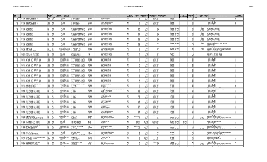| Epa<br>Epa<br>Region Agency |                  | PWS ID<br><b>PWS Name</b>                                                                     | <b>PWS Type</b><br>Source<br>Code Code                                | Population<br><b>Served Count</b> | Owner Type<br><b>Descriptio</b>                      | <b>Address</b>                                                                                           | County Served                 | <b>Contaminant Code</b> | <b>Contaminant Name</b>                                          | Violation<br>Category Cod | Violation<br>Id    | <b>Compliance Period</b><br><b>Begin Date</b> | ompliance Period<br>End Date   | <b>inforcement Action</b><br><b>Type Code</b> | nforcement Date RTC Date                     | <b>PWS</b><br>Enforcement<br>Id  | <b>Status</b><br>Code | <b>Resolved</b><br>Date<br>Code | <b>Violation Type Description</b>                                                                                    | <b>Is Major</b> |
|-----------------------------|------------------|-----------------------------------------------------------------------------------------------|-----------------------------------------------------------------------|-----------------------------------|------------------------------------------------------|----------------------------------------------------------------------------------------------------------|-------------------------------|-------------------------|------------------------------------------------------------------|---------------------------|--------------------|-----------------------------------------------|--------------------------------|-----------------------------------------------|----------------------------------------------|----------------------------------|-----------------------|---------------------------------|----------------------------------------------------------------------------------------------------------------------|-----------------|
|                             |                  | 1 MA MA2323001 HIGHVIEW CAMPGROUND, INC                                                       | TNCWS GW                                                              |                                   | 25 Private                                           | <b>8 JOHN GILBERT RD</b>                                                                                 | Norcester                     |                         | 2984 Trichloroethylene                                           |                           |                    | 7/1/2017                                      | 9/30/2017 SI                   |                                               | 12/20/2017                                   | 35 K                             |                       |                                 | 3 Monitoring, Regular                                                                                                |                 |
| $1$ MA<br>$1$ MA            |                  | MA2323001 HIGHVIEW CAMPGROUND. INC<br>MA2323001 HIGHVIEW CAMPGROUND INC                       | <b>TNCWS</b><br>GW<br>TNCWS GW                                        |                                   | 25 Private<br>25 Private                             | <b>8 JOHN GILBERT RD</b><br><b>SR IOHN GILBERT RD</b>                                                    | orcester                      |                         | 2976 Vinyl chloride<br>2955 Xylenes, Total                       |                           |                    | 7/1/201<br>7/1/201                            | 9/30/2017 S<br>9/30/2017       |                                               | 12/20/2017<br>12/20/2017                     | 35 K<br>$\frac{1}{5}$            |                       |                                 | Monitoring, Regular<br>Monitoring, Regular                                                                           |                 |
| $1$ MA                      |                  | MA2323001 HIGHVIEW CAMPGROUND INC                                                             | TNCWS GW                                                              |                                   | 25 Private                                           | <b>SR IOHN GILBERT RD</b>                                                                                | orcester                      |                         | 2380 cis-1.2-Dichloroethylene                                    |                           |                    | 7/1/2017                                      | $9/30/2017$ s                  |                                               | 12/20/2017                                   | 35K                              |                       |                                 | 3 Monitoring, Regular                                                                                                |                 |
| 1 MA<br>1 MA                |                  | MA2323001 HIGHVIEW CAMPGROUND. IN<br>MA2323001 HIGHVIEW CAMPGROUND. INC.                      | TNCWS GW                                                              |                                   | 25 Private<br>25 Private                             | <b>8 JOHN GILBERT RD</b><br><b>SB JOHN GILBERT RD</b>                                                    | orcester<br><b>/orcester</b>  |                         | 2968 o-Dichlorobenzene<br>2969 p-Dichlorobenzene                 |                           |                    | 7/1/2017<br>7/1/2017                          | 9/30/2017 S<br>9/30/2017 SF    |                                               | 12/20/2017<br>12/20/2017                     | 35K<br>35K                       |                       |                                 | 3 Monitoring, Regular<br>3 Monitoring, Regular                                                                       |                 |
| $1$ MA                      |                  | MA2323001 HIGHVIEW CAMPGROUND. IN                                                             | TNCWS GW                                                              |                                   | 25 Private                                           | <b>8 JOHN GILBERT RD</b>                                                                                 | rcester                       |                         | 2979 trans-1.2-Dichloroethyler                                   |                           |                    | 7/1/2017                                      | 9/30/2017 SI                   |                                               | 12/20/2017                                   | as k                             |                       |                                 | 3 Monitoring, Regular                                                                                                |                 |
| 1 MA<br>$1$ MA              |                  | MA2323002 MADDEN ESTATES<br>MA2323002 MADDEN ESTATES                                          | CWS GW                                                                |                                   | 50 Private<br>50 Private                             | ARTHUR M. MASKELL, MANAGING<br>ARTHUR M. MASKELL, MANAGING                                               | Worcester                     |                         | 5000 Lead and Copper Rule                                        |                           |                    | 7/1/2016                                      |                                |                                               | 1/19/2018 1/19/201                           | 69R                              |                       |                                 | 53 Water Quality Parameter M/F                                                                                       |                 |
| 1MA                         |                  | MA2323002 MADDEN ESTATES                                                                      | $\overline{\text{CWS}}$<br>$\overline{\mathsf{GW}}$<br>CWS<br>GW      |                                   | 50 Private                                           | <b>ARTHUR M. MASKELL, MANAGING</b>                                                                       | Worcester<br>Norcester        |                         | 5000 Lead and Copper Rule<br>5000 Lead and Copper Rule           |                           | 141                | 7/1/2016<br>1/1/2017                          |                                | sox                                           | 12/20/2017 1/19/2018<br>1/19/2018 1/19/2018  | 68R<br>69R                       |                       | 1/19/2018<br>1/19/2018          | 53 Water Quality Parameter M/R<br>53 Water Quality Parameter M/R                                                     |                 |
| $1 M_A$                     |                  | MA2323002 MADDEN ESTATES                                                                      | CWS GW                                                                |                                   | 50 Private                                           | ARTHUR M. MASKELL, MANAGING                                                                              | <b>Jorcester</b>              |                         | 5000 Lead and Copper Rule                                        |                           | 142                | 1/1/2017                                      |                                |                                               | 12/20/2017 1/19/2018                         | 68R                              |                       | 1/19/2018                       | 53 Water Quality Parameter M/R                                                                                       |                 |
| $1$ MA                      | $1$ MA           | MA2323002 MADDEN ESTATES<br>MA2323002 MADDEN ESTATE                                           | GW<br>CWS<br>$\overline{\text{cws}}$<br>GW                            |                                   | 50 Private<br>50 Private                             | ARTHUR M. MASKELL, MANAGING<br>RTHUR M. MASKELL, MANAGIN                                                 | <b>/orcester</b><br>orcester  |                         | 5000 Lead and Copper Rule<br>5000 Lead and Copper Rule           |                           | 143                | 1/1/2015<br>1/1/2015                          |                                | sox                                           | 1/19/2018 1/19/2018                          | 69R<br>58R                       |                       | 1/19/2018                       | 53 Water Quality Parameter M/R<br>53 Water Quality Parameter M/F                                                     |                 |
| $1$ MA                      |                  | MA2323002 MADDEN ESTATES                                                                      | GW<br>CWS                                                             |                                   | 50 Private                                           | ARTHUR M. MASKELL, MANAGING                                                                              | orcester                      |                         | 5000 Lead and Copper Rule                                        |                           |                    | 7/1/2015                                      |                                | sox                                           | $1/19/2018$ $1/19/2018$                      | 69R                              |                       | 1/19/2018                       | 53 Water Quality Parameter M/R                                                                                       |                 |
| $1$ MA                      |                  | MA2323002 MADDEN ESTATES<br>1 MA MA2323002 MADDEN ESTATES                                     | $\overline{\text{CWS}}$<br>$\sqrt{\text{GW}}$<br>rws Gw               |                                   | 50 Private<br>50 Private                             | <b>ARTHUR M. MASKELL, MANAGING</b><br>ARTHUR M. MASKELL, MANAGING                                        | rcester<br>Vorcester          |                         | 5000 Lead and Conner Rule                                        | <b>AAD</b>                | 144<br>145         | 7/1/2015<br>7/1/2014                          |                                | <b>SOX</b>                                    | 12/20/2017 1/19/2018<br>1/19/2018 1/19/2018  | 68R<br>69R                       |                       | 1/19/2018<br>1/19/2018          | 53 Water Quality Parameter M/R<br>53 Water Quality Parameter M/R                                                     |                 |
| 1 MA                        |                  | MA2323002 MADDEN ESTATES                                                                      | $\overline{GW}$<br><b>CWS</b>                                         |                                   | 50 Private                                           | <b>IRTHUR M. MASKELL, MANAGINO</b>                                                                       | orcester                      |                         | 5000 Lead and Copper Rule<br>5000 Lead and Copper Rule           |                           |                    | 7/1/2014                                      |                                |                                               | 12/20/2017 1/19/201                          | 68R                              |                       | 1/19/2018                       | 53 Water Quality Parameter M/F                                                                                       |                 |
| 1 <sub>MA</sub>             | $1$ MA           | MA2323002 MADDEN ESTATES                                                                      | cws<br>GW                                                             |                                   | 50 Private                                           | ARTHUR M. MASKELL, MANAGINO                                                                              | rcester                       |                         | 5000 Lead and Copper Rule                                        |                           |                    | 1/1/2015                                      |                                | 50x                                           | 1/19/2018 1/19/201                           | $\frac{1}{2}$                    |                       | 1/19/2018                       | 53 Water Quality Parameter M/R                                                                                       |                 |
| $1$ MA                      |                  | MA2323002 MADDEN ESTATES<br><b>MA2323002 MADDEN ESTATES</b>                                   | <b>CWS</b><br>$\frac{GW}{GW}$<br>rw <sub>s</sub>                      |                                   | 50 Private<br>50 Private                             | ARTHUR M. MASKELL, MANAGING<br>ARTHUR M. MASKELL, MANAGING                                               | cester<br>Inrester            |                         | 5000 Lead and Copper Rule<br>5000 Lead and Copper Rule           |                           | $\frac{146}{147}$  | $\frac{1}{1/1/2015}$                          |                                |                                               | 12/20/2017 1/19/201<br>1/19/2018 1/19/2018   | 68 R<br>69R                      |                       | 1/19/2018<br>1/19/2018          | 53 Water Quality Parameter M/R<br>56 Initial, Follow-up, or Routine Source Water M/R                                 |                 |
| 1 MA                        |                  | MA2323002 MADDEN ESTATES                                                                      | <b>CWS</b><br>$\frac{GW}{GW}$                                         |                                   | 50 Private                                           | ARTHUR M. MASKELL, MANAGING                                                                              | orcester                      |                         | 5000 Lead and Copper Rule                                        |                           | 147                | 1/1/2017                                      |                                |                                               | 12/20/2017 1/19/2018                         | 68R                              |                       | 1/19/2018                       | 56 Initial, Follow-up, or Routine Source Water M/R                                                                   |                 |
| $1 M_A$<br>1 MAA            |                  | MA2323002 MADDEN ESTATES<br>MA2323002 MADDEN ESTATES                                          | $-ws$<br>cws<br>GW                                                    |                                   | 50 Private<br>50 Private                             | <b>IRTHUR M. MASKELL, MANAGING</b><br><b>IRTHUR M. MASKELL, MANAGING</b>                                 | rcester<br>proester           |                         | 5000 Lead and Copper Rule<br>5000 Lead and Copper Rule           |                           |                    | 1/1/2015<br>7/1/2014                          |                                |                                               |                                              |                                  |                       |                                 | 65 Public Education<br>65 Public Education                                                                           |                 |
| 1 MA                        |                  | MA3023000 REDEORD WATER DEPT                                                                  | cws<br><b>SWP</b>                                                     |                                   | 14020 Local gove                                     | 314 GREAT RD                                                                                             | Viddlesex                     |                         | 1040 Nitrate                                                     |                           |                    | 7/1/2017                                      | 9/30/201                       |                                               |                                              |                                  |                       |                                 | 3 Monitoring, Regular                                                                                                |                 |
| $1$ MA<br>1 MA              |                  | MA3023002 HANSCOM AFB<br>MA3023002 HANSCOM AFB                                                | <b>SWP</b><br>CWS<br>SWP<br><b>CWS</b>                                |                                   | 11799 Federal government<br>11799 Federal government | 2 DOW ST, BLDG 1825<br>2 DOW ST, BLDG 1825                                                               | Middlesex<br>Middlesex        |                         | 7000 Consumer Confidence Rule<br>7000 Consumer Confidence Rule   | lother<br>Other           |                    | 7/1/2017<br>7/1/2017                          |                                |                                               | $9/11/2017$ 9/11/201<br>8/16/2017 9/11/201   | 27R<br>28R                       |                       | 9/11/2017<br>9/11/2017          | 71 Consumer Confidence Report Complete Failure to Report<br>71 Consumer Confidence Report Complete Failure to Report |                 |
| $1$ MA                      |                  | MA3038009 HARRY LEE COLE SCHOOL                                                               | NTNCWS GW                                                             |                                   | 404 Local government                                 | 28 MIDDLETON ROAD                                                                                        | Fssex                         |                         | 5000 Lead and Copper Rule                                        |                           |                    | 1/1/2011                                      |                                |                                               |                                              |                                  |                       |                                 | 52 Follow-up Or Routine LCR Tap M/R                                                                                  |                 |
|                             | $1$ MA           | MA3038020 ANDREWS FARM WATER CO                                                               | $-ws$ $-w$                                                            |                                   | 145 Private                                          | O TIMOTHY MURPH                                                                                          | ssex:                         |                         | 5000 Lead and Copper Rule                                        |                           |                    | 6/1/2006                                      |                                |                                               | 6/27/2007                                    |                                  |                       |                                 | 52 Follow-up Or Routine LCR Tap M/F                                                                                  |                 |
| 1 MA<br>$1$ MA              |                  | MA3038020 ANDREWS FARM WATER CO., IN<br>MA3038020 ANDREWS FARM WATER CO. INC.                 | rws<br>GW<br>CWS<br>GW                                                |                                   | 145 Private<br>145 Private                           | O TIMOTHY MURPH<br><b>CO TIMOTHY MURPHY</b>                                                              | Essex                         |                         | 5000 Lead and Copper Rule<br>5000 Lead and Copper Rule           |                           |                    | 6/1/2006<br>6/1/2006                          |                                |                                               | 6/27/2007<br>11/6/2006                       | 80<br>60                         |                       |                                 | 52 Follow-up Or Routine LCR Tap M/R<br>52 Follow-up Or Routine LCR Tap M/R                                           |                 |
| $1$ MA                      |                  | MA3038020 ANDREWS FARM WATER CO. INC.                                                         | CWS GW<br>TNCWS GW                                                    |                                   | 145 Private                                          | <b>CO TIMOTHY MURPHY</b>                                                                                 | Fssex                         |                         | 5000 Lead and Copper Rule                                        |                           |                    | 6/1/2015                                      |                                |                                               | 6/21/2016                                    | 110                              |                       |                                 | 52 Follow-up Or Routine LCR Tap M/R                                                                                  |                 |
| $1$ MA<br>$1$ MA            |                  | MA3051017 DCR GREAT BROOK FARM STATE PARK<br>MA3051017 DCR GREAT BROOK FARM STATE PARK        | TNCWS GW                                                              |                                   | 300 State government<br>300 State government         | .<br>251 CAUSWAY STREET, 9TH FLOOR<br>251 CAUSWAY STREET, 9TH FLOOR                                      | Middlesex<br>Middlesex        |                         | 4006 Combined Uranium<br>4006 Combined Uranium                   |                           |                    | 7/1/2017<br>7/1/2017                          | $9/30/2017$ SI<br>9/30/2017 SF |                                               | 10/26/2017<br>10/26/2017                     | 13K<br>13K                       |                       |                                 | 3 Monitoring, Regular<br>3 Monitoring, Regular                                                                       |                 |
| 1 MA                        |                  | MA3051017 DCR GREAT BROOK FARM STATE PARK                                                     | TNCWS GW                                                              |                                   | 300 State government                                 | 251 CAUSWAY STREET, 9TH FLOOR                                                                            | Middlesex                     |                         | 4006 Combined Uranium                                            |                           |                    | 7/1/201                                       | $9/30/2017$ S                  |                                               | 10/26/2017                                   | 13K                              |                       |                                 | 3 Monitoring, Regular                                                                                                |                 |
| $1$ MA                      | $1$ MA           | MA3051017 DCR GREAT BROOK FARM STATE PARK<br><b>MA3051017 DCR GREAT RROOK FARM STATE PARK</b> | TNCWS GW<br>TNCWS GW                                                  |                                   | 300 State government                                 | 300 State government 251 CAUSWAY STREET, 9TH FLOOR<br><b>251 CAUSWAY STREET STH FLOOR</b>                | Middlesex<br><b>Middlesex</b> |                         | 4006 Combined Uranium<br>4006 Combined Uranium                   | <b>AAD</b>                |                    | 7/1/2017<br>7/1/2017                          | 9/30/2017 SF<br>9/30/2017 SE   |                                               | 10/26/2017<br>10/26/2017                     | 13K<br>13K                       |                       |                                 | 3 Monitoring, Regular                                                                                                |                 |
| $1$ MA                      |                  | MA3051017 DCR GREAT BROOK FARM STATE PARK                                                     | TNCWS GW                                                              |                                   |                                                      | 300 State government 251 CAUSWAY STREET, 9TH FLOOR                                                       | Middlesex                     |                         | 4006 Combined Uranium                                            |                           |                    | 7/1/2017                                      | 9/30/2017 SE                   |                                               | 10/26/2017                                   | 13K                              |                       |                                 | 3 Monitoring, Regular<br>3 Monitoring, Regular                                                                       |                 |
| $1$ MA                      |                  | MA3051017 DCR GREAT BROOK FARM STATE PARK                                                     | TNCWS GW                                                              |                                   | 300 State government                                 | 251 CAUSWAY STREET, 9TH FLOOR                                                                            | liddlesex                     |                         | 4006 Combined Uranium                                            |                           |                    | 7/1/2017                                      | 9/30/2017 SF                   |                                               | 10/26/2017                                   | 13K                              |                       |                                 | 3 Monitoring, Regular                                                                                                |                 |
| $1$ MA<br>$1$ MA            |                  | MA3051017 DCR GREAT BROOK FARM STATE PARK<br>MA3051017 DCR GREAT BROOK FARM STATE PARK        | TNCWS GW<br>TNCWS GW                                                  |                                   |                                                      | 300 State government 251 CAUSWAY STREET, 9TH FLOOR<br>300 State government 251 CAUSWAY STREET, 9TH FLOOR | viddlesex<br>Middlesex        |                         | 4006 Combined Uranium<br>4006 Combined Uraniur                   |                           |                    | 7/1/2017<br>7/1/2017                          | 9/30/2017 SF<br>9/30/2017 SI   |                                               | 10/26/2017<br>10/26/2017                     | 13K<br>13K                       |                       |                                 | Monitoring, Regular<br>3 Monitoring, Regular                                                                         |                 |
| 1 MA                        |                  | MA3051017 DCR GREAT BROOK FARM STATE PARK                                                     | TNCWS GW                                                              |                                   |                                                      | 300 State government 251 CAUSWAY STREET, 9TH FLOOR                                                       | Middlesex                     |                         | 4006 Combined Uranium                                            |                           |                    | 7/1/2017                                      | 9/30/2017 SF                   |                                               | 10/26/2017                                   | 13K                              |                       |                                 | 3 Monitoring, Regular                                                                                                |                 |
| 1 MA                        | $1$ MA           | MA3051017 DCR GREAT BROOK FARM STATE PARK<br>MA3051017 DCR GREAT BROOK FARM STATE PARK        | TNCWS GW<br>TNCWS GW                                                  |                                   | 300 State government                                 | 251 CAUSWAY STREET, 9TH FLOOR<br>300 State government 251 CAUSWAY STREET, 9TH FLOOR                      | Middlesex<br>diddlesex        |                         | 4006 Combined Uranium<br>4006 Combined Uranium                   | MR                        |                    | 7/1/2017<br>7/1/2017                          | 9/30/2017 SF<br>9/30/2017 SF   |                                               | 10/26/2017<br>10/26/2017                     | 13K<br>13K                       |                       |                                 | 3 Monitoring, Regula<br>3 Monitoring, Regular                                                                        |                 |
| 1 MA                        |                  | MA3051017 DCR GREAT BROOK FARM STATE PARK                                                     | TNCWS GW                                                              |                                   |                                                      | 300 State government 251 CAUSWAY STREET, 9TH FLOOR                                                       | <b>fiddlesex</b>              |                         | 4006 Combined Uranium                                            |                           |                    | 7/1/2017                                      | 9/30/2017 SF                   |                                               | 10/26/2017                                   | 13K                              |                       |                                 | 3 Monitoring, Regular                                                                                                |                 |
| 1 MA                        | $1$ MA           | MA3051017 DCR GREAT BROOK FARM STATE PARK<br>MA3051017 DCR GREAT BROOK FARM STATE PARK        | TNCWS GW<br>TNCWS GW                                                  |                                   |                                                      | 300 State government 251 CAUSWAY STREET, 9TH FLOOR                                                       | Middlesex                     |                         | 4006 Combined Uranium<br>4006 Combined Uranium                   | <b>MP</b>                 |                    | 7/1/2017<br>7/1/2017                          | $9/30/2017$ SE<br>9/30/20178   |                                               | 10/26/2017<br>10/26/2017                     | 13K<br>13K                       |                       |                                 | 3 Monitoring, Regular                                                                                                |                 |
| 1 MA                        |                  | MA3051017 DCR GREAT BROOK FARM STATE PARK                                                     | TNCWS GW                                                              |                                   | 300 State government                                 | 300 State government 251 CAUSWAY STREET, 9TH FLOOR<br>251 CAUSWAY STREET, 9TH FLOOR                      | Middlesex<br>Middlesex        |                         | 4006 Combined Uranium                                            |                           |                    | 7/1/2017                                      | 9/30/2017 SF                   |                                               | 10/26/2017                                   | 13K                              |                       |                                 | 3 Monitoring, Regular<br>3 Monitoring, Regular                                                                       |                 |
| $1$ MA<br>1 MA              |                  | MA3051017 DCR GREAT BROOK FARM STATE PARK<br>MA3051017 DCR GREAT BROOK FARM STATE PARK        | TNCWS GW<br>TNCWS GW                                                  |                                   | 300 State government                                 | 251 CAUSWAY STREET, 9TH FLOOR<br>251 CAUSWAY STREET, 9TH FLOOR                                           | Middlesex                     |                         | 4006 Combined Uranium<br>4006 Combined Uranium                   |                           |                    | 7/1/2017<br>7/1/201                           | 9/30/2017 SF<br>9/30/2017 SI   |                                               | 10/26/2017<br>10/26/2017                     | 13K                              |                       |                                 | 3 Monitoring, Regular                                                                                                |                 |
| 1 MA                        |                  | MA3051017 DCR GREAT BROOK FARM STATE PARK                                                     |                                                                       |                                   | 300 State government<br>300 State government         | 251 CAUSWAY STREET, 9TH FLOOR                                                                            | liddlesex<br>Middlesex        |                         | 4006 Combined Uranium                                            |                           |                    | 7/1/2017                                      | 9/30/2017 SI                   |                                               | 10/26/2017                                   | 13K<br>13K                       |                       |                                 | Monitoring, Regular<br>Monitoring, Regular                                                                           |                 |
| 1 MA                        |                  | MA3051017 DCR GREAT BROOK FARM STATE PARK                                                     | TNCWS GW                                                              |                                   | 300 State government                                 | 251 CALISWAY STREET 9TH FLOOR                                                                            | viddlesex                     |                         | 4006 Combined Uranium                                            |                           |                    | 7/1/2017                                      | 9/30/2017 SF                   |                                               | 10/26/2017                                   | 13K                              |                       |                                 | 3 Monitoring, Regular                                                                                                |                 |
| $1$ MA<br>1 MA              |                  | MA3051017 DCR GREAT BROOK FARM STATE PARK<br>MA3051017 DCR GREAT BROOK FARM STATE PARK        | TNCWS GW                                                              |                                   | 300 State government<br>300 State government         | 251 CAUSWAY STREET 9TH FLOOR<br>251 CAUSWAY STREET, 9TH FLOOR                                            | diddlesex<br>diddlesex        |                         | 4006 Combined Uranium<br>4006 Combined Uranium                   |                           |                    | 7/1/2017<br>7/1/2017                          | 9/30/2017 SE<br>9/30/2017 SI   |                                               | 10/26/2017<br>10/26/2017                     | 13K<br>13K                       |                       |                                 | 3 Monitoring, Regular<br>3 Monitoring, Regular                                                                       |                 |
| 1 MA                        |                  | MA3051017 DCR GREAT BROOK FARM STATE PARK                                                     | TNCWS GW                                                              |                                   | 300 State government                                 | 251 CAUSWAY STREET, 9TH FLOOR                                                                            | viddlesex                     |                         | 4006 Combined Uranium                                            |                           |                    | 7/1/2017                                      | 9/30/2017 SF                   |                                               | 10/26/2017                                   | 13K                              |                       |                                 | 3 Monitoring, Regular                                                                                                |                 |
| $1$ MA                      |                  | MA3051018 GLEASON PUBLIC LIBRARY<br>MA3051018 GLEASON PUBLIC LIBRARY                          | TNCWS GW                                                              |                                   | 80 Local government                                  | 22 BEDFORD ST<br>22 BEDFORD ST                                                                           | diddlesex                     |                         | 1040 Nitrate                                                     |                           |                    | 2/1/2017                                      | 2/28/2017 SI<br>1/31/2017 SF   |                                               | 1/27/2017                                    | 10K                              |                       |                                 | 3 Monitoring, Regular                                                                                                |                 |
| $1$ MA<br>$1$ MA            |                  | MA3051020 FERNS COUNTRY STORE                                                                 | TNCWS GW<br>TNCWS GW                                                  |                                   | 80 Local government<br>25 Private                    | $0$ ROX 31                                                                                               | fiddlesex<br>VezelbbiM        |                         | 1040 Nitrate<br>3100 Coliform (TCR)                              |                           |                    | 1/1/2017<br>6/1/2017                          | 6/30/2017 SF                   |                                               | 1/27/2017<br>7/26/2017                       | 10k<br>7 <sup>K</sup>            |                       |                                 | 3 Monitoring, Regular<br>23 Monitoring, Routine Major (TCR)                                                          |                 |
| $1$ MA                      |                  | MA3051020 FERNS COUNTRY STORE                                                                 | TNCWS GW                                                              |                                   | 25 Private                                           | 0 BOX 31                                                                                                 | Middlesex                     |                         | 400 Stage 1 Disinfectants and Disinfection Byproducts Rule       |                           |                    | 6/6/2017                                      |                                |                                               | 7/26/2017                                    | 7 <sub>0</sub>                   |                       |                                 | 12 Treatment Technique No Certif. Operator                                                                           |                 |
| $1$ MA                      | $1$ MA           | MA3056001 EAST CHELMSFORD WATER DISTRIC<br>MA3056001 EAST CHELMSFORD WATER DISTRICT           | CWS<br><b>SWP</b><br>SWP<br>cws                                       |                                   | 2350 Local government<br>2350 Local government       | 5 CANAL ST<br><b>75 CANAL ST</b>                                                                         | fiddlesex<br>diddlesex        |                         | 2981 1.1.1-Trichloroethane<br>2985 1,1,2-Trichloroethane         |                           |                    | 1/1/2017<br>1/1/2017                          | 3/31/2017 SF<br>3/31/2017 SF   |                                               | 6/2/2017<br>6/2/2017                         | 40 K<br>40k                      |                       |                                 | 3 Monitoring, Regular<br>3 Monitoring, Regular                                                                       |                 |
| 1 MA                        |                  | MA3056001 EAST CHELMSFORD WATER DISTRICT                                                      | SWP                                                                   |                                   | 2350 Local government                                | 5 CANAL S                                                                                                | liddlesex                     |                         | 2977 1,1-Dichloroethylene                                        |                           |                    | 1/1/201                                       | 3/31/2017 S                    |                                               | 6/2/2017                                     | 40k                              |                       |                                 | 3 Monitoring, Regular                                                                                                |                 |
| $1$ MA<br>1 MA              |                  | MA3056001 EAST CHELMSFORD WATER DISTRICT<br>MA3056001 EAST CHELMSFORD WATER DISTRICT          | <b>SWP</b><br>:WS<br>rws<br><b>SWP</b>                                |                                   | 2350 Local government<br>2350 Local government       | 75 CANAL ST<br>75 CANAL S'                                                                               | Middlesex<br>Middlesex        |                         | 2378 1,2,4-Trichlorobenzene<br>2980 1.2-Dichloroethane           |                           | 120                | 1/1/2017<br>1/1/201                           | 3/31/2017 SF<br>3/31/2017 S    |                                               | 6/2/2017<br>6/2/2017                         | 40 K<br>40 K                     |                       |                                 | 3 Monitoring, Regular<br>3 Monitoring, Regular                                                                       |                 |
| $1$ MA                      |                  | MA3056001 EAST CHELMSFORD WATER DISTRICT                                                      | CWS<br>SWP                                                            |                                   | 2350 Local government                                | 75 CANAL ST                                                                                              | Middlesex                     |                         | 2983 1,2-Dichloropropane                                         |                           | 109                | 1/1/2017                                      | 3/31/2017 SF                   |                                               | 6/2/2017                                     | 40 K                             |                       |                                 | 3 Monitoring, Regular                                                                                                |                 |
| $1$ MA                      | $1$ MA           | MA3056001 EAST CHELMSFORD WATER DISTRIC<br>MA3056001 EAST CHELMSFORD WATER DISTRICT           | swp<br>$\overline{\text{w}}$<br><b>SWP</b>                            |                                   | 2350 Local government                                | 5 CANAL S<br>75 CANAL S                                                                                  | viddlesex<br>viddlesex        |                         | 2990 Benzene<br>2989 CHLOROBENZENE                               |                           |                    | 1/1/2017<br>1/1/2017                          | 3/31/2017 S<br>3/31/2017 SF    |                                               | 6/2/2017<br>6/2/2017                         | 40k<br>40k                       |                       |                                 | 3 Monitoring, Regular<br>3 Monitoring, Regular                                                                       |                 |
| $1 \text{MA}$               |                  | MA3056001 EAST CHELMSEORD WATER DISTRICT                                                      | CWS<br>SWP<br>SWP<br>CW <sub>S</sub>                                  |                                   | 2350 Local government<br>2350 Local gover            | <b>ECANAL C</b>                                                                                          | Middlesex                     |                         | 2982 Carbon tetrachl                                             |                           |                    | 1/1/2017                                      | 3/31/2017 S                    |                                               | 6/2/2017                                     | 40K                              |                       |                                 | 3 Monitoring, Regular                                                                                                |                 |
|                             | $1$ MA           | MA3056001 EAST CHELMSFORD WATER DISTRICT<br>MA3056001 EAST CHELMSFORD WATER DISTRICT          | <b>CWS</b>                                                            |                                   | 2350 Local government                                | 75 CANAL S'                                                                                              | Middlesex                     |                         | 2964 DICHLOROMETHANE                                             |                           | 116                | 1/1/2017                                      | 3/31/2017 SF                   |                                               | 6/2/2017                                     | 40 K                             |                       |                                 | 3 Monitoring, Regular                                                                                                |                 |
| $1$ $MA$<br>$1 M_A$         |                  | MA3056001 EAST CHELMSFORD WATER DISTRICT                                                      | <b>SWP</b><br>CWS<br><b>SWP</b>                                       |                                   | 2350 Local government<br>2350 Local government       | <b>75 CANAL ST</b><br><b>75 CANALS</b>                                                                   | Middlesex<br>Middlesex        |                         | 2992 Ethylbenzene<br>2996 Styrene                                |                           | 110                | 1/1/2017<br>1/1/2017                          | 3/31/2017 SF<br>3/31/2017 SI   |                                               | 6/2/2017<br>6/2/2017                         | 40k<br>40k                       |                       |                                 | 3 Monitoring, Regular<br>Monitoring, Regular                                                                         |                 |
| 1 MA                        |                  | MA3056001 EAST CHELMSFORD WATER DISTRICT                                                      | SWP<br>CWS                                                            |                                   | 2350 Local government                                | 75 CANAL S'                                                                                              | Middlesex                     |                         | 2987 Tetrachloroethylene                                         |                           |                    | 1/1/201                                       | 3/31/2017 SI                   |                                               | 6/2/2017                                     | 40K                              |                       |                                 | 3 Monitoring, Regular                                                                                                |                 |
| $1$ MA<br>$1$ MA            |                  | MA3056001 FAST CHELMSFORD WATER DISTRICT<br>MA3056001 FAST CHELMSFORD WATER DISTRICT          | $\overline{\text{rw}}$<br><b>SWP</b><br>rw <sub>s</sub><br><b>SWP</b> |                                   | 2350 Local government<br>2350 Local government       | 75 CANAL ST<br>75 CANAL ST                                                                               | Middlesex<br>Middlesex        |                         | 7991 Toluene<br>2984 Trichloroethylen                            |                           |                    | 1/1/2017<br>1/1/2017                          | 3/31/2017 SF<br>3/31/2017 SF   |                                               | 6/2/2017<br>6/2/2017                         | 40k<br>an k                      |                       |                                 | 3 Monitoring, Regular<br>3 Monitoring, Regular                                                                       |                 |
| $1$ MA                      |                  | MA3056001 EAST CHELMSFORD WATER DISTRICT                                                      | <b>SWP</b><br><b>CWS</b>                                              |                                   | 2350 Local government                                | <b>75 CANAL ST</b>                                                                                       | diddlesex                     |                         | 2976 Vinyl chloride                                              |                           |                    | 1/1/2017                                      | 3/31/2017 SF                   |                                               | 6/2/2017                                     | 40 K                             |                       |                                 | 3 Monitoring, Regular                                                                                                |                 |
| $1$ MA<br>$1$ MA            |                  | MA3056001 EAST CHELMSFORD WATER DISTRICT<br>MA3056001 EAST CHELMSFORD WATER DISTRICT          | SWP<br>CWS<br>SWP<br>rws                                              |                                   | 2350 Local government<br>2350 Local government       | <b>75 CANAL ST</b><br>5 CANAL ST                                                                         | viddlesex<br>diddlesex        |                         | 2955 Xylenes, Total<br>2380 cis-1,2-Dichloroethylene             |                           | 115                | 1/1/2017<br>1/1/2017                          | 3/31/2017 SF<br>3/31/2017 SI   |                                               | 6/2/2017<br>6/2/2017                         | 40k<br>40 K                      |                       |                                 | 3 Monitoring, Regular<br>3 Monitoring, Regular                                                                       |                 |
| 1 MA                        |                  | MA3056001 EAST CHELMSFORD WATER DISTRICT                                                      | SWP<br>rws                                                            |                                   | 2350 Local government                                | 75 CANAL ST                                                                                              | Middlesex                     |                         | 2968 o-Dichlorobenzene                                           |                           |                    | 1/1/2017                                      | 3/31/2017 SF                   |                                               | 6/2/2017                                     | 40 K                             |                       |                                 | 3 Monitoring, Regular                                                                                                |                 |
| $1$ MA<br>1 MA              |                  | MA3056001 FAST CHELMSFORD WATER DISTRICT<br>MA3056001 FAST CHELMSFORD WATER DISTRICT          | $\overline{\text{rw}}$<br><b>SWP</b><br>CWS                           |                                   | 2350 Local government<br>2350 Local government       | 75 CANAL ST<br>75 CANAL ST                                                                               | Middlesex<br>vezelbbiM        |                         | 2969 n-Dichlorobenzene<br>2979 trans-1.2-Dichloroethylene        |                           | 11d<br>107         | 1/1/2017<br>1/1/2017                          | 3/31/2017 SF<br>3/31/2017 SF   |                                               | 6/2/2017<br>6/2/2017                         | 40k<br>40 K                      |                       |                                 | 3 Monitoring, Regular                                                                                                |                 |
| $1$ MA                      |                  | MA3067000 CONCORD WATER DEPT                                                                  | SWP<br>SW<br>CWS                                                      |                                   | 16306 Local government                               | <b>135 KEYES RD</b>                                                                                      | diddlesex                     |                         | 5000 Lead and Copper Rule                                        |                           | 2528-92V0001       | 7/1/1992                                      |                                |                                               |                                              |                                  |                       |                                 | 3 Monitoring, Regular<br>51 Initial Tap Sampling for Pb and Cu                                                       |                 |
| 1 MA<br>$1 M_A$             |                  | MA3078008 SPRINGDALE FARMS WATER SUPPLY TRUST<br>MA3078008 SPRINGDALE FARMS WATER SUPPLY TRUS | $\frac{GW}{GW}$<br>CWS                                                |                                   | 130 Private<br>130 Private                           | .O. BOX 725                                                                                              | lorfolk<br>Vorfolk            |                         | 7000 Consumer Confidence Rule                                    | Other<br>Other            |                    | 7/1/2017<br>7/1/2017                          |                                |                                               | 8/16/2017 7/24/201<br>7/24/2017 7/24/201     | 31R<br>$\frac{1}{20}$            |                       | 7/24/2017                       | 71 Consumer Confidence Report Complete Failure to Report                                                             |                 |
| 1 <sub>MA</sub>             |                  | MA3166000 MANCHESTER BY THE SEA DPW                                                           | sw<br><b>CWS</b>                                                      |                                   | 5664 Local gove                                      | .O. BOX 725<br>OWN HALL 10 CENTRAL ST                                                                    | Essex                         |                         | 7000 Consumer Confidence Rule<br>7000 Consumer Confidence Rule   | Other                     |                    | 7/1/2014                                      |                                |                                               | 8/11/2014                                    | 420                              |                       | 7/24/2017                       | 71 Consumer Confidence Report Complete Failure to Report<br>71 Consumer Confidence Report Complete Failure to Report |                 |
| 1 MA                        |                  | MA3189001 COPELAND PROPERTIES, INC. (VND                                                      | TNCWS GW                                                              |                                   | 100 Private                                          | 1183 RANDOLPH AVENUE                                                                                     | Norfolk                       |                         | 3100 Coliform (TCR)                                              |                           | 02V0001            | 11/1/2001                                     | 11/30/2001 SF                  |                                               | 1/11/2002 1/24/2018                          | 1/24/2018                        |                       |                                 | 23 Monitoring, Routine Major (TCR)                                                                                   |                 |
| 1 MA<br>1 MA                |                  | MA3189001 COPELAND PROPERTIES. INC. (VND)<br>MA3189001 COPELAND PROPERTIES, INC. (VND)        | TNCWS GW<br>TNCWS GW                                                  |                                   | 100 Private<br>100 Private                           | 1183 RANDOLPH AVENUE<br><b>83 RANDOLPH AVENU</b>                                                         | Norfolk<br><b>Iorfolk</b>     |                         | 1040 Nitrate<br>1040 Nitrate                                     | MR                        | 95V0001<br>99V0001 | 10/1/1994<br>7/1/1998                         | 12/31/1994 SF<br>9/30/1998 S   |                                               | 10/30/1995 1/24/2018<br>11/18/1998 1/24/2018 | 1/24/2018<br>21<br>1/24/2018     |                       |                                 | 3 Monitoring, Regular<br>3 Monitoring, Regular                                                                       |                 |
| $1$ MA                      |                  | MA3189001 COPELAND PROPERTIES, INC. (VND)                                                     | TNCWS GW                                                              |                                   | 100 Private                                          | 183 RANDOLPH AVENU                                                                                       | Norfolk                       |                         | 1041 Nitrite                                                     |                           | 97V0001            | 10/1/1995                                     | 12/31/1995 SF                  |                                               | 8/18/1997 1/24/2018                          | 1/24/2018                        |                       |                                 | 3 Monitoring, Regular                                                                                                |                 |
| $1$ MA<br>1 MA              |                  | MA3196000 NAHANT WATER DEPT (MWRA)<br>MA3198000 NATICK WATER DEPARTMENT                       | <b>SWP</b><br><b>CWS</b>                                              |                                   | 3410 Local governmer                                 | <b>334 NAHANT RD TOWN HALL</b><br><b>75 WEST ST</b>                                                      | Middlesex                     |                         | 5000 Lead and Copper Rule                                        |                           | 8003-93V0001       | 7/1/1997                                      |                                |                                               | 12/29/201                                    |                                  |                       |                                 | 51 Initial Tap Sampling for Pb and Cu                                                                                |                 |
| 1 MA                        |                  | MA3229000 PEABODY WATER DEPT.                                                                 | CWS<br>GW<br><b>CWS</b><br><b>SW</b>                                  |                                   | 33006 Local government<br>51836 Local government     | 50 FARM AVE                                                                                              | Essex                         |                         | 3014 E. COLI<br>7000 Consumer Confidence Rule                    | Other                     | 119                | 11/1/2011<br>7/1/2017                         |                                | <b>SOX</b>                                    | 9/13/2017 9/13/201                           | 44R                              |                       | 9/13/2017                       | 34 Monitoring, Source Water (GWR)<br>71 Consumer Confidence Report Complete Failure to Report                        |                 |
| 1 MA                        |                  | MA3229000 PEABODY WATER DEPT.                                                                 | $\frac{SW}{SWP}$<br>CWS                                               |                                   | 51836 Local government                               | 50 FARM AVE                                                                                              | Essex                         |                         | 7000 Consumer Confidence Rule                                    | Other                     |                    | 7/1/201                                       |                                |                                               | 8/18/2017 9/13/201                           | 45 R                             |                       | 9/13/2017                       | 71 Consumer Confidence Report Complete Failure to Report                                                             |                 |
|                             | $1$ MA<br>$1$ MA | MA3248000 REVERE WATER DEPT. (MWR<br>MA3298002 FAGLE TOR TRUST                                | rw <sub>1</sub><br>GW                                                 |                                   | 51755 Local govern<br>38 Private                     | 281 BROADWA<br><b>CO PAMELA RIORDAN</b>                                                                  | Suffolk<br>Essex              |                         | 000 Lead and Copper Rule<br><b>7000 Consumer Confidence Rule</b> | Other                     |                    | 1/1/2017<br>7/1/2015                          |                                |                                               | 8/13/2015                                    | 380                              |                       |                                 | 52 Follow-up Or Routine LCR Tap M/R<br>71 Consumer Confidence Report Complete Failure to Report                      |                 |
| $1$ MA                      |                  | MA3301008 BENCHMARK CONDOMINIUMS                                                              | CWS<br>GW                                                             |                                   | 60 Private                                           | $0$ ROX 724                                                                                              | Middlesex                     |                         | 5000 Lead and Conner Rule                                        |                           |                    | 1/1/2013                                      |                                |                                               |                                              | $\frac{1}{34}$ o                 |                       |                                 | 52 Follow-up Or Routine LCR Tap M/R                                                                                  |                 |
| 1 MA                        | $1$ MA           | MA3301020 COLONY HEIGHTS CONDOMINIUM<br>MA3342000 WILMINGTON WATER DEPT                       | CWS GW<br><b>SWP</b>                                                  |                                   | 120 Private<br>22282 Local government                | C/O CENTURION MANAGEMENT CO.<br>21 GLEN ROAD                                                             | Middlesex<br><b>fiddlesex</b> |                         | 7000 Consumer Confidence Rule<br>5000 Lead and Copper Rule       | Other                     |                    | 7/1/2016<br>1/1/2013                          |                                |                                               | 8/30/2016                                    |                                  |                       |                                 | 71 Consumer Confidence Report Complete Failure to Report<br>52 Follow-up Or Routine LCR Tap M/R                      |                 |
|                             | 1 MA             | MA4020004 HYANNIS WATER SYSTEM. TOWN OF BARNSTABLE                                            | cws<br>GW                                                             |                                   | 5000 Local govern                                    | 0. BOX 326                                                                                               | arnstable                     |                         | 700 Groundwater Rule                                             | Other                     |                    | 7/11/2017                                     |                                |                                               | 9/21/2017                                    | $\frac{1}{26}$                   |                       |                                 | 73 Failure to Notify Other PWS                                                                                       |                 |
| $1$ MA<br>$1$ MA            |                  | MA4052014 SHADY ACRES CAMPGROUND<br>MA4052019 GEORGIOS PIZZA                                  | <b>TNCWS</b><br>$\sqrt{6W}$<br>TNCWS GW                               |                                   | 200 Private<br>600 Private                           | <b>O SHOESTRING ROAL</b><br><b>165 FLANDERS ROAD</b>                                                     | lymouth<br>wmouth             |                         | 3014 E. COLI<br>1040 Nitrate                                     |                           |                    | 9/22/201<br>7/1/2017                          | $9/30/2017$ SI                 |                                               | 4/27/2017<br>7/8/2018                        | 20 0<br>19K                      |                       |                                 | 34 Monitoring, Source Water (GWR)<br>3 Monitoring, Regular                                                           |                 |
| $1$ MA                      |                  | MA4052065 MAIN STREET COURT CONDOMINIUM TRUST                                                 | TNCWS GW                                                              |                                   | 25 Private                                           | C/O I YNDA NUTF                                                                                          | wnouth                        |                         | 1040 Nitrate                                                     |                           |                    | 4/1/2017                                      | $6/30/2017$ SI                 |                                               | 9/6/2017                                     | 22K                              |                       |                                 | 3 Monitoring, Regular                                                                                                |                 |
| 1 MA<br>$1$ MA              |                  | MA4052070 TOWNHOUSES @ COPPER LANTERN<br>MA4076002 NORTH DIGHTON FIRE DISTRICT                | GW<br>CWS<br>SWP                                                      |                                   | 176 Private                                          | HOLLAND WAY, SUITE 201<br>340 FOREST ST                                                                  | ymouth                        |                         | 1040 Nitrate                                                     | lother                    |                    | 4/1/201<br>7/1/2017                           | 6/30/2017 SI                   |                                               | 9/6/2017                                     | 18K                              |                       | 8/29/2017                       | 3 Monitoring, Regular                                                                                                |                 |
| $1$ MA                      |                  | MA4076002 NORTH DIGHTON FIRE DISTRICT                                                         | CWS<br>cws<br><b>SWP</b>                                              |                                   | 1300 Local government<br>1300 Local government       | 340 FOREST ST                                                                                            | <b>Bristol</b><br>Intern      |                         | 7000 Consumer Confidence Rule<br>7000 Consumer Confidence Rule   | Other                     |                    | 7/1/2017                                      |                                |                                               | 8/29/2017 8/29/201<br>8/16/2017 8/29/2017    | 6R<br>$\frac{1}{7}$ <sub>D</sub> |                       | 8/29/2017                       | 71 Consumer Confidence Report Complete Failure to Report<br>71 Consumer Confidence Report Complete Failure to Report |                 |
| $1$ MA                      |                  | MA4076002 NORTH DIGHTON FIRE DISTRICT                                                         | <b>CWS</b><br>SWP                                                     |                                   | 1300 Local gover                                     | 340 FOREST ST                                                                                            | <b>Bristol</b>                |                         | 2950 TTHM                                                        |                           |                    | 2/1/2017                                      | 2/28/201                       |                                               |                                              |                                  |                       |                                 | 27 Monitoring and Reporting (DBP)                                                                                    |                 |